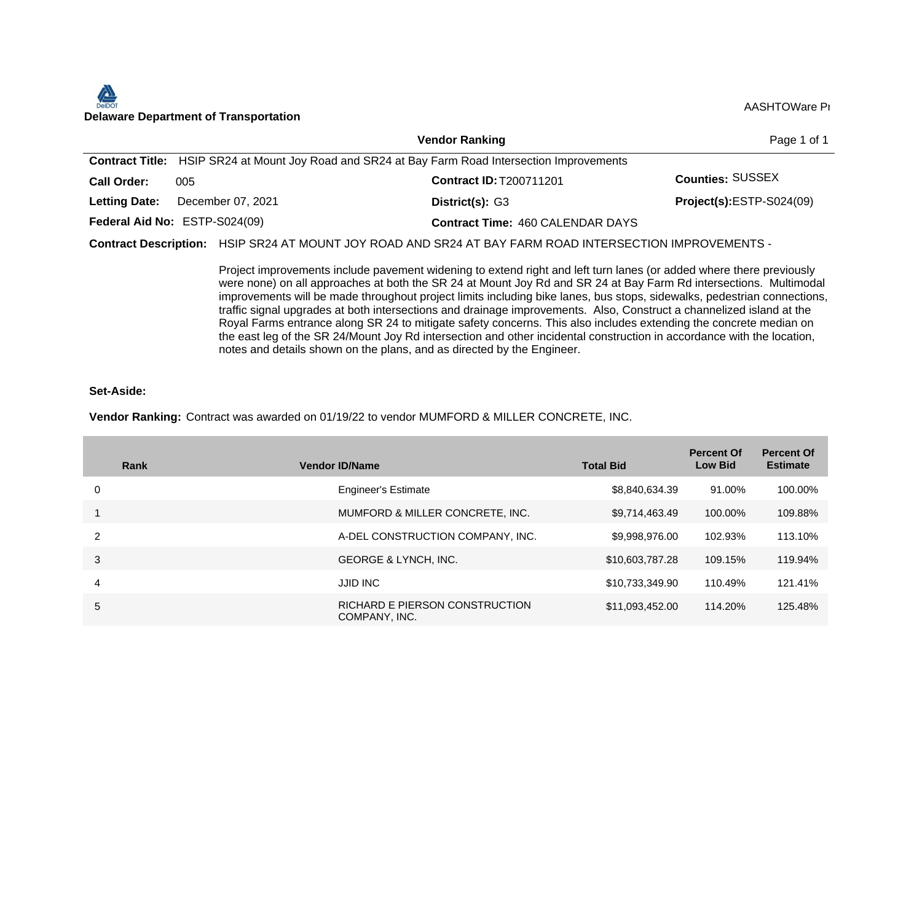#### $\sum$ *ें*कठा AASHTOWare Properties and AASHTOWare Properties and ABSHTOWare Properties and ABSHTOWare Project with the Department of Transportation and ABSHTOWare Properties and ABSHTOWare Properties and ABSHTOWare Properties

|                      |                                                                                                         | <b>Vendor Ranking</b>                   | Page 1 of 1              |
|----------------------|---------------------------------------------------------------------------------------------------------|-----------------------------------------|--------------------------|
|                      | <b>Contract Title:</b> HSIP SR24 at Mount Joy Road and SR24 at Bay Farm Road Intersection Improvements  |                                         |                          |
| <b>Call Order:</b>   | 005                                                                                                     | Contract ID: T200711201                 | <b>Counties: SUSSEX</b>  |
| <b>Letting Date:</b> | December 07, 2021                                                                                       | District(s): G3                         | Project(s):ESTP-S024(09) |
|                      | Federal Aid No: ESTP-S024(09)                                                                           | <b>Contract Time: 460 CALENDAR DAYS</b> |                          |
|                      | Contract Description: HSIP SR24 AT MOUNT JOY ROAD AND SR24 AT BAY FARM ROAD INTERSECTION IMPROVEMENTS - |                                         |                          |

Project improvements include pavement widening to extend right and left turn lanes (or added where there previously were none) on all approaches at both the SR 24 at Mount Joy Rd and SR 24 at Bay Farm Rd intersections. Multimodal improvements will be made throughout project limits including bike lanes, bus stops, sidewalks, pedestrian connections, traffic signal upgrades at both intersections and drainage improvements. Also, Construct a channelized island at the Royal Farms entrance along SR 24 to mitigate safety concerns. This also includes extending the concrete median on the east leg of the SR 24/Mount Joy Rd intersection and other incidental construction in accordance with the location, notes and details shown on the plans, and as directed by the Engineer.

#### **Set-Aside:**

#### **Vendor Ranking:** Contract was awarded on 01/19/22 to vendor MUMFORD & MILLER CONCRETE, INC.

| Rank          | <b>Vendor ID/Name</b>                           | <b>Total Bid</b> | <b>Percent Of</b><br><b>Low Bid</b> | <b>Percent Of</b><br><b>Estimate</b> |
|---------------|-------------------------------------------------|------------------|-------------------------------------|--------------------------------------|
| 0             | <b>Engineer's Estimate</b>                      | \$8,840,634.39   | 91.00%                              | 100.00%                              |
|               | MUMFORD & MILLER CONCRETE, INC.                 | \$9,714,463.49   | 100.00%                             | 109.88%                              |
| $\mathcal{P}$ | A-DEL CONSTRUCTION COMPANY, INC.                | \$9,998,976.00   | 102.93%                             | 113.10%                              |
| 3             | <b>GEORGE &amp; LYNCH, INC.</b>                 | \$10,603,787.28  | 109.15%                             | 119.94%                              |
| 4             | <b>JJID INC</b>                                 | \$10,733,349.90  | 110.49%                             | 121.41%                              |
| 5             | RICHARD E PIERSON CONSTRUCTION<br>COMPANY, INC. | \$11,093,452.00  | 114.20%                             | 125.48%                              |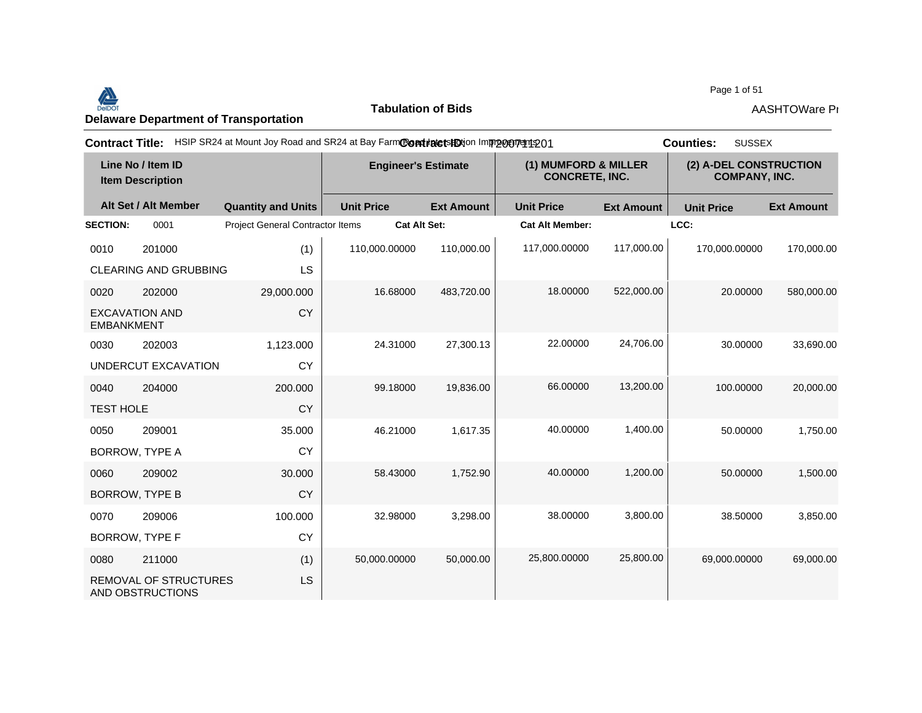Page 1 of 51<br>Delaware Department of Transportation **AASHTOWare Properties AASHTOWare Properties**<br>Delaware Department of Transportation

**Tabulation of Bids**

Page 1 of 51

| <b>Contract Title:</b>                       |                                                  |                                  | HSIP SR24 at Mount Joy Road and SR24 at Bay FarmContractsHOtion Improveryent 201 |                   |                                               |                   | <b>SUSSEX</b><br><b>Counties:</b>              |                   |
|----------------------------------------------|--------------------------------------------------|----------------------------------|----------------------------------------------------------------------------------|-------------------|-----------------------------------------------|-------------------|------------------------------------------------|-------------------|
| Line No / Item ID<br><b>Item Description</b> |                                                  | <b>Engineer's Estimate</b>       |                                                                                  |                   | (1) MUMFORD & MILLER<br><b>CONCRETE, INC.</b> |                   | (2) A-DEL CONSTRUCTION<br><b>COMPANY, INC.</b> |                   |
|                                              | Alt Set / Alt Member                             | <b>Quantity and Units</b>        | <b>Unit Price</b>                                                                | <b>Ext Amount</b> | <b>Unit Price</b>                             | <b>Ext Amount</b> | <b>Unit Price</b>                              | <b>Ext Amount</b> |
| <b>SECTION:</b>                              | 0001                                             | Project General Contractor Items | <b>Cat Alt Set:</b>                                                              |                   | <b>Cat Alt Member:</b>                        |                   | LCC:                                           |                   |
| 0010                                         | 201000                                           | (1)                              | 110,000.00000                                                                    | 110,000.00        | 117,000.00000                                 | 117,000.00        | 170,000.00000                                  | 170,000.00        |
|                                              | <b>CLEARING AND GRUBBING</b>                     | LS                               |                                                                                  |                   |                                               |                   |                                                |                   |
| 0020                                         | 202000                                           | 29,000.000                       | 16.68000                                                                         | 483,720.00        | 18.00000                                      | 522,000.00        | 20.00000                                       | 580,000.00        |
| <b>EXCAVATION AND</b><br><b>EMBANKMENT</b>   |                                                  | <b>CY</b>                        |                                                                                  |                   |                                               |                   |                                                |                   |
| 0030                                         | 202003                                           | 1,123.000                        | 24.31000                                                                         | 27,300.13         | 22,00000                                      | 24,706.00         | 30.00000                                       | 33,690.00         |
|                                              | UNDERCUT EXCAVATION                              | <b>CY</b>                        |                                                                                  |                   |                                               |                   |                                                |                   |
| 0040                                         | 204000                                           | 200.000                          | 99.18000                                                                         | 19,836.00         | 66.00000                                      | 13,200.00         | 100.00000                                      | 20,000.00         |
| <b>TEST HOLE</b>                             |                                                  | <b>CY</b>                        |                                                                                  |                   |                                               |                   |                                                |                   |
| 0050                                         | 209001                                           | 35.000                           | 46.21000                                                                         | 1,617.35          | 40.00000                                      | 1,400.00          | 50.00000                                       | 1,750.00          |
| BORROW, TYPE A                               |                                                  | <b>CY</b>                        |                                                                                  |                   |                                               |                   |                                                |                   |
| 0060                                         | 209002                                           | 30.000                           | 58.43000                                                                         | 1,752.90          | 40.00000                                      | 1,200.00          | 50.00000                                       | 1,500.00          |
| <b>BORROW, TYPE B</b>                        |                                                  | <b>CY</b>                        |                                                                                  |                   |                                               |                   |                                                |                   |
| 0070                                         | 209006                                           | 100.000                          | 32.98000                                                                         | 3,298.00          | 38.00000                                      | 3,800.00          | 38.50000                                       | 3,850.00          |
| <b>BORROW, TYPE F</b>                        |                                                  | CY                               |                                                                                  |                   |                                               |                   |                                                |                   |
| 0080                                         | 211000                                           | (1)                              | 50,000.00000                                                                     | 50,000.00         | 25,800.00000                                  | 25,800.00         | 69,000.00000                                   | 69,000.00         |
|                                              | <b>REMOVAL OF STRUCTURES</b><br>AND OBSTRUCTIONS | <b>LS</b>                        |                                                                                  |                   |                                               |                   |                                                |                   |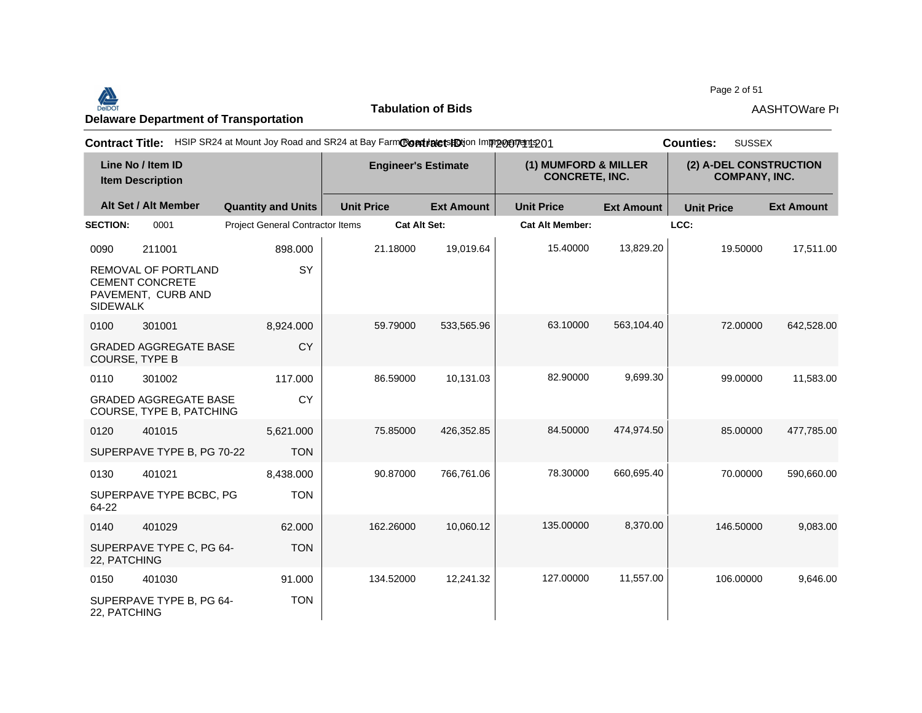#### Page 2 of 51<br>Delaware Department of Transportation **AASHTOWare Properties AASHTOWare Properties**<br>Delaware Department of Transportation

**Tabulation of Bids**

| <b>Contract Title:</b>                       |                                                                     | HSIP SR24 at Mount Joy Road and SR24 at Bay FarmContratetsHDtion Improcurent 201 |                     |                   |                                               |                   | <b>SUSSEX</b><br><b>Counties:</b>              |                   |
|----------------------------------------------|---------------------------------------------------------------------|----------------------------------------------------------------------------------|---------------------|-------------------|-----------------------------------------------|-------------------|------------------------------------------------|-------------------|
| Line No / Item ID<br><b>Item Description</b> |                                                                     | <b>Engineer's Estimate</b>                                                       |                     |                   | (1) MUMFORD & MILLER<br><b>CONCRETE, INC.</b> |                   | (2) A-DEL CONSTRUCTION<br><b>COMPANY, INC.</b> |                   |
|                                              | Alt Set / Alt Member                                                | <b>Quantity and Units</b>                                                        | <b>Unit Price</b>   | <b>Ext Amount</b> | <b>Unit Price</b>                             | <b>Ext Amount</b> | <b>Unit Price</b>                              | <b>Ext Amount</b> |
| <b>SECTION:</b>                              | 0001                                                                | <b>Project General Contractor Items</b>                                          | <b>Cat Alt Set:</b> |                   | <b>Cat Alt Member:</b>                        |                   | LCC:                                           |                   |
| 0090                                         | 211001                                                              | 898.000                                                                          | 21.18000            | 19,019.64         | 15.40000                                      | 13,829.20         | 19.50000                                       | 17,511.00         |
| <b>SIDEWALK</b>                              | REMOVAL OF PORTLAND<br><b>CEMENT CONCRETE</b><br>PAVEMENT, CURB AND | SY                                                                               |                     |                   |                                               |                   |                                                |                   |
| 0100                                         | 301001                                                              | 8,924.000                                                                        | 59.79000            | 533,565.96        | 63.10000                                      | 563,104.40        | 72.00000                                       | 642,528.00        |
| COURSE, TYPE B                               | <b>GRADED AGGREGATE BASE</b>                                        | CY                                                                               |                     |                   |                                               |                   |                                                |                   |
| 0110                                         | 301002                                                              | 117.000                                                                          | 86.59000            | 10,131.03         | 82.90000                                      | 9,699.30          | 99.00000                                       | 11,583.00         |
|                                              | <b>GRADED AGGREGATE BASE</b><br>COURSE, TYPE B, PATCHING            | <b>CY</b>                                                                        |                     |                   |                                               |                   |                                                |                   |
| 0120                                         | 401015                                                              | 5,621.000                                                                        | 75.85000            | 426,352.85        | 84.50000                                      | 474,974.50        | 85.00000                                       | 477,785.00        |
|                                              | SUPERPAVE TYPE B, PG 70-22                                          | <b>TON</b>                                                                       |                     |                   |                                               |                   |                                                |                   |
| 0130                                         | 401021                                                              | 8,438.000                                                                        | 90.87000            | 766,761.06        | 78.30000                                      | 660,695.40        | 70.00000                                       | 590,660.00        |
| 64-22                                        | SUPERPAVE TYPE BCBC, PG                                             | <b>TON</b>                                                                       |                     |                   |                                               |                   |                                                |                   |
| 0140                                         | 401029                                                              | 62.000                                                                           | 162.26000           | 10,060.12         | 135.00000                                     | 8,370.00          | 146.50000                                      | 9,083.00          |
| 22, PATCHING                                 | SUPERPAVE TYPE C, PG 64-                                            | <b>TON</b>                                                                       |                     |                   |                                               |                   |                                                |                   |
| 0150                                         | 401030                                                              | 91.000                                                                           | 134.52000           | 12,241.32         | 127.00000                                     | 11,557.00         | 106.00000                                      | 9,646.00          |
| 22, PATCHING                                 | SUPERPAVE TYPE B, PG 64-                                            | <b>TON</b>                                                                       |                     |                   |                                               |                   |                                                |                   |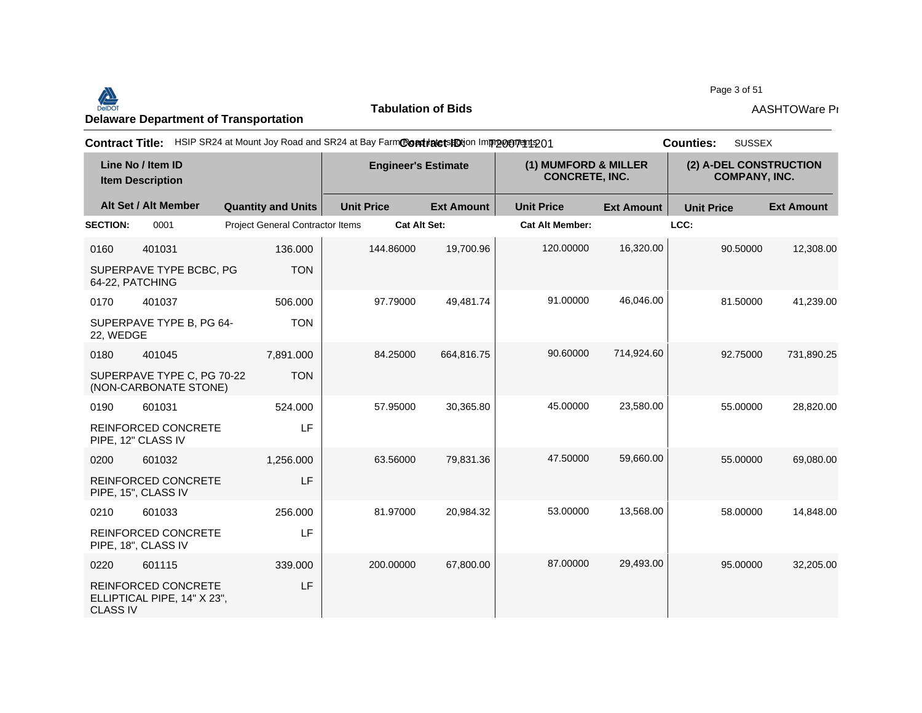#### <u>Delaware Department of Transportation</u><br>Delaware Department of Transportation **AASHTOWare Provision 4.5 Revision 4.5 Revision 1.5 Revision 4.5 Revision**<br>Delaware Department of Transportation

**Tabulation of Bids**

Page 3 of 51

| <b>Contract Title:</b>                       |                                                           | HSIP SR24 at Mount Joy Road and SR24 at Bay FarmCondinate to HO in mpp on mangement 201 |                     |                   |                                               |                   | <b>SUSSEX</b><br><b>Counties:</b>              |                   |
|----------------------------------------------|-----------------------------------------------------------|-----------------------------------------------------------------------------------------|---------------------|-------------------|-----------------------------------------------|-------------------|------------------------------------------------|-------------------|
| Line No / Item ID<br><b>Item Description</b> |                                                           | <b>Engineer's Estimate</b>                                                              |                     |                   | (1) MUMFORD & MILLER<br><b>CONCRETE, INC.</b> |                   | (2) A-DEL CONSTRUCTION<br><b>COMPANY, INC.</b> |                   |
|                                              | Alt Set / Alt Member                                      | <b>Quantity and Units</b>                                                               | <b>Unit Price</b>   | <b>Ext Amount</b> | <b>Unit Price</b>                             | <b>Ext Amount</b> | <b>Unit Price</b>                              | <b>Ext Amount</b> |
| <b>SECTION:</b>                              | 0001                                                      | Project General Contractor Items                                                        | <b>Cat Alt Set:</b> |                   | <b>Cat Alt Member:</b>                        |                   | LCC:                                           |                   |
| 0160                                         | 401031                                                    | 136.000                                                                                 | 144.86000           | 19,700.96         | 120.00000                                     | 16,320.00         | 90.50000                                       | 12,308.00         |
| 64-22, PATCHING                              | SUPERPAVE TYPE BCBC, PG                                   | <b>TON</b>                                                                              |                     |                   |                                               |                   |                                                |                   |
| 0170                                         | 401037                                                    | 506.000                                                                                 | 97.79000            | 49,481.74         | 91.00000                                      | 46.046.00         | 81.50000                                       | 41,239.00         |
| 22, WEDGE                                    | SUPERPAVE TYPE B, PG 64-                                  | <b>TON</b>                                                                              |                     |                   |                                               |                   |                                                |                   |
| 0180                                         | 401045                                                    | 7,891.000                                                                               | 84.25000            | 664,816.75        | 90.60000                                      | 714,924.60        | 92.75000                                       | 731,890.25        |
|                                              | SUPERPAVE TYPE C, PG 70-22<br>(NON-CARBONATE STONE)       | <b>TON</b>                                                                              |                     |                   |                                               |                   |                                                |                   |
| 0190                                         | 601031                                                    | 524.000                                                                                 | 57.95000            | 30,365.80         | 45.00000                                      | 23,580.00         | 55.00000                                       | 28,820.00         |
|                                              | <b>REINFORCED CONCRETE</b><br>PIPE, 12" CLASS IV          | LF                                                                                      |                     |                   |                                               |                   |                                                |                   |
| 0200                                         | 601032                                                    | 1,256.000                                                                               | 63.56000            | 79,831.36         | 47.50000                                      | 59,660.00         | 55.00000                                       | 69,080.00         |
|                                              | REINFORCED CONCRETE<br>PIPE, 15", CLASS IV                | LF                                                                                      |                     |                   |                                               |                   |                                                |                   |
| 0210                                         | 601033                                                    | 256.000                                                                                 | 81.97000            | 20,984.32         | 53.00000                                      | 13,568.00         | 58.00000                                       | 14,848.00         |
|                                              | REINFORCED CONCRETE<br>PIPE, 18", CLASS IV                | LF                                                                                      |                     |                   |                                               |                   |                                                |                   |
| 0220                                         | 601115                                                    | 339.000                                                                                 | 200.00000           | 67,800.00         | 87.00000                                      | 29,493.00         | 95.00000                                       | 32,205.00         |
| <b>CLASS IV</b>                              | <b>REINFORCED CONCRETE</b><br>ELLIPTICAL PIPE, 14" X 23", | LF                                                                                      |                     |                   |                                               |                   |                                                |                   |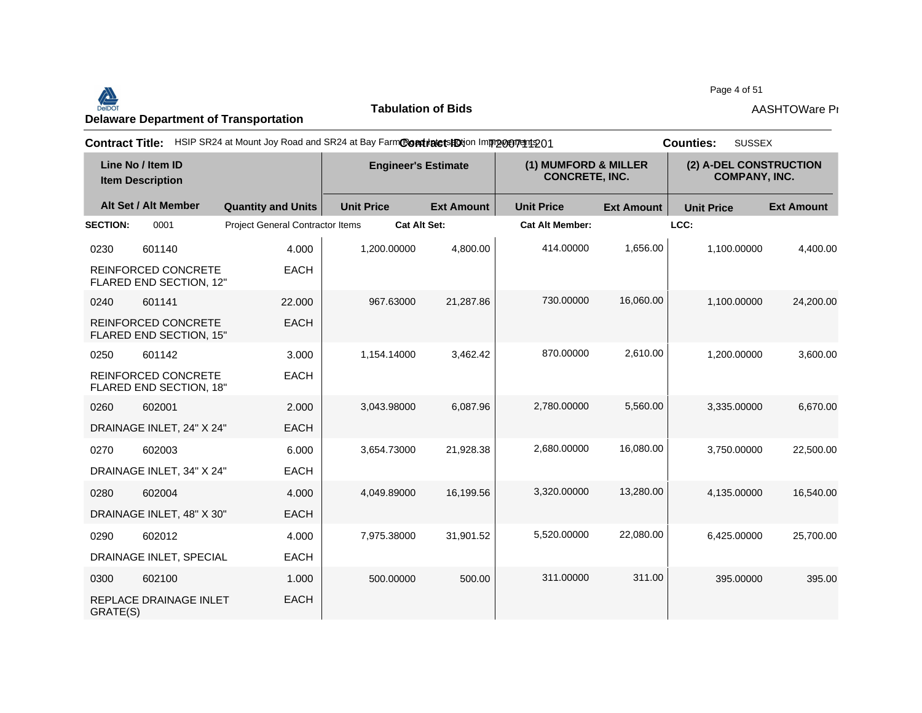#### Page 4 of 51<br>Delaware Department of Transportation **AASHTOWare Properties AASHTOWare Properties**<br>Delaware Department of Transportation

**Tabulation of Bids**

Page 4 of 51

| <b>Contract Title:</b>                       |                                                       |                                         | HSIP SR24 at Mount Joy Road and SR24 at Bay FarmContractsHOtion Improveryent 201 |                   |                                               |                   | <b>SUSSEX</b><br><b>Counties:</b>              |                   |
|----------------------------------------------|-------------------------------------------------------|-----------------------------------------|----------------------------------------------------------------------------------|-------------------|-----------------------------------------------|-------------------|------------------------------------------------|-------------------|
| Line No / Item ID<br><b>Item Description</b> |                                                       | <b>Engineer's Estimate</b>              |                                                                                  |                   | (1) MUMFORD & MILLER<br><b>CONCRETE, INC.</b> |                   | (2) A-DEL CONSTRUCTION<br><b>COMPANY, INC.</b> |                   |
|                                              | Alt Set / Alt Member                                  | <b>Quantity and Units</b>               | <b>Unit Price</b>                                                                | <b>Ext Amount</b> | <b>Unit Price</b>                             | <b>Ext Amount</b> | <b>Unit Price</b>                              | <b>Ext Amount</b> |
| <b>SECTION:</b>                              | 0001                                                  | <b>Project General Contractor Items</b> | <b>Cat Alt Set:</b>                                                              |                   | <b>Cat Alt Member:</b>                        |                   | LCC:                                           |                   |
| 0230                                         | 601140                                                | 4.000                                   | 1.200.00000                                                                      | 4.800.00          | 414.00000                                     | 1,656.00          | 1.100.00000                                    | 4,400.00          |
|                                              | <b>REINFORCED CONCRETE</b><br>FLARED END SECTION, 12" | <b>EACH</b>                             |                                                                                  |                   |                                               |                   |                                                |                   |
| 0240                                         | 601141                                                | 22,000                                  | 967.63000                                                                        | 21,287.86         | 730.00000                                     | 16,060.00         | 1,100.00000                                    | 24,200.00         |
|                                              | <b>REINFORCED CONCRETE</b><br>FLARED END SECTION, 15" | <b>EACH</b>                             |                                                                                  |                   |                                               |                   |                                                |                   |
| 0250                                         | 601142                                                | 3.000                                   | 1,154.14000                                                                      | 3,462.42          | 870.00000                                     | 2,610.00          | 1,200.00000                                    | 3,600.00          |
|                                              | <b>REINFORCED CONCRETE</b><br>FLARED END SECTION, 18" | <b>EACH</b>                             |                                                                                  |                   |                                               |                   |                                                |                   |
| 0260                                         | 602001                                                | 2.000                                   | 3,043.98000                                                                      | 6,087.96          | 2,780.00000                                   | 5,560.00          | 3,335.00000                                    | 6,670.00          |
|                                              | DRAINAGE INLET, 24" X 24"                             | <b>EACH</b>                             |                                                                                  |                   |                                               |                   |                                                |                   |
| 0270                                         | 602003                                                | 6.000                                   | 3,654.73000                                                                      | 21,928.38         | 2,680.00000                                   | 16,080.00         | 3,750.00000                                    | 22,500.00         |
|                                              | DRAINAGE INLET, 34" X 24"                             | <b>EACH</b>                             |                                                                                  |                   |                                               |                   |                                                |                   |
| 0280                                         | 602004                                                | 4.000                                   | 4,049.89000                                                                      | 16,199.56         | 3,320.00000                                   | 13,280.00         | 4,135.00000                                    | 16,540.00         |
|                                              | DRAINAGE INLET, 48" X 30"                             | <b>EACH</b>                             |                                                                                  |                   |                                               |                   |                                                |                   |
| 0290                                         | 602012                                                | 4.000                                   | 7,975.38000                                                                      | 31,901.52         | 5,520.00000                                   | 22,080.00         | 6,425.00000                                    | 25,700.00         |
|                                              | DRAINAGE INLET, SPECIAL                               | <b>EACH</b>                             |                                                                                  |                   |                                               |                   |                                                |                   |
| 0300                                         | 602100                                                | 1.000                                   | 500.00000                                                                        | 500.00            | 311.00000                                     | 311.00            | 395.00000                                      | 395.00            |
| GRATE(S)                                     | REPLACE DRAINAGE INLET                                | <b>EACH</b>                             |                                                                                  |                   |                                               |                   |                                                |                   |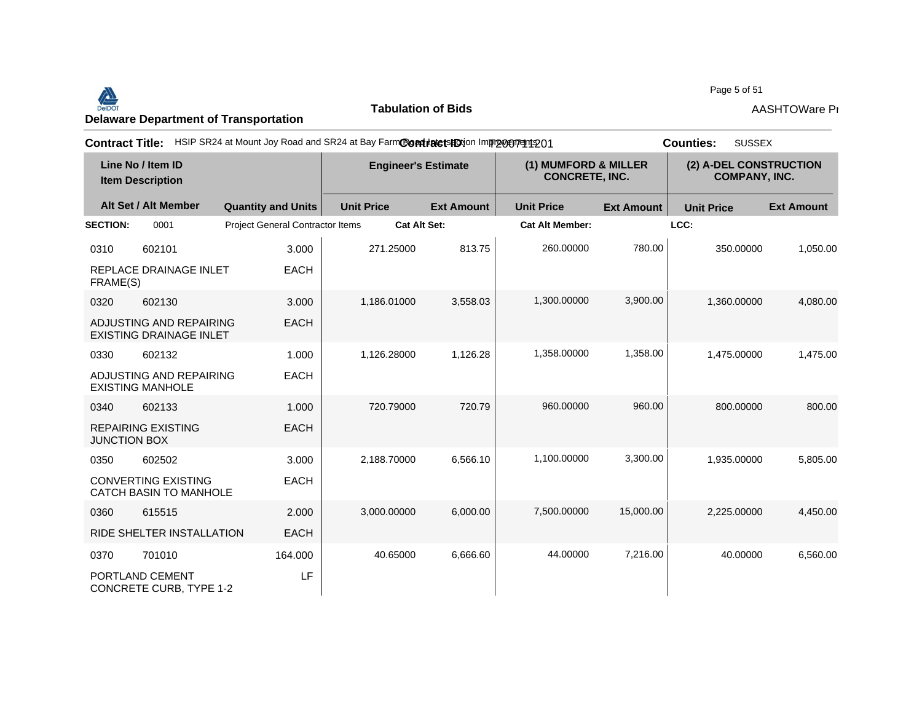#### Page 5 of 51<br>Delaware Department of Transportation **AASHTOWare Properties AASHTOWare Properties**<br>Delaware Department of Transportation

**Tabulation of Bids**

Page 5 of 51

| <b>Contract Title:</b>                       |                                                           | HSIP SR24 at Mount Joy Road and SR24 at Bay FarmContratetsHOtion Improceptedto1 |                            |                   |                                               |                   | <b>SUSSEX</b><br><b>Counties:</b>              |                   |
|----------------------------------------------|-----------------------------------------------------------|---------------------------------------------------------------------------------|----------------------------|-------------------|-----------------------------------------------|-------------------|------------------------------------------------|-------------------|
| Line No / Item ID<br><b>Item Description</b> |                                                           |                                                                                 | <b>Engineer's Estimate</b> |                   | (1) MUMFORD & MILLER<br><b>CONCRETE, INC.</b> |                   | (2) A-DEL CONSTRUCTION<br><b>COMPANY, INC.</b> |                   |
|                                              | Alt Set / Alt Member                                      | <b>Quantity and Units</b>                                                       | <b>Unit Price</b>          | <b>Ext Amount</b> | <b>Unit Price</b>                             | <b>Ext Amount</b> | <b>Unit Price</b>                              | <b>Ext Amount</b> |
| <b>SECTION:</b>                              | 0001                                                      | <b>Project General Contractor Items</b>                                         | <b>Cat Alt Set:</b>        |                   | <b>Cat Alt Member:</b>                        |                   | LCC:                                           |                   |
| 0310                                         | 602101                                                    | 3.000                                                                           | 271.25000                  | 813.75            | 260.00000                                     | 780.00            | 350.00000                                      | 1,050.00          |
| FRAME(S)                                     | REPLACE DRAINAGE INLET                                    | <b>EACH</b>                                                                     |                            |                   |                                               |                   |                                                |                   |
| 0320                                         | 602130                                                    | 3.000                                                                           | 1,186.01000                | 3,558.03          | 1,300.00000                                   | 3,900.00          | 1,360.00000                                    | 4,080.00          |
|                                              | ADJUSTING AND REPAIRING<br><b>EXISTING DRAINAGE INLET</b> | <b>EACH</b>                                                                     |                            |                   |                                               |                   |                                                |                   |
| 0330                                         | 602132                                                    | 1.000                                                                           | 1,126.28000                | 1,126.28          | 1,358.00000                                   | 1,358.00          | 1,475.00000                                    | 1,475.00          |
|                                              | ADJUSTING AND REPAIRING<br><b>EXISTING MANHOLE</b>        | <b>EACH</b>                                                                     |                            |                   |                                               |                   |                                                |                   |
| 0340                                         | 602133                                                    | 1.000                                                                           | 720.79000                  | 720.79            | 960.00000                                     | 960.00            | 800.00000                                      | 800.00            |
| <b>JUNCTION BOX</b>                          | <b>REPAIRING EXISTING</b>                                 | <b>EACH</b>                                                                     |                            |                   |                                               |                   |                                                |                   |
| 0350                                         | 602502                                                    | 3.000                                                                           | 2,188.70000                | 6,566.10          | 1,100.00000                                   | 3,300.00          | 1,935.00000                                    | 5,805.00          |
|                                              | <b>CONVERTING EXISTING</b><br>CATCH BASIN TO MANHOLE      | <b>EACH</b>                                                                     |                            |                   |                                               |                   |                                                |                   |
| 0360                                         | 615515                                                    | 2.000                                                                           | 3,000.00000                | 6.000.00          | 7.500.00000                                   | 15,000.00         | 2.225.00000                                    | 4,450.00          |
|                                              | RIDE SHELTER INSTALLATION                                 | <b>EACH</b>                                                                     |                            |                   |                                               |                   |                                                |                   |
| 0370                                         | 701010                                                    | 164.000                                                                         | 40.65000                   | 6,666.60          | 44.00000                                      | 7,216.00          | 40.00000                                       | 6,560.00          |
|                                              | PORTLAND CEMENT<br><b>CONCRETE CURB, TYPE 1-2</b>         | LF                                                                              |                            |                   |                                               |                   |                                                |                   |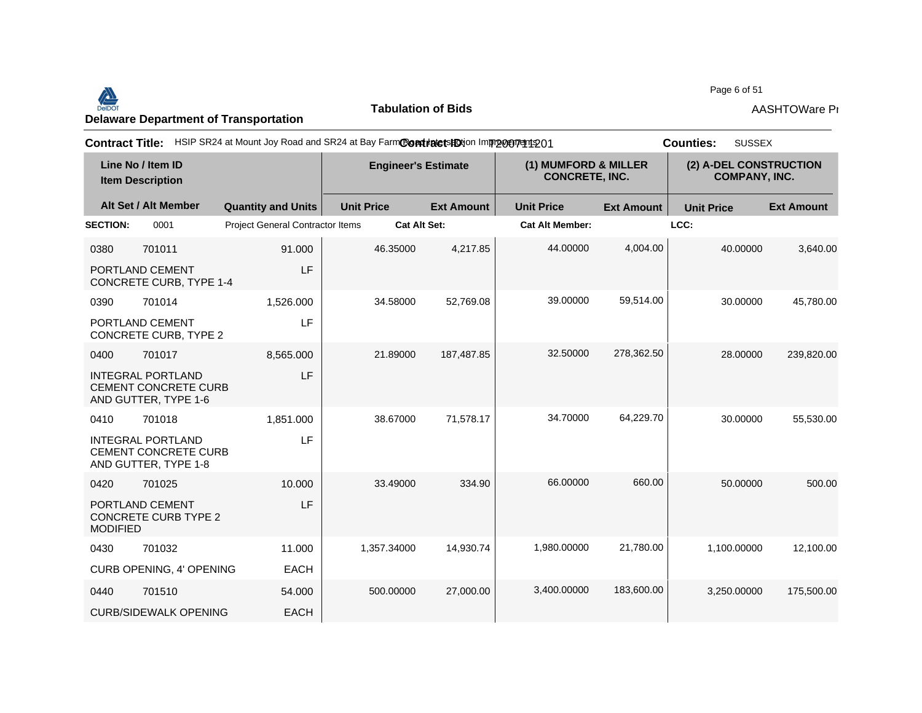#### <u>Delaware Department of Transportation</u><br>Delaware Department of Transportation **AASHTOWare Provision 4.5 Revision 4.5 Revision 1.5 Revision 4.5 Revision**<br>Delaware Department of Transportation

**Tabulation of Bids**

Page 6 of 51

| <b>Contract Title:</b>                       |                                                                                 | HSIP SR24 at Mount Joy Road and SR24 at Bay FarmContratetsHDtion Improceptedto1 |                            |                     |                                               |                   | <b>Counties:</b><br><b>SUSSEX</b>              |                   |
|----------------------------------------------|---------------------------------------------------------------------------------|---------------------------------------------------------------------------------|----------------------------|---------------------|-----------------------------------------------|-------------------|------------------------------------------------|-------------------|
| Line No / Item ID<br><b>Item Description</b> |                                                                                 |                                                                                 | <b>Engineer's Estimate</b> |                     | (1) MUMFORD & MILLER<br><b>CONCRETE, INC.</b> |                   | (2) A-DEL CONSTRUCTION<br><b>COMPANY, INC.</b> |                   |
|                                              | Alt Set / Alt Member                                                            | <b>Quantity and Units</b>                                                       | <b>Unit Price</b>          | <b>Ext Amount</b>   | <b>Unit Price</b>                             | <b>Ext Amount</b> | <b>Unit Price</b>                              | <b>Ext Amount</b> |
| <b>SECTION:</b>                              | 0001                                                                            | <b>Project General Contractor Items</b>                                         |                            | <b>Cat Alt Set:</b> | <b>Cat Alt Member:</b>                        |                   | LCC:                                           |                   |
| 0380                                         | 701011                                                                          | 91.000                                                                          | 46.35000                   | 4,217.85            | 44.00000                                      | 4,004.00          | 40.00000                                       | 3,640.00          |
|                                              | PORTLAND CEMENT<br><b>CONCRETE CURB, TYPE 1-4</b>                               | LF                                                                              |                            |                     |                                               |                   |                                                |                   |
| 0390                                         | 701014                                                                          | 1,526.000                                                                       | 34.58000                   | 52,769.08           | 39.00000                                      | 59,514.00         | 30.00000                                       | 45,780.00         |
|                                              | PORTLAND CEMENT<br>CONCRETE CURB, TYPE 2                                        | LF                                                                              |                            |                     |                                               |                   |                                                |                   |
| 0400                                         | 701017                                                                          | 8,565.000                                                                       | 21.89000                   | 187,487.85          | 32.50000                                      | 278,362.50        | 28.00000                                       | 239,820.00        |
|                                              | <b>INTEGRAL PORTLAND</b><br><b>CEMENT CONCRETE CURB</b><br>AND GUTTER, TYPE 1-6 | LF                                                                              |                            |                     |                                               |                   |                                                |                   |
| 0410                                         | 701018                                                                          | 1,851.000                                                                       | 38.67000                   | 71,578.17           | 34.70000                                      | 64,229.70         | 30.00000                                       | 55,530.00         |
|                                              | <b>INTEGRAL PORTLAND</b><br><b>CEMENT CONCRETE CURB</b><br>AND GUTTER, TYPE 1-8 | LF                                                                              |                            |                     |                                               |                   |                                                |                   |
| 0420                                         | 701025                                                                          | 10.000                                                                          | 33.49000                   | 334.90              | 66.00000                                      | 660.00            | 50.00000                                       | 500.00            |
| <b>MODIFIED</b>                              | PORTLAND CEMENT<br><b>CONCRETE CURB TYPE 2</b>                                  | LF                                                                              |                            |                     |                                               |                   |                                                |                   |
| 0430                                         | 701032                                                                          | 11.000                                                                          | 1,357.34000                | 14,930.74           | 1,980.00000                                   | 21,780.00         | 1,100.00000                                    | 12,100.00         |
|                                              | CURB OPENING, 4' OPENING                                                        | <b>EACH</b>                                                                     |                            |                     |                                               |                   |                                                |                   |
| 0440                                         | 701510                                                                          | 54.000                                                                          | 500.00000                  | 27,000.00           | 3.400.00000                                   | 183,600.00        | 3.250.00000                                    | 175,500.00        |
|                                              | <b>CURB/SIDEWALK OPENING</b>                                                    | <b>EACH</b>                                                                     |                            |                     |                                               |                   |                                                |                   |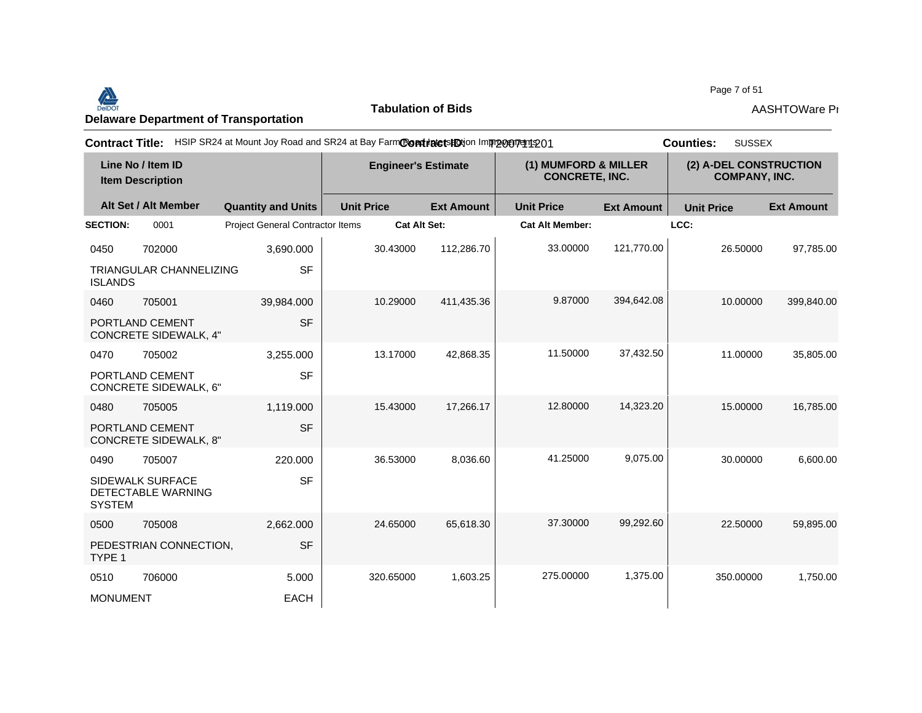

**Tabulation of Bids**

Page 7 of 51

| <b>Contract Title:</b>                       |                                                 | HSIP SR24 at Mount Joy Road and SR24 at Bay FarmContratetsHDtion Improcurent 201 |                     |                                               |                        |                                                | <b>SUSSEX</b><br><b>Counties:</b> |                   |
|----------------------------------------------|-------------------------------------------------|----------------------------------------------------------------------------------|---------------------|-----------------------------------------------|------------------------|------------------------------------------------|-----------------------------------|-------------------|
| Line No / Item ID<br><b>Item Description</b> |                                                 | <b>Engineer's Estimate</b>                                                       |                     | (1) MUMFORD & MILLER<br><b>CONCRETE, INC.</b> |                        | (2) A-DEL CONSTRUCTION<br><b>COMPANY, INC.</b> |                                   |                   |
|                                              | Alt Set / Alt Member                            | <b>Quantity and Units</b>                                                        | <b>Unit Price</b>   | <b>Ext Amount</b>                             | <b>Unit Price</b>      | <b>Ext Amount</b>                              | <b>Unit Price</b>                 | <b>Ext Amount</b> |
| <b>SECTION:</b>                              | 0001                                            | Project General Contractor Items                                                 | <b>Cat Alt Set:</b> |                                               | <b>Cat Alt Member:</b> |                                                | LCC:                              |                   |
| 0450                                         | 702000                                          | 3,690.000                                                                        | 30.43000            | 112,286.70                                    | 33.00000               | 121,770.00                                     | 26.50000                          | 97,785.00         |
| <b>ISLANDS</b>                               | <b>TRIANGULAR CHANNELIZING</b>                  | <b>SF</b>                                                                        |                     |                                               |                        |                                                |                                   |                   |
| 0460                                         | 705001                                          | 39,984.000                                                                       | 10.29000            | 411,435.36                                    | 9.87000                | 394,642.08                                     | 10.00000                          | 399,840.00        |
|                                              | PORTLAND CEMENT<br><b>CONCRETE SIDEWALK, 4"</b> | <b>SF</b>                                                                        |                     |                                               |                        |                                                |                                   |                   |
| 0470                                         | 705002                                          | 3,255.000                                                                        | 13.17000            | 42,868.35                                     | 11.50000               | 37,432.50                                      | 11.00000                          | 35,805.00         |
|                                              | PORTLAND CEMENT<br>CONCRETE SIDEWALK, 6"        | <b>SF</b>                                                                        |                     |                                               |                        |                                                |                                   |                   |
| 0480                                         | 705005                                          | 1,119.000                                                                        | 15.43000            | 17.266.17                                     | 12.80000               | 14,323.20                                      | 15.00000                          | 16,785.00         |
|                                              | PORTLAND CEMENT<br><b>CONCRETE SIDEWALK, 8"</b> | <b>SF</b>                                                                        |                     |                                               |                        |                                                |                                   |                   |
| 0490                                         | 705007                                          | 220,000                                                                          | 36.53000            | 8,036.60                                      | 41.25000               | 9,075.00                                       | 30.00000                          | 6,600.00          |
| <b>SYSTEM</b>                                | <b>SIDEWALK SURFACE</b><br>DETECTABLE WARNING   | <b>SF</b>                                                                        |                     |                                               |                        |                                                |                                   |                   |
| 0500                                         | 705008                                          | 2,662.000                                                                        | 24.65000            | 65.618.30                                     | 37.30000               | 99,292.60                                      | 22.50000                          | 59.895.00         |
| TYPE 1                                       | PEDESTRIAN CONNECTION,                          | <b>SF</b>                                                                        |                     |                                               |                        |                                                |                                   |                   |
| 0510                                         | 706000                                          | 5.000                                                                            | 320.65000           | 1,603.25                                      | 275.00000              | 1,375.00                                       | 350.00000                         | 1,750.00          |
| <b>MONUMENT</b>                              |                                                 | <b>EACH</b>                                                                      |                     |                                               |                        |                                                |                                   |                   |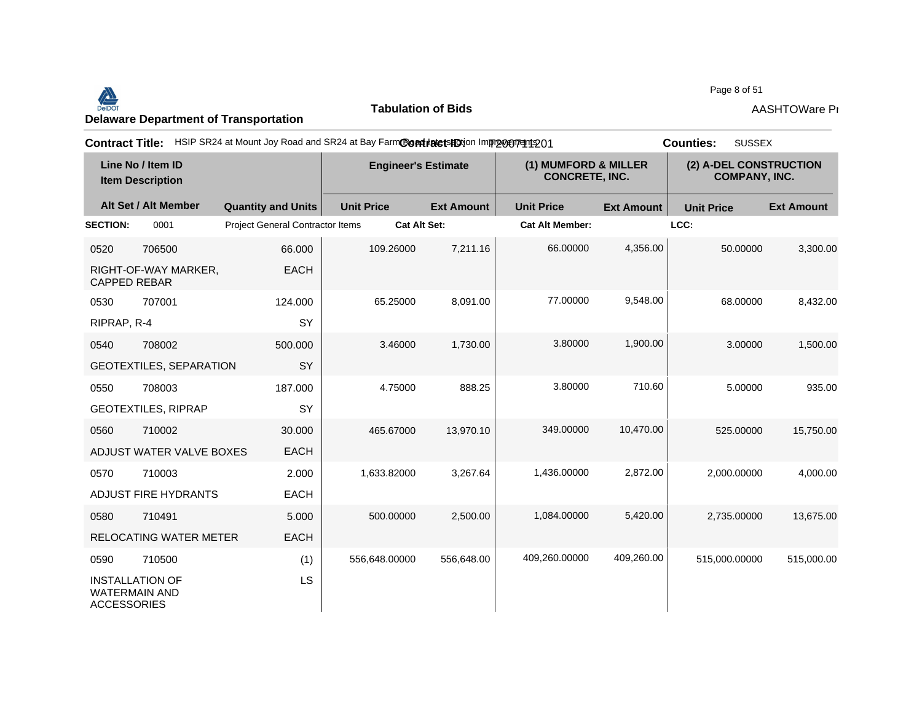#### Page 8 of 51<br>Delaware Department of Transportation **AASHTOWare Properties AASHTOWare Properties**<br>Delaware Department of Transportation

**Tabulation of Bids**

Page 8 of 51

| <b>Contract Title:</b>                                               |                                         | HSIP SR24 at Mount Joy Road and SR24 at Bay FarmContratetsHDtion Improcurent 201 |                            |                        |                                               | <b>SUSSEX</b><br><b>Counties:</b> |                                                |  |
|----------------------------------------------------------------------|-----------------------------------------|----------------------------------------------------------------------------------|----------------------------|------------------------|-----------------------------------------------|-----------------------------------|------------------------------------------------|--|
| Line No / Item ID<br><b>Item Description</b>                         |                                         |                                                                                  | <b>Engineer's Estimate</b> |                        | (1) MUMFORD & MILLER<br><b>CONCRETE, INC.</b> |                                   | (2) A-DEL CONSTRUCTION<br><b>COMPANY, INC.</b> |  |
| Alt Set / Alt Member                                                 | <b>Quantity and Units</b>               | <b>Unit Price</b>                                                                | <b>Ext Amount</b>          | <b>Unit Price</b>      | <b>Ext Amount</b>                             | <b>Unit Price</b>                 | <b>Ext Amount</b>                              |  |
| <b>SECTION:</b><br>0001                                              | <b>Project General Contractor Items</b> | <b>Cat Alt Set:</b>                                                              |                            | <b>Cat Alt Member:</b> |                                               | LCC:                              |                                                |  |
| 0520<br>706500                                                       | 66.000                                  | 109.26000                                                                        | 7,211.16                   | 66.00000               | 4,356.00                                      | 50.00000                          | 3,300.00                                       |  |
| RIGHT-OF-WAY MARKER,<br><b>CAPPED REBAR</b>                          | <b>EACH</b>                             |                                                                                  |                            |                        |                                               |                                   |                                                |  |
| 0530<br>707001                                                       | 124.000                                 | 65.25000                                                                         | 8,091.00                   | 77.00000               | 9,548.00                                      | 68.00000                          | 8,432.00                                       |  |
| RIPRAP, R-4                                                          | SY                                      |                                                                                  |                            |                        |                                               |                                   |                                                |  |
| 708002<br>0540                                                       | 500,000                                 | 3.46000                                                                          | 1,730.00                   | 3.80000                | 1,900.00                                      | 3.00000                           | 1,500.00                                       |  |
| GEOTEXTILES, SEPARATION                                              | SY                                      |                                                                                  |                            |                        |                                               |                                   |                                                |  |
| 708003<br>0550                                                       | 187.000                                 | 4.75000                                                                          | 888.25                     | 3.80000                | 710.60                                        | 5.00000                           | 935.00                                         |  |
| <b>GEOTEXTILES, RIPRAP</b>                                           | SY                                      |                                                                                  |                            |                        |                                               |                                   |                                                |  |
| 710002<br>0560                                                       | 30.000                                  | 465.67000                                                                        | 13,970.10                  | 349.00000              | 10,470.00                                     | 525.00000                         | 15,750.00                                      |  |
| ADJUST WATER VALVE BOXES                                             | <b>EACH</b>                             |                                                                                  |                            |                        |                                               |                                   |                                                |  |
| 710003<br>0570                                                       | 2.000                                   | 1,633.82000                                                                      | 3,267.64                   | 1,436.00000            | 2,872.00                                      | 2,000.00000                       | 4,000.00                                       |  |
| ADJUST FIRE HYDRANTS                                                 | <b>EACH</b>                             |                                                                                  |                            |                        |                                               |                                   |                                                |  |
| 710491<br>0580                                                       | 5.000                                   | 500.00000                                                                        | 2,500.00                   | 1,084.00000            | 5,420.00                                      | 2,735.00000                       | 13,675.00                                      |  |
| RELOCATING WATER METER                                               | <b>EACH</b>                             |                                                                                  |                            |                        |                                               |                                   |                                                |  |
| 710500<br>0590                                                       | (1)                                     | 556,648.00000                                                                    | 556,648.00                 | 409,260.00000          | 409,260.00                                    | 515,000.00000                     | 515,000.00                                     |  |
| <b>INSTALLATION OF</b><br><b>WATERMAIN AND</b><br><b>ACCESSORIES</b> | <b>LS</b>                               |                                                                                  |                            |                        |                                               |                                   |                                                |  |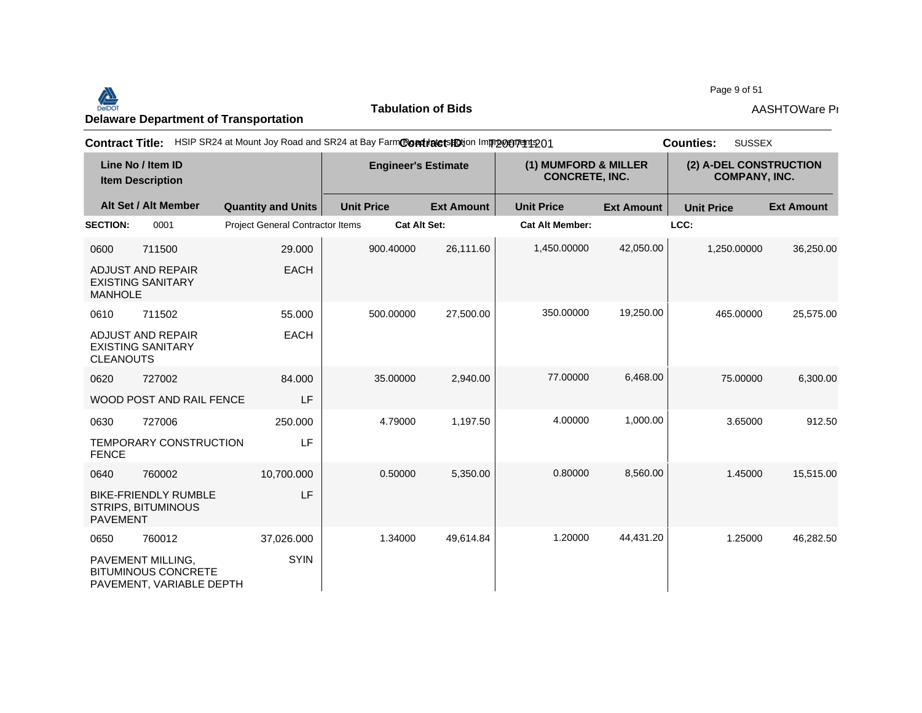

**Tabulation of Bids**

Page 9 of 51

| <b>Contract Title:</b>                       |                                                                             | HSIP SR24 at Mount Joy Road and SR24 at Bay FarmContratets potion Improgery 1201 |                   |                     |                                               | <b>SUSSEX</b><br><b>Counties:</b> |                                                |                   |
|----------------------------------------------|-----------------------------------------------------------------------------|----------------------------------------------------------------------------------|-------------------|---------------------|-----------------------------------------------|-----------------------------------|------------------------------------------------|-------------------|
| Line No / Item ID<br><b>Item Description</b> |                                                                             | <b>Engineer's Estimate</b>                                                       |                   |                     | (1) MUMFORD & MILLER<br><b>CONCRETE, INC.</b> |                                   | (2) A-DEL CONSTRUCTION<br><b>COMPANY, INC.</b> |                   |
|                                              | Alt Set / Alt Member                                                        | <b>Quantity and Units</b>                                                        | <b>Unit Price</b> | <b>Ext Amount</b>   | <b>Unit Price</b>                             | <b>Ext Amount</b>                 | <b>Unit Price</b>                              | <b>Ext Amount</b> |
| <b>SECTION:</b>                              | 0001                                                                        | <b>Project General Contractor Items</b>                                          |                   | <b>Cat Alt Set:</b> | <b>Cat Alt Member:</b>                        |                                   | LCC:                                           |                   |
| 0600                                         | 711500                                                                      | 29.000                                                                           | 900.40000         | 26,111.60           | 1,450.00000                                   | 42,050.00                         | 1,250.00000                                    | 36,250.00         |
| <b>MANHOLE</b>                               | <b>ADJUST AND REPAIR</b><br><b>EXISTING SANITARY</b>                        | <b>EACH</b>                                                                      |                   |                     |                                               |                                   |                                                |                   |
| 0610                                         | 711502                                                                      | 55.000                                                                           | 500.00000         | 27,500.00           | 350.00000                                     | 19,250.00                         | 465.00000                                      | 25,575.00         |
| <b>CLEANOUTS</b>                             | <b>ADJUST AND REPAIR</b><br><b>EXISTING SANITARY</b>                        | <b>EACH</b>                                                                      |                   |                     |                                               |                                   |                                                |                   |
| 0620                                         | 727002                                                                      | 84.000                                                                           | 35.00000          | 2,940.00            | 77.00000                                      | 6,468.00                          | 75.00000                                       | 6,300.00          |
|                                              | WOOD POST AND RAIL FENCE                                                    | LF                                                                               |                   |                     |                                               |                                   |                                                |                   |
| 0630                                         | 727006                                                                      | 250,000                                                                          | 4.79000           | 1,197.50            | 4.00000                                       | 1,000.00                          | 3.65000                                        | 912.50            |
| <b>FENCE</b>                                 | TEMPORARY CONSTRUCTION                                                      | LF                                                                               |                   |                     |                                               |                                   |                                                |                   |
| 0640                                         | 760002                                                                      | 10,700.000                                                                       | 0.50000           | 5,350.00            | 0.80000                                       | 8,560.00                          | 1.45000                                        | 15,515.00         |
| <b>PAVEMENT</b>                              | <b>BIKE-FRIENDLY RUMBLE</b><br><b>STRIPS, BITUMINOUS</b>                    | LF                                                                               |                   |                     |                                               |                                   |                                                |                   |
| 0650                                         | 760012                                                                      | 37,026.000                                                                       | 1.34000           | 49,614.84           | 1.20000                                       | 44,431.20                         | 1.25000                                        | 46,282.50         |
|                                              | PAVEMENT MILLING,<br><b>BITUMINOUS CONCRETE</b><br>PAVEMENT, VARIABLE DEPTH | <b>SYIN</b>                                                                      |                   |                     |                                               |                                   |                                                |                   |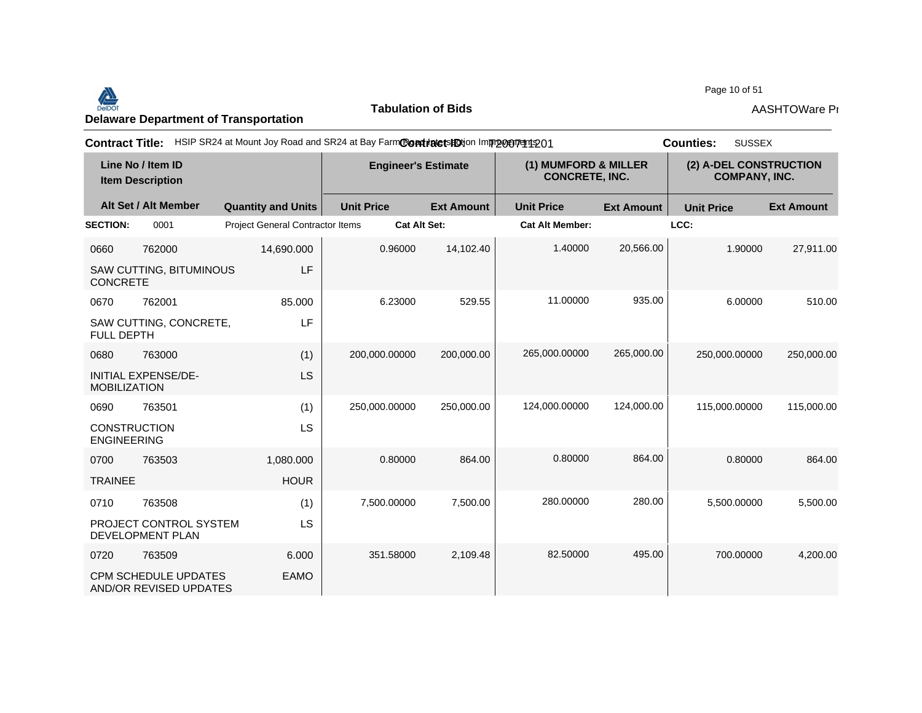### Page 10 of 51<br>Delaware Department of Transportation **AASHTOWare Properties AASHTOWare Properties**<br>Delaware Department of Transportation

**Tabulation of Bids**

| <b>Contract Title:</b>                       |                                                       |                                         | HSIP SR24 at Mount Joy Road and SR24 at Bay FarmContrate tshotion Improvement 201 |                   |                        |                                               | <b>SUSSEX</b><br><b>Counties:</b> |                                                |  |
|----------------------------------------------|-------------------------------------------------------|-----------------------------------------|-----------------------------------------------------------------------------------|-------------------|------------------------|-----------------------------------------------|-----------------------------------|------------------------------------------------|--|
| Line No / Item ID<br><b>Item Description</b> |                                                       |                                         | <b>Engineer's Estimate</b>                                                        |                   |                        | (1) MUMFORD & MILLER<br><b>CONCRETE, INC.</b> |                                   | (2) A-DEL CONSTRUCTION<br><b>COMPANY, INC.</b> |  |
|                                              | Alt Set / Alt Member                                  | <b>Quantity and Units</b>               | <b>Unit Price</b>                                                                 | <b>Ext Amount</b> | <b>Unit Price</b>      | <b>Ext Amount</b>                             | <b>Unit Price</b>                 | <b>Ext Amount</b>                              |  |
| <b>SECTION:</b>                              | 0001                                                  | <b>Project General Contractor Items</b> | <b>Cat Alt Set:</b>                                                               |                   | <b>Cat Alt Member:</b> |                                               | LCC:                              |                                                |  |
| 0660                                         | 762000                                                | 14,690.000                              | 0.96000                                                                           | 14,102.40         | 1.40000                | 20,566.00                                     | 1.90000                           | 27,911.00                                      |  |
| <b>CONCRETE</b>                              | SAW CUTTING, BITUMINOUS                               | LF                                      |                                                                                   |                   |                        |                                               |                                   |                                                |  |
| 0670                                         | 762001                                                | 85.000                                  | 6.23000                                                                           | 529.55            | 11.00000               | 935.00                                        | 6.00000                           | 510.00                                         |  |
| <b>FULL DEPTH</b>                            | SAW CUTTING, CONCRETE,                                | <b>LF</b>                               |                                                                                   |                   |                        |                                               |                                   |                                                |  |
| 0680                                         | 763000                                                | (1)                                     | 200,000.00000                                                                     | 200,000.00        | 265,000.00000          | 265,000.00                                    | 250,000.00000                     | 250,000.00                                     |  |
| <b>MOBILIZATION</b>                          | <b>INITIAL EXPENSE/DE-</b>                            | <b>LS</b>                               |                                                                                   |                   |                        |                                               |                                   |                                                |  |
| 0690                                         | 763501                                                | (1)                                     | 250,000.00000                                                                     | 250,000.00        | 124,000.00000          | 124,000.00                                    | 115,000.00000                     | 115,000.00                                     |  |
| <b>CONSTRUCTION</b><br><b>ENGINEERING</b>    |                                                       | LS                                      |                                                                                   |                   |                        |                                               |                                   |                                                |  |
| 0700                                         | 763503                                                | 1,080.000                               | 0.80000                                                                           | 864.00            | 0.80000                | 864.00                                        | 0.80000                           | 864.00                                         |  |
| <b>TRAINEE</b>                               |                                                       | <b>HOUR</b>                             |                                                                                   |                   |                        |                                               |                                   |                                                |  |
| 0710                                         | 763508                                                | (1)                                     | 7,500.00000                                                                       | 7,500.00          | 280.00000              | 280.00                                        | 5,500.00000                       | 5,500.00                                       |  |
|                                              | PROJECT CONTROL SYSTEM<br>DEVELOPMENT PLAN            | LS                                      |                                                                                   |                   |                        |                                               |                                   |                                                |  |
| 0720                                         | 763509                                                | 6.000                                   | 351.58000                                                                         | 2,109.48          | 82.50000               | 495.00                                        | 700.00000                         | 4,200.00                                       |  |
|                                              | <b>CPM SCHEDULE UPDATES</b><br>AND/OR REVISED UPDATES | <b>EAMO</b>                             |                                                                                   |                   |                        |                                               |                                   |                                                |  |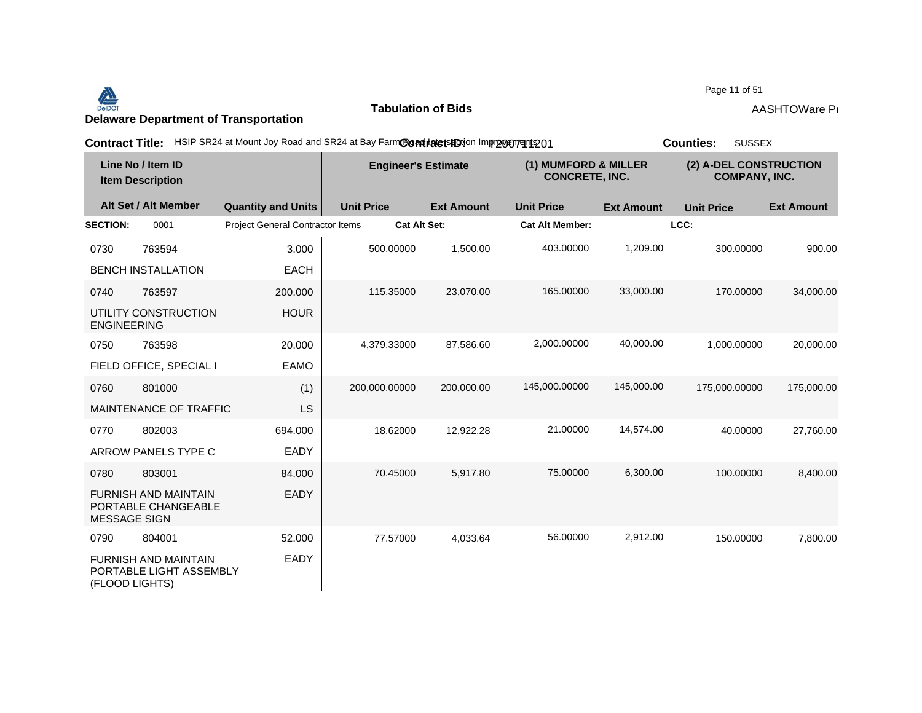#### Page 11 of 51<br>Delaware Department of Transportation **AASHTOWare Properties AASHTOWare Properties**<br>Delaware Department of Transportation

**Tabulation of Bids**

Page 11 of 51

| <b>Contract Title:</b>                       |                                                        |                                  | HSIP SR24 at Mount Joy Road and SR24 at Bay FarmCondinate to HO in mp portrait 201 |                   |                                               |                   | <b>SUSSEX</b><br><b>Counties:</b>              |                   |
|----------------------------------------------|--------------------------------------------------------|----------------------------------|------------------------------------------------------------------------------------|-------------------|-----------------------------------------------|-------------------|------------------------------------------------|-------------------|
| Line No / Item ID<br><b>Item Description</b> |                                                        |                                  | <b>Engineer's Estimate</b>                                                         |                   | (1) MUMFORD & MILLER<br><b>CONCRETE, INC.</b> |                   | (2) A-DEL CONSTRUCTION<br><b>COMPANY, INC.</b> |                   |
|                                              | Alt Set / Alt Member                                   | <b>Quantity and Units</b>        | <b>Unit Price</b>                                                                  | <b>Ext Amount</b> | <b>Unit Price</b>                             | <b>Ext Amount</b> | <b>Unit Price</b>                              | <b>Ext Amount</b> |
| <b>SECTION:</b>                              | 0001                                                   | Project General Contractor Items | <b>Cat Alt Set:</b>                                                                |                   | <b>Cat Alt Member:</b>                        |                   | LCC:                                           |                   |
| 0730                                         | 763594                                                 | 3.000                            | 500.00000                                                                          | 1,500.00          | 403.00000                                     | 1,209.00          | 300.00000                                      | 900.00            |
|                                              | <b>BENCH INSTALLATION</b>                              | <b>EACH</b>                      |                                                                                    |                   |                                               |                   |                                                |                   |
| 0740                                         | 763597                                                 | 200,000                          | 115.35000                                                                          | 23,070.00         | 165.00000                                     | 33,000.00         | 170.00000                                      | 34,000.00         |
| <b>ENGINEERING</b>                           | UTILITY CONSTRUCTION                                   | <b>HOUR</b>                      |                                                                                    |                   |                                               |                   |                                                |                   |
| 0750                                         | 763598                                                 | 20,000                           | 4,379.33000                                                                        | 87,586.60         | 2,000.00000                                   | 40,000.00         | 1,000.00000                                    | 20,000.00         |
|                                              | FIELD OFFICE, SPECIAL I                                | <b>EAMO</b>                      |                                                                                    |                   |                                               |                   |                                                |                   |
| 0760                                         | 801000                                                 | (1)                              | 200,000.00000                                                                      | 200,000.00        | 145,000.00000                                 | 145,000.00        | 175,000.00000                                  | 175,000.00        |
|                                              | MAINTENANCE OF TRAFFIC                                 | LS                               |                                                                                    |                   |                                               |                   |                                                |                   |
| 0770                                         | 802003                                                 | 694.000                          | 18.62000                                                                           | 12,922.28         | 21.00000                                      | 14,574.00         | 40.00000                                       | 27,760.00         |
|                                              | ARROW PANELS TYPE C                                    | EADY                             |                                                                                    |                   |                                               |                   |                                                |                   |
| 0780                                         | 803001                                                 | 84.000                           | 70.45000                                                                           | 5,917.80          | 75.00000                                      | 6,300.00          | 100.00000                                      | 8,400.00          |
| <b>MESSAGE SIGN</b>                          | <b>FURNISH AND MAINTAIN</b><br>PORTABLE CHANGEABLE     | <b>EADY</b>                      |                                                                                    |                   |                                               |                   |                                                |                   |
| 0790                                         | 804001                                                 | 52.000                           | 77.57000                                                                           | 4,033.64          | 56.00000                                      | 2,912.00          | 150.00000                                      | 7,800.00          |
| (FLOOD LIGHTS)                               | <b>FURNISH AND MAINTAIN</b><br>PORTABLE LIGHT ASSEMBLY | EADY                             |                                                                                    |                   |                                               |                   |                                                |                   |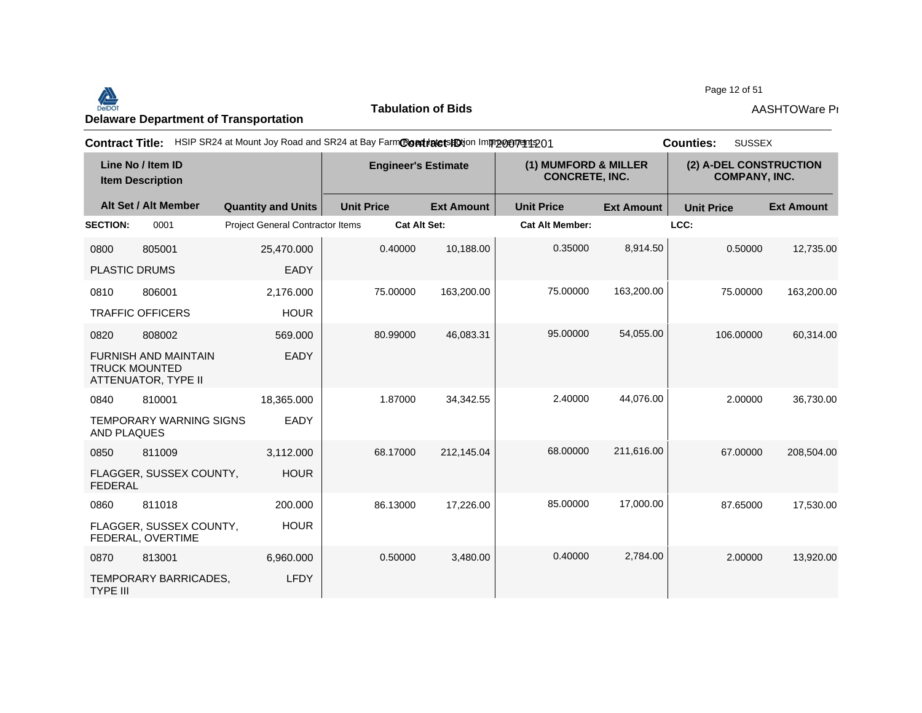#### Page 12 of 51<br>Delaware Department of Transportation **AASHTOWare Properties AASHTOWare Properties**<br>Delaware Department of Transportation

**Tabulation of Bids**

Page 12 of 51

| <b>Contract Title:</b>                       |                                                                            |                                         | HSIP SR24 at Mount Joy Road and SR24 at Bay FarmContratetsHDtion Improcurent 201 |                   |                                               |                   | <b>SUSSEX</b><br><b>Counties:</b>              |                   |  |
|----------------------------------------------|----------------------------------------------------------------------------|-----------------------------------------|----------------------------------------------------------------------------------|-------------------|-----------------------------------------------|-------------------|------------------------------------------------|-------------------|--|
| Line No / Item ID<br><b>Item Description</b> |                                                                            | <b>Engineer's Estimate</b>              |                                                                                  |                   | (1) MUMFORD & MILLER<br><b>CONCRETE, INC.</b> |                   | (2) A-DEL CONSTRUCTION<br><b>COMPANY, INC.</b> |                   |  |
|                                              | Alt Set / Alt Member                                                       | <b>Quantity and Units</b>               | <b>Unit Price</b>                                                                | <b>Ext Amount</b> | <b>Unit Price</b>                             | <b>Ext Amount</b> | <b>Unit Price</b>                              | <b>Ext Amount</b> |  |
| <b>SECTION:</b>                              | 0001                                                                       | <b>Project General Contractor Items</b> | <b>Cat Alt Set:</b>                                                              |                   | <b>Cat Alt Member:</b>                        |                   | LCC:                                           |                   |  |
| 0800                                         | 805001                                                                     | 25,470.000                              | 0.40000                                                                          | 10,188.00         | 0.35000                                       | 8,914.50          | 0.50000                                        | 12,735.00         |  |
|                                              | <b>PLASTIC DRUMS</b>                                                       | EADY                                    |                                                                                  |                   |                                               |                   |                                                |                   |  |
| 0810                                         | 806001                                                                     | 2,176.000                               | 75.00000                                                                         | 163,200.00        | 75.00000                                      | 163,200.00        | 75.00000                                       | 163,200.00        |  |
|                                              | <b>TRAFFIC OFFICERS</b>                                                    | <b>HOUR</b>                             |                                                                                  |                   |                                               |                   |                                                |                   |  |
| 0820                                         | 808002                                                                     | 569.000                                 | 80.99000                                                                         | 46,083.31         | 95.00000                                      | 54,055.00         | 106.00000                                      | 60,314.00         |  |
|                                              | <b>FURNISH AND MAINTAIN</b><br><b>TRUCK MOUNTED</b><br>ATTENUATOR, TYPE II | EADY                                    |                                                                                  |                   |                                               |                   |                                                |                   |  |
| 0840                                         | 810001                                                                     | 18,365.000                              | 1.87000                                                                          | 34,342.55         | 2.40000                                       | 44,076.00         | 2.00000                                        | 36,730.00         |  |
| <b>AND PLAQUES</b>                           | TEMPORARY WARNING SIGNS                                                    | EADY                                    |                                                                                  |                   |                                               |                   |                                                |                   |  |
| 0850                                         | 811009                                                                     | 3,112.000                               | 68.17000                                                                         | 212,145.04        | 68.00000                                      | 211,616.00        | 67.00000                                       | 208,504.00        |  |
| <b>FEDERAL</b>                               | FLAGGER, SUSSEX COUNTY,                                                    | <b>HOUR</b>                             |                                                                                  |                   |                                               |                   |                                                |                   |  |
| 0860                                         | 811018                                                                     | 200.000                                 | 86.13000                                                                         | 17,226.00         | 85.00000                                      | 17,000.00         | 87.65000                                       | 17,530.00         |  |
|                                              | FLAGGER, SUSSEX COUNTY,<br>FEDERAL, OVERTIME                               | <b>HOUR</b>                             |                                                                                  |                   |                                               |                   |                                                |                   |  |
| 0870                                         | 813001                                                                     | 6,960.000                               | 0.50000                                                                          | 3,480.00          | 0.40000                                       | 2,784.00          | 2.00000                                        | 13,920.00         |  |
| <b>TYPE III</b>                              | TEMPORARY BARRICADES,                                                      | <b>LFDY</b>                             |                                                                                  |                   |                                               |                   |                                                |                   |  |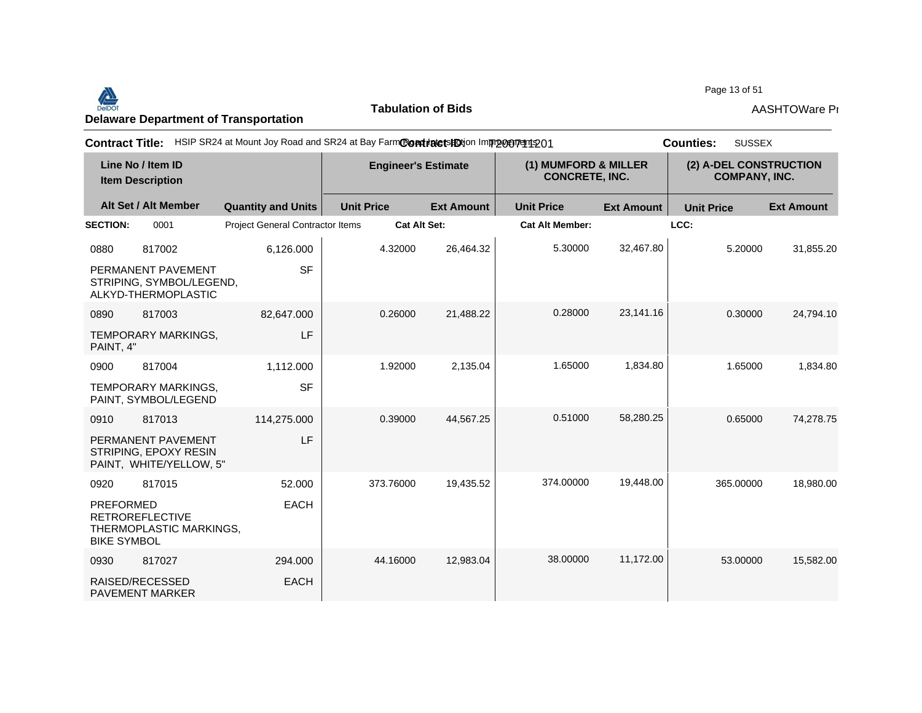#### Page 13 of 51<br>Delaware Department of Transportation **AASHTOWare Properties AASHTOWare Properties**<br>Delaware Department of Transportation

**Tabulation of Bids**

Page 13 of 51

| <b>Contract Title:</b>                                                                      |                                         | HSIP SR24 at Mount Joy Road and SR24 at Bay FarmCondinate to HO in mpp on mangement 201 |                   |                                               |                   | <b>SUSSEX</b><br><b>Counties:</b>              |                   |
|---------------------------------------------------------------------------------------------|-----------------------------------------|-----------------------------------------------------------------------------------------|-------------------|-----------------------------------------------|-------------------|------------------------------------------------|-------------------|
| Line No / Item ID<br><b>Item Description</b>                                                |                                         | <b>Engineer's Estimate</b>                                                              |                   | (1) MUMFORD & MILLER<br><b>CONCRETE, INC.</b> |                   | (2) A-DEL CONSTRUCTION<br><b>COMPANY, INC.</b> |                   |
| Alt Set / Alt Member                                                                        | <b>Quantity and Units</b>               | <b>Unit Price</b>                                                                       | <b>Ext Amount</b> | <b>Unit Price</b>                             | <b>Ext Amount</b> | <b>Unit Price</b>                              | <b>Ext Amount</b> |
| <b>SECTION:</b><br>0001                                                                     | <b>Project General Contractor Items</b> | <b>Cat Alt Set:</b>                                                                     |                   | <b>Cat Alt Member:</b>                        |                   | LCC:                                           |                   |
| 0880<br>817002                                                                              | 6,126.000                               | 4.32000                                                                                 | 26,464.32         | 5.30000                                       | 32,467.80         | 5.20000                                        | 31,855.20         |
| PERMANENT PAVEMENT<br>STRIPING, SYMBOL/LEGEND,<br>ALKYD-THERMOPLASTIC                       | <b>SF</b>                               |                                                                                         |                   |                                               |                   |                                                |                   |
| 817003<br>0890                                                                              | 82,647.000                              | 0.26000                                                                                 | 21,488.22         | 0.28000                                       | 23,141.16         | 0.30000                                        | 24,794.10         |
| TEMPORARY MARKINGS,<br>PAINT, 4"                                                            | LF                                      |                                                                                         |                   |                                               |                   |                                                |                   |
| 817004<br>0900                                                                              | 1,112.000                               | 1.92000                                                                                 | 2,135.04          | 1.65000                                       | 1,834.80          | 1.65000                                        | 1,834.80          |
| TEMPORARY MARKINGS,<br>PAINT, SYMBOL/LEGEND                                                 | <b>SF</b>                               |                                                                                         |                   |                                               |                   |                                                |                   |
| 817013<br>0910                                                                              | 114,275.000                             | 0.39000                                                                                 | 44,567.25         | 0.51000                                       | 58,280.25         | 0.65000                                        | 74,278.75         |
| PERMANENT PAVEMENT<br>STRIPING, EPOXY RESIN<br>PAINT, WHITE/YELLOW, 5"                      | LF                                      |                                                                                         |                   |                                               |                   |                                                |                   |
| 817015<br>0920                                                                              | 52.000                                  | 373.76000                                                                               | 19,435.52         | 374.00000                                     | 19,448.00         | 365.00000                                      | 18,980.00         |
| <b>PREFORMED</b><br><b>RETROREFLECTIVE</b><br>THERMOPLASTIC MARKINGS,<br><b>BIKE SYMBOL</b> | <b>EACH</b>                             |                                                                                         |                   |                                               |                   |                                                |                   |
| 817027<br>0930                                                                              | 294.000                                 | 44.16000                                                                                | 12,983.04         | 38.00000                                      | 11,172.00         | 53.00000                                       | 15,582.00         |
| RAISED/RECESSED<br><b>PAVEMENT MARKER</b>                                                   | <b>EACH</b>                             |                                                                                         |                   |                                               |                   |                                                |                   |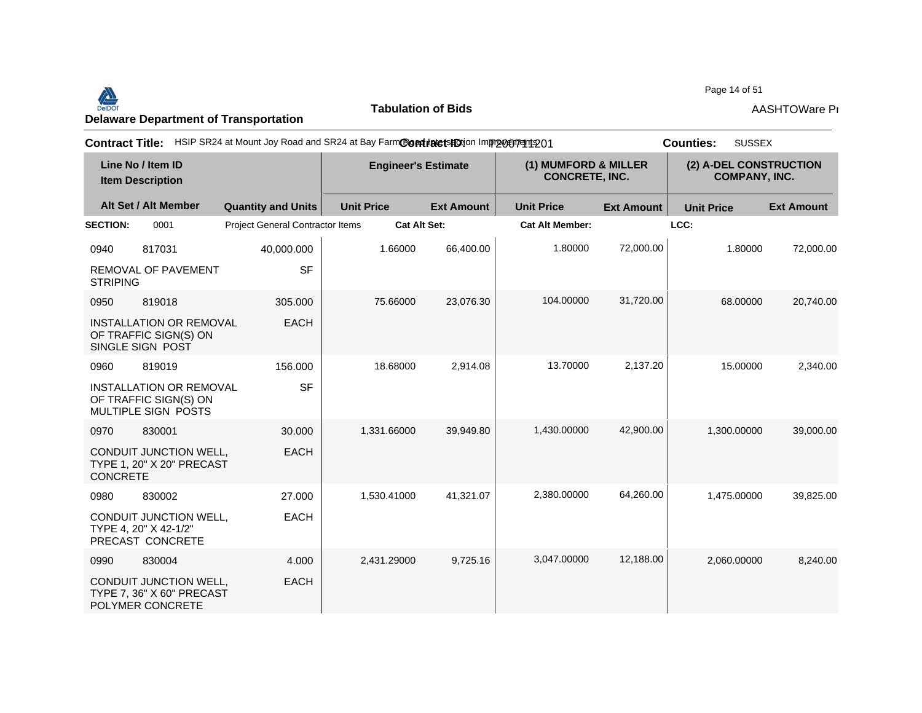#### Page 14 of 51<br>Delaware Department of Transportation **AASHTOWare Project AASHTOWare Properties**<br>Delaware Department of Transportation

**Tabulation of Bids**

Page 14 of 51

| <b>Contract Title:</b>                       |                                                                                |                                  | HSIP SR24 at Mount Joy Road and SR24 at Bay FarmContratetsHDtion Improcurent 201 |                   |                                               |                   | <b>SUSSEX</b><br><b>Counties:</b>              |                   |
|----------------------------------------------|--------------------------------------------------------------------------------|----------------------------------|----------------------------------------------------------------------------------|-------------------|-----------------------------------------------|-------------------|------------------------------------------------|-------------------|
| Line No / Item ID<br><b>Item Description</b> |                                                                                |                                  | <b>Engineer's Estimate</b>                                                       |                   | (1) MUMFORD & MILLER<br><b>CONCRETE, INC.</b> |                   | (2) A-DEL CONSTRUCTION<br><b>COMPANY, INC.</b> |                   |
|                                              | Alt Set / Alt Member                                                           | <b>Quantity and Units</b>        | <b>Unit Price</b>                                                                | <b>Ext Amount</b> | <b>Unit Price</b>                             | <b>Ext Amount</b> | <b>Unit Price</b>                              | <b>Ext Amount</b> |
| <b>SECTION:</b>                              | 0001                                                                           | Project General Contractor Items | <b>Cat Alt Set:</b>                                                              |                   | <b>Cat Alt Member:</b>                        |                   | LCC:                                           |                   |
| 0940                                         | 817031                                                                         | 40,000.000                       | 1.66000                                                                          | 66,400.00         | 1.80000                                       | 72,000.00         | 1.80000                                        | 72,000.00         |
| <b>STRIPING</b>                              | <b>REMOVAL OF PAVEMENT</b>                                                     | <b>SF</b>                        |                                                                                  |                   |                                               |                   |                                                |                   |
| 0950                                         | 819018                                                                         | 305,000                          | 75.66000                                                                         | 23,076.30         | 104.00000                                     | 31,720.00         | 68.00000                                       | 20,740.00         |
|                                              | <b>INSTALLATION OR REMOVAL</b><br>OF TRAFFIC SIGN(S) ON<br>SINGLE SIGN POST    | <b>EACH</b>                      |                                                                                  |                   |                                               |                   |                                                |                   |
| 0960                                         | 819019                                                                         | 156.000                          | 18.68000                                                                         | 2,914.08          | 13.70000                                      | 2,137.20          | 15.00000                                       | 2,340.00          |
|                                              | <b>INSTALLATION OR REMOVAL</b><br>OF TRAFFIC SIGN(S) ON<br>MULTIPLE SIGN POSTS | <b>SF</b>                        |                                                                                  |                   |                                               |                   |                                                |                   |
| 0970                                         | 830001                                                                         | 30,000                           | 1.331.66000                                                                      | 39.949.80         | 1,430.00000                                   | 42,900.00         | 1,300.00000                                    | 39,000.00         |
| <b>CONCRETE</b>                              | CONDUIT JUNCTION WELL,<br><b>TYPE 1, 20" X 20" PRECAST</b>                     | <b>EACH</b>                      |                                                                                  |                   |                                               |                   |                                                |                   |
| 0980                                         | 830002                                                                         | 27,000                           | 1,530.41000                                                                      | 41,321.07         | 2,380.00000                                   | 64,260.00         | 1,475.00000                                    | 39,825.00         |
|                                              | CONDUIT JUNCTION WELL,<br>TYPE 4, 20" X 42-1/2"<br>PRECAST CONCRETE            | <b>EACH</b>                      |                                                                                  |                   |                                               |                   |                                                |                   |
| 0990                                         | 830004                                                                         | 4.000                            | 2,431.29000                                                                      | 9,725.16          | 3,047.00000                                   | 12,188.00         | 2,060.00000                                    | 8,240.00          |
|                                              | CONDUIT JUNCTION WELL,<br>TYPE 7, 36" X 60" PRECAST<br>POLYMER CONCRETE        | <b>EACH</b>                      |                                                                                  |                   |                                               |                   |                                                |                   |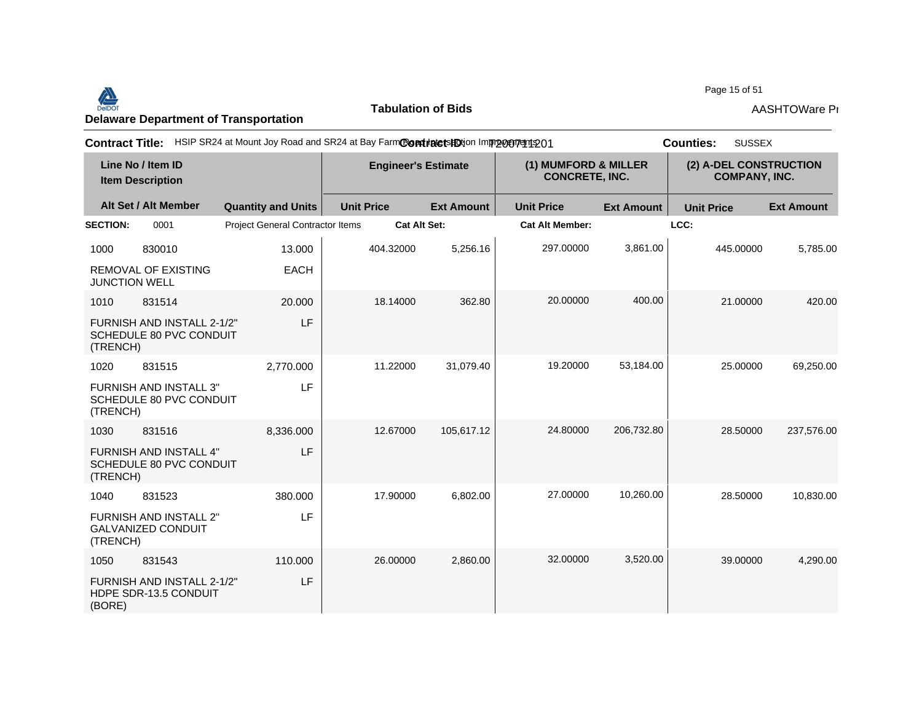#### Page 15 of 51<br>Delaware Department of Transportation **AASHTOWare Properties AASHTOWare Properties**<br>Delaware Department of Transportation

**Tabulation of Bids**

Page 15 of 51

| <b>Contract Title:</b>                                                 | HSIP SR24 at Mount Joy Road and SR24 at Bay FarmContratetsHOtion Improceptedto1 |                            |                   |                                               |                   | <b>SUSSEX</b><br><b>Counties:</b>              |                   |
|------------------------------------------------------------------------|---------------------------------------------------------------------------------|----------------------------|-------------------|-----------------------------------------------|-------------------|------------------------------------------------|-------------------|
| Line No / Item ID<br><b>Item Description</b>                           |                                                                                 | <b>Engineer's Estimate</b> |                   | (1) MUMFORD & MILLER<br><b>CONCRETE, INC.</b> |                   | (2) A-DEL CONSTRUCTION<br><b>COMPANY, INC.</b> |                   |
| Alt Set / Alt Member                                                   | <b>Quantity and Units</b>                                                       | <b>Unit Price</b>          | <b>Ext Amount</b> | <b>Unit Price</b>                             | <b>Ext Amount</b> | <b>Unit Price</b>                              | <b>Ext Amount</b> |
| <b>SECTION:</b><br>0001                                                | Project General Contractor Items                                                | <b>Cat Alt Set:</b>        |                   | <b>Cat Alt Member:</b>                        |                   | LCC:                                           |                   |
| 830010<br>1000                                                         | 13.000                                                                          | 404.32000                  | 5,256.16          | 297.00000                                     | 3,861.00          | 445.00000                                      | 5,785.00          |
| <b>REMOVAL OF EXISTING</b><br><b>JUNCTION WELL</b>                     | <b>EACH</b>                                                                     |                            |                   |                                               |                   |                                                |                   |
| 831514<br>1010                                                         | 20,000                                                                          | 18.14000                   | 362.80            | 20.00000                                      | 400.00            | 21.00000                                       | 420.00            |
| FURNISH AND INSTALL 2-1/2"<br>SCHEDULE 80 PVC CONDUIT<br>(TRENCH)      | <b>LF</b>                                                                       |                            |                   |                                               |                   |                                                |                   |
| 1020<br>831515                                                         | 2,770.000                                                                       | 11.22000                   | 31,079.40         | 19.20000                                      | 53,184.00         | 25.00000                                       | 69,250.00         |
| FURNISH AND INSTALL 3"<br>SCHEDULE 80 PVC CONDUIT<br>(TRENCH)          | LF                                                                              |                            |                   |                                               |                   |                                                |                   |
| 831516<br>1030                                                         | 8,336.000                                                                       | 12.67000                   | 105,617.12        | 24.80000                                      | 206,732.80        | 28.50000                                       | 237,576.00        |
| <b>FURNISH AND INSTALL 4"</b><br>SCHEDULE 80 PVC CONDUIT<br>(TRENCH)   | LF                                                                              |                            |                   |                                               |                   |                                                |                   |
| 1040<br>831523                                                         | 380.000                                                                         | 17.90000                   | 6,802.00          | 27.00000                                      | 10,260.00         | 28.50000                                       | 10,830.00         |
| <b>FURNISH AND INSTALL 2"</b><br><b>GALVANIZED CONDUIT</b><br>(TRENCH) | LF                                                                              |                            |                   |                                               |                   |                                                |                   |
| 831543<br>1050                                                         | 110.000                                                                         | 26.00000                   | 2,860.00          | 32.00000                                      | 3.520.00          | 39.00000                                       | 4,290.00          |
| FURNISH AND INSTALL 2-1/2"<br>HDPE SDR-13.5 CONDUIT<br>(BORE)          | LF                                                                              |                            |                   |                                               |                   |                                                |                   |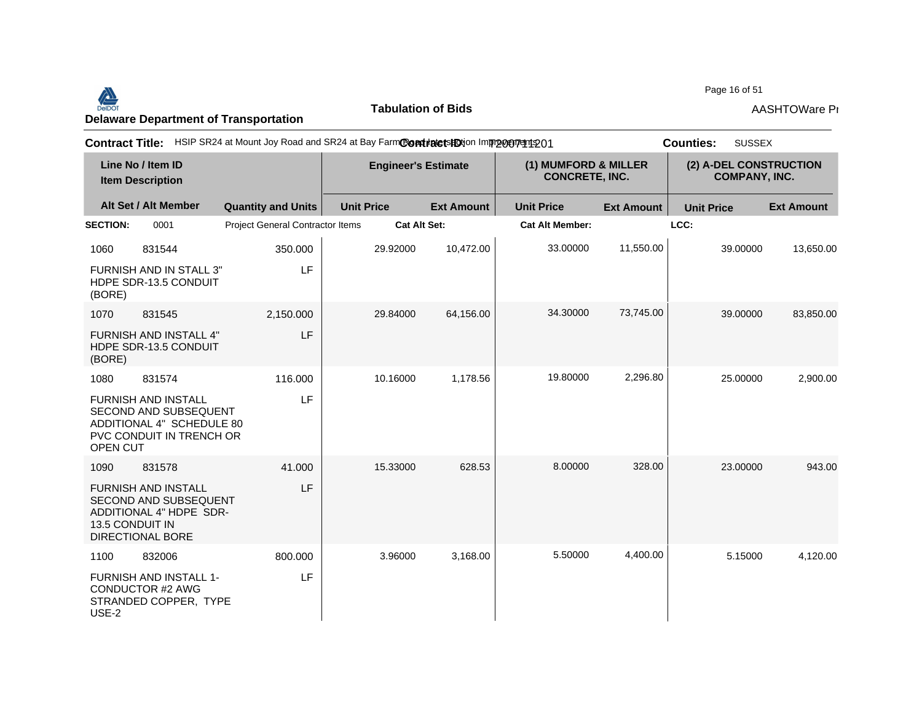#### Page 16 of 51<br>Delaware Department of Transportation **AASHTOWare Properties AASHTOWare Properties**<br>Delaware Department of Transportation

**Tabulation of Bids**

| Page 16 of 51 |
|---------------|
|---------------|

| <b>Contract Title:</b>                       |                                                                                                              |                                  | HSIP SR24 at Mount Joy Road and SR24 at Bay FarmContratetsHDtion Improceptedto1 |                   |                                               |                   | <b>SUSSEX</b><br><b>Counties:</b>              |                   |
|----------------------------------------------|--------------------------------------------------------------------------------------------------------------|----------------------------------|---------------------------------------------------------------------------------|-------------------|-----------------------------------------------|-------------------|------------------------------------------------|-------------------|
| Line No / Item ID<br><b>Item Description</b> |                                                                                                              |                                  | <b>Engineer's Estimate</b>                                                      |                   | (1) MUMFORD & MILLER<br><b>CONCRETE, INC.</b> |                   | (2) A-DEL CONSTRUCTION<br><b>COMPANY, INC.</b> |                   |
|                                              | Alt Set / Alt Member                                                                                         | <b>Quantity and Units</b>        | <b>Unit Price</b>                                                               | <b>Ext Amount</b> | <b>Unit Price</b>                             | <b>Ext Amount</b> | <b>Unit Price</b>                              | <b>Ext Amount</b> |
| <b>SECTION:</b>                              | 0001                                                                                                         | Project General Contractor Items | <b>Cat Alt Set:</b>                                                             |                   | <b>Cat Alt Member:</b>                        |                   | LCC:                                           |                   |
| 1060                                         | 831544                                                                                                       | 350.000                          | 29.92000                                                                        | 10,472.00         | 33.00000                                      | 11,550.00         | 39.00000                                       | 13,650.00         |
| (BORE)                                       | <b>FURNISH AND IN STALL 3"</b><br>HDPE SDR-13.5 CONDUIT                                                      | LF                               |                                                                                 |                   |                                               |                   |                                                |                   |
| 1070                                         | 831545                                                                                                       | 2,150.000                        | 29.84000                                                                        | 64,156.00         | 34.30000                                      | 73,745.00         | 39.00000                                       | 83,850.00         |
| (BORE)                                       | FURNISH AND INSTALL 4"<br>HDPE SDR-13.5 CONDUIT                                                              | LF                               |                                                                                 |                   |                                               |                   |                                                |                   |
| 1080                                         | 831574                                                                                                       | 116,000                          | 10.16000                                                                        | 1,178.56          | 19.80000                                      | 2,296.80          | 25.00000                                       | 2,900.00          |
| OPEN CUT                                     | <b>FURNISH AND INSTALL</b><br>SECOND AND SUBSEQUENT<br>ADDITIONAL 4" SCHEDULE 80<br>PVC CONDUIT IN TRENCH OR | LF                               |                                                                                 |                   |                                               |                   |                                                |                   |
| 1090                                         | 831578                                                                                                       | 41.000                           | 15.33000                                                                        | 628.53            | 8.00000                                       | 328.00            | 23.00000                                       | 943.00            |
| 13.5 CONDUIT IN                              | <b>FURNISH AND INSTALL</b><br>SECOND AND SUBSEQUENT<br>ADDITIONAL 4" HDPE SDR-<br>DIRECTIONAL BORE           | LF                               |                                                                                 |                   |                                               |                   |                                                |                   |
| 1100                                         | 832006                                                                                                       | 800.000                          | 3.96000                                                                         | 3,168.00          | 5.50000                                       | 4,400.00          | 5.15000                                        | 4,120.00          |
| USE-2                                        | <b>FURNISH AND INSTALL 1-</b><br>CONDUCTOR #2 AWG<br>STRANDED COPPER, TYPE                                   | LF.                              |                                                                                 |                   |                                               |                   |                                                |                   |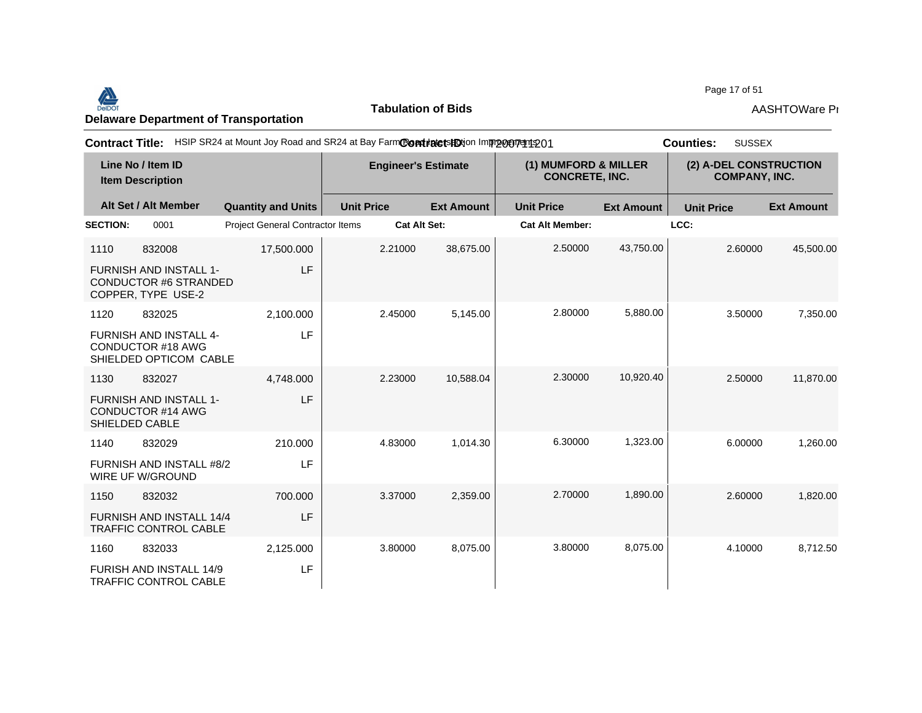#### Page 17 of 51<br>Delaware Department of Transportation **AASHTOWare Properties AASHTOWare Properties**<br>Delaware Department of Transportation

**Tabulation of Bids**

Page 17 of 51

| <b>Contract Title:</b>                       |                                                                                     | HSIP SR24 at Mount Joy Road and SR24 at Bay FarmCondinate to HO Improvement 201 |                            |                     |                                               | <b>SUSSEX</b><br><b>Counties:</b> |                                                |                   |  |
|----------------------------------------------|-------------------------------------------------------------------------------------|---------------------------------------------------------------------------------|----------------------------|---------------------|-----------------------------------------------|-----------------------------------|------------------------------------------------|-------------------|--|
| Line No / Item ID<br><b>Item Description</b> |                                                                                     |                                                                                 | <b>Engineer's Estimate</b> |                     | (1) MUMFORD & MILLER<br><b>CONCRETE, INC.</b> |                                   | (2) A-DEL CONSTRUCTION<br><b>COMPANY, INC.</b> |                   |  |
|                                              | Alt Set / Alt Member                                                                | <b>Quantity and Units</b>                                                       | <b>Unit Price</b>          | <b>Ext Amount</b>   | <b>Unit Price</b>                             | <b>Ext Amount</b>                 | <b>Unit Price</b>                              | <b>Ext Amount</b> |  |
| <b>SECTION:</b>                              | 0001                                                                                | <b>Project General Contractor Items</b>                                         |                            | <b>Cat Alt Set:</b> | <b>Cat Alt Member:</b>                        |                                   | LCC:                                           |                   |  |
| 1110                                         | 832008                                                                              | 17,500.000                                                                      | 2.21000                    | 38,675.00           | 2.50000                                       | 43,750.00                         | 2.60000                                        | 45,500.00         |  |
|                                              | <b>FURNISH AND INSTALL 1-</b><br><b>CONDUCTOR #6 STRANDED</b><br>COPPER, TYPE USE-2 | LF                                                                              |                            |                     |                                               |                                   |                                                |                   |  |
| 1120                                         | 832025                                                                              | 2,100.000                                                                       | 2.45000                    | 5,145.00            | 2.80000                                       | 5,880.00                          | 3.50000                                        | 7,350.00          |  |
|                                              | <b>FURNISH AND INSTALL 4-</b><br><b>CONDUCTOR #18 AWG</b><br>SHIELDED OPTICOM CABLE | <b>LF</b>                                                                       |                            |                     |                                               |                                   |                                                |                   |  |
| 1130                                         | 832027                                                                              | 4.748.000                                                                       | 2.23000                    | 10,588.04           | 2.30000                                       | 10,920.40                         | 2.50000                                        | 11,870.00         |  |
|                                              | <b>FURNISH AND INSTALL 1-</b><br><b>CONDUCTOR #14 AWG</b><br>SHIELDED CABLE         | LF                                                                              |                            |                     |                                               |                                   |                                                |                   |  |
| 1140                                         | 832029                                                                              | 210.000                                                                         | 4.83000                    | 1.014.30            | 6.30000                                       | 1,323.00                          | 6.00000                                        | 1,260.00          |  |
|                                              | FURNISH AND INSTALL #8/2<br>WIRE UF W/GROUND                                        | LF                                                                              |                            |                     |                                               |                                   |                                                |                   |  |
| 1150                                         | 832032                                                                              | 700.000                                                                         | 3.37000                    | 2,359.00            | 2.70000                                       | 1,890.00                          | 2.60000                                        | 1,820.00          |  |
|                                              | FURNISH AND INSTALL 14/4<br><b>TRAFFIC CONTROL CABLE</b>                            | LF                                                                              |                            |                     |                                               |                                   |                                                |                   |  |
| 1160                                         | 832033                                                                              | 2,125.000                                                                       | 3.80000                    | 8,075.00            | 3.80000                                       | 8,075.00                          | 4.10000                                        | 8,712.50          |  |
|                                              | <b>FURISH AND INSTALL 14/9</b><br><b>TRAFFIC CONTROL CABLE</b>                      | LF                                                                              |                            |                     |                                               |                                   |                                                |                   |  |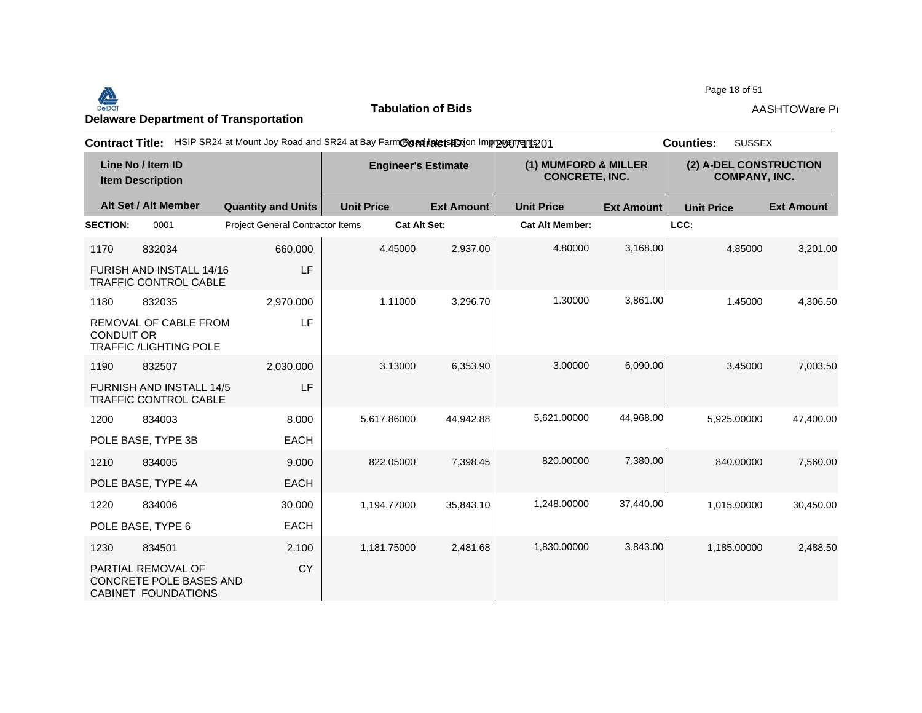#### Page 18 of 51<br>Delaware Department of Transportation **AASHTOWare Properties AASHTOWare Properties**<br>Delaware Department of Transportation

**Tabulation of Bids**

Page 18 of 51

| <b>Contract Title:</b>                       |                                                                      |                                         | HSIP SR24 at Mount Joy Road and SR24 at Bay FarmContratetsHDtion Improcurent 201 |                            |                        |                                               | <b>SUSSEX</b><br><b>Counties:</b> |                                                |  |
|----------------------------------------------|----------------------------------------------------------------------|-----------------------------------------|----------------------------------------------------------------------------------|----------------------------|------------------------|-----------------------------------------------|-----------------------------------|------------------------------------------------|--|
| Line No / Item ID<br><b>Item Description</b> |                                                                      |                                         |                                                                                  | <b>Engineer's Estimate</b> |                        | (1) MUMFORD & MILLER<br><b>CONCRETE, INC.</b> |                                   | (2) A-DEL CONSTRUCTION<br><b>COMPANY, INC.</b> |  |
|                                              | Alt Set / Alt Member                                                 | <b>Quantity and Units</b>               | <b>Unit Price</b>                                                                | <b>Ext Amount</b>          | <b>Unit Price</b>      | <b>Ext Amount</b>                             | <b>Unit Price</b>                 | <b>Ext Amount</b>                              |  |
| <b>SECTION:</b>                              | 0001                                                                 | <b>Project General Contractor Items</b> | <b>Cat Alt Set:</b>                                                              |                            | <b>Cat Alt Member:</b> |                                               | LCC:                              |                                                |  |
| 1170                                         | 832034                                                               | 660.000                                 | 4.45000                                                                          | 2,937.00                   | 4.80000                | 3,168.00                                      | 4.85000                           | 3,201.00                                       |  |
|                                              | FURISH AND INSTALL 14/16<br><b>TRAFFIC CONTROL CABLE</b>             | <b>LF</b>                               |                                                                                  |                            |                        |                                               |                                   |                                                |  |
| 1180                                         | 832035                                                               | 2,970.000                               | 1.11000                                                                          | 3,296.70                   | 1.30000                | 3,861.00                                      | 1.45000                           | 4,306.50                                       |  |
| <b>CONDUIT OR</b>                            | REMOVAL OF CABLE FROM<br><b>TRAFFIC /LIGHTING POLE</b>               | LF                                      |                                                                                  |                            |                        |                                               |                                   |                                                |  |
| 1190                                         | 832507                                                               | 2,030.000                               | 3.13000                                                                          | 6,353.90                   | 3.00000                | 6,090.00                                      | 3.45000                           | 7,003.50                                       |  |
|                                              | <b>FURNISH AND INSTALL 14/5</b><br>TRAFFIC CONTROL CABLE             | <b>LF</b>                               |                                                                                  |                            |                        |                                               |                                   |                                                |  |
| 1200                                         | 834003                                                               | 8.000                                   | 5,617.86000                                                                      | 44.942.88                  | 5,621.00000            | 44,968.00                                     | 5.925.00000                       | 47,400.00                                      |  |
|                                              | POLE BASE, TYPE 3B                                                   | <b>EACH</b>                             |                                                                                  |                            |                        |                                               |                                   |                                                |  |
| 1210                                         | 834005                                                               | 9.000                                   | 822.05000                                                                        | 7,398.45                   | 820.00000              | 7,380.00                                      | 840.00000                         | 7,560.00                                       |  |
|                                              | POLE BASE, TYPE 4A                                                   | <b>EACH</b>                             |                                                                                  |                            |                        |                                               |                                   |                                                |  |
| 1220                                         | 834006                                                               | 30.000                                  | 1,194.77000                                                                      | 35,843.10                  | 1,248.00000            | 37,440.00                                     | 1,015.00000                       | 30,450.00                                      |  |
|                                              | POLE BASE, TYPE 6                                                    | <b>EACH</b>                             |                                                                                  |                            |                        |                                               |                                   |                                                |  |
| 1230                                         | 834501                                                               | 2.100                                   | 1,181.75000                                                                      | 2,481.68                   | 1,830.00000            | 3,843.00                                      | 1,185.00000                       | 2,488.50                                       |  |
|                                              | PARTIAL REMOVAL OF<br>CONCRETE POLE BASES AND<br>CABINET FOUNDATIONS | <b>CY</b>                               |                                                                                  |                            |                        |                                               |                                   |                                                |  |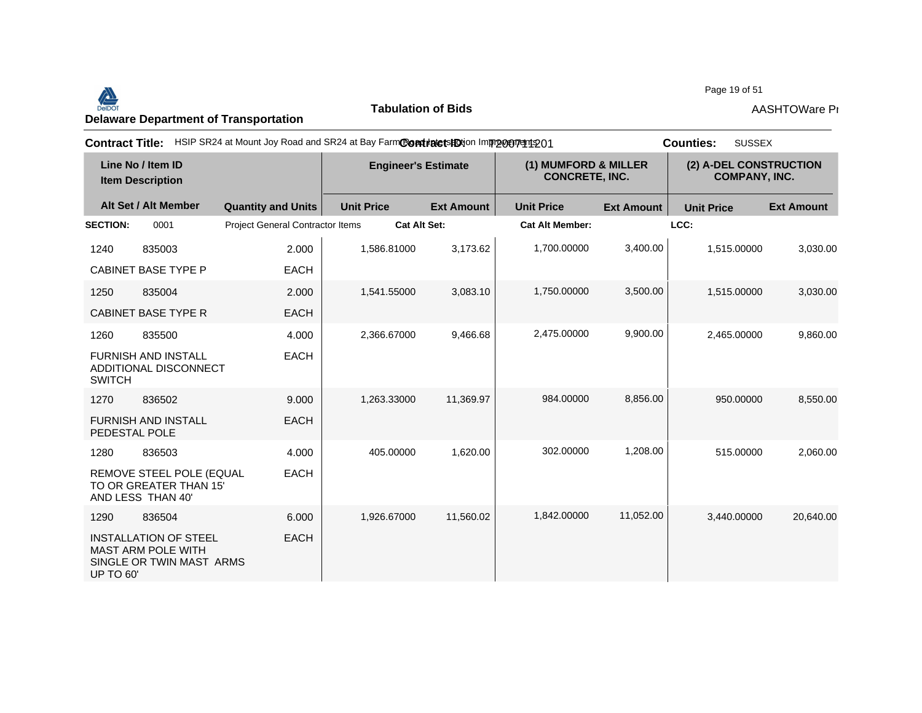#### Page 19 of 51<br>Delaware Department of Transportation **AASHTOWare Properties AASHTOWare Properties**<br>Delaware Department of Transportation

**Tabulation of Bids**

Page 19 of 51

| <b>Contract Title:</b>                       |                                                                                       | HSIP SR24 at Mount Joy Road and SR24 at Bay FarmContratetsHDtion Improceprent 201 |                            |                   |                                               | <b>SUSSEX</b><br><b>Counties:</b> |                                                |                   |  |
|----------------------------------------------|---------------------------------------------------------------------------------------|-----------------------------------------------------------------------------------|----------------------------|-------------------|-----------------------------------------------|-----------------------------------|------------------------------------------------|-------------------|--|
| Line No / Item ID<br><b>Item Description</b> |                                                                                       |                                                                                   | <b>Engineer's Estimate</b> |                   | (1) MUMFORD & MILLER<br><b>CONCRETE, INC.</b> |                                   | (2) A-DEL CONSTRUCTION<br><b>COMPANY, INC.</b> |                   |  |
|                                              | Alt Set / Alt Member                                                                  | <b>Quantity and Units</b>                                                         | <b>Unit Price</b>          | <b>Ext Amount</b> | <b>Unit Price</b>                             | <b>Ext Amount</b>                 | <b>Unit Price</b>                              | <b>Ext Amount</b> |  |
| <b>SECTION:</b>                              | 0001                                                                                  | <b>Project General Contractor Items</b>                                           | <b>Cat Alt Set:</b>        |                   | <b>Cat Alt Member:</b>                        |                                   | LCC:                                           |                   |  |
| 1240                                         | 835003                                                                                | 2.000                                                                             | 1,586.81000                | 3,173.62          | 1,700.00000                                   | 3,400.00                          | 1,515.00000                                    | 3,030.00          |  |
|                                              | <b>CABINET BASE TYPE P</b>                                                            | <b>EACH</b>                                                                       |                            |                   |                                               |                                   |                                                |                   |  |
| 1250                                         | 835004                                                                                | 2.000                                                                             | 1,541.55000                | 3,083.10          | 1,750.00000                                   | 3,500.00                          | 1,515.00000                                    | 3,030.00          |  |
|                                              | <b>CABINET BASE TYPE R</b>                                                            | <b>EACH</b>                                                                       |                            |                   |                                               |                                   |                                                |                   |  |
| 1260                                         | 835500                                                                                | 4.000                                                                             | 2,366.67000                | 9,466.68          | 2,475.00000                                   | 9,900.00                          | 2,465.00000                                    | 9,860.00          |  |
| <b>SWITCH</b>                                | <b>FURNISH AND INSTALL</b><br>ADDITIONAL DISCONNECT                                   | <b>EACH</b>                                                                       |                            |                   |                                               |                                   |                                                |                   |  |
| 1270                                         | 836502                                                                                | 9.000                                                                             | 1,263.33000                | 11,369.97         | 984.00000                                     | 8,856.00                          | 950.00000                                      | 8,550.00          |  |
| PEDESTAL POLE                                | <b>FURNISH AND INSTALL</b>                                                            | <b>EACH</b>                                                                       |                            |                   |                                               |                                   |                                                |                   |  |
| 1280                                         | 836503                                                                                | 4.000                                                                             | 405.00000                  | 1,620.00          | 302.00000                                     | 1,208.00                          | 515.00000                                      | 2,060.00          |  |
|                                              | REMOVE STEEL POLE (EQUAL<br>TO OR GREATER THAN 15'<br>AND LESS THAN 40'               | <b>EACH</b>                                                                       |                            |                   |                                               |                                   |                                                |                   |  |
| 1290                                         | 836504                                                                                | 6.000                                                                             | 1,926.67000                | 11,560.02         | 1.842.00000                                   | 11,052.00                         | 3,440.00000                                    | 20,640.00         |  |
| <b>UP TO 60'</b>                             | <b>INSTALLATION OF STEEL</b><br><b>MAST ARM POLE WITH</b><br>SINGLE OR TWIN MAST ARMS | <b>EACH</b>                                                                       |                            |                   |                                               |                                   |                                                |                   |  |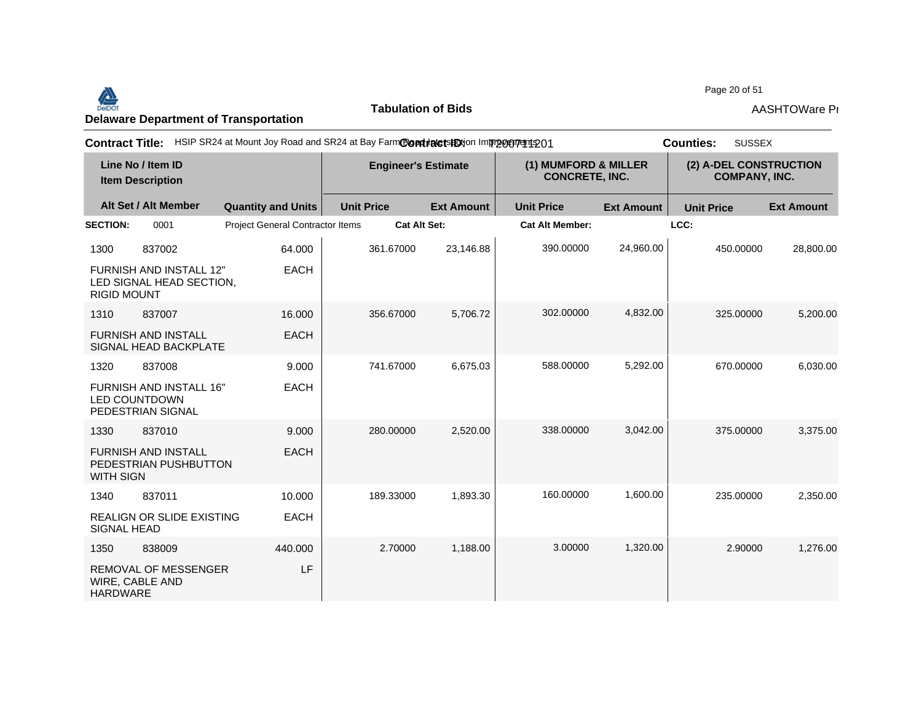

**Tabulation of Bids**

Page 20 of 51

| <b>Contract Title:</b> |                                                                             | HSIP SR24 at Mount Joy Road and SR24 at Bay FarmContinute is ED ion Improvement 201 |                            |                   |                                               |                   | <b>SUSSEX</b><br><b>Counties:</b>              |                   |
|------------------------|-----------------------------------------------------------------------------|-------------------------------------------------------------------------------------|----------------------------|-------------------|-----------------------------------------------|-------------------|------------------------------------------------|-------------------|
|                        | Line No / Item ID<br><b>Item Description</b>                                |                                                                                     | <b>Engineer's Estimate</b> |                   | (1) MUMFORD & MILLER<br><b>CONCRETE, INC.</b> |                   | (2) A-DEL CONSTRUCTION<br><b>COMPANY, INC.</b> |                   |
|                        | Alt Set / Alt Member                                                        | <b>Quantity and Units</b>                                                           | <b>Unit Price</b>          | <b>Ext Amount</b> | <b>Unit Price</b>                             | <b>Ext Amount</b> | <b>Unit Price</b>                              | <b>Ext Amount</b> |
| <b>SECTION:</b>        | 0001                                                                        | Project General Contractor Items                                                    | <b>Cat Alt Set:</b>        |                   | <b>Cat Alt Member:</b>                        |                   | LCC:                                           |                   |
| 1300                   | 837002                                                                      | 64.000                                                                              | 361.67000                  | 23,146.88         | 390.00000                                     | 24,960.00         | 450.00000                                      | 28,800.00         |
| <b>RIGID MOUNT</b>     | <b>FURNISH AND INSTALL 12"</b><br>LED SIGNAL HEAD SECTION,                  | <b>EACH</b>                                                                         |                            |                   |                                               |                   |                                                |                   |
| 1310                   | 837007                                                                      | 16.000                                                                              | 356.67000                  | 5,706.72          | 302.00000                                     | 4,832.00          | 325.00000                                      | 5,200.00          |
|                        | <b>FURNISH AND INSTALL</b><br>SIGNAL HEAD BACKPLATE                         | <b>EACH</b>                                                                         |                            |                   |                                               |                   |                                                |                   |
| 1320                   | 837008                                                                      | 9.000                                                                               | 741.67000                  | 6,675.03          | 588.00000                                     | 5,292.00          | 670.00000                                      | 6,030.00          |
|                        | <b>FURNISH AND INSTALL 16"</b><br><b>LED COUNTDOWN</b><br>PEDESTRIAN SIGNAL | <b>EACH</b>                                                                         |                            |                   |                                               |                   |                                                |                   |
| 1330                   | 837010                                                                      | 9.000                                                                               | 280.00000                  | 2,520.00          | 338.00000                                     | 3,042.00          | 375,00000                                      | 3,375.00          |
| <b>WITH SIGN</b>       | <b>FURNISH AND INSTALL</b><br>PEDESTRIAN PUSHBUTTON                         | <b>EACH</b>                                                                         |                            |                   |                                               |                   |                                                |                   |
| 1340                   | 837011                                                                      | 10.000                                                                              | 189.33000                  | 1,893.30          | 160.00000                                     | 1,600.00          | 235.00000                                      | 2,350.00          |
| <b>SIGNAL HEAD</b>     | REALIGN OR SLIDE EXISTING                                                   | <b>EACH</b>                                                                         |                            |                   |                                               |                   |                                                |                   |
| 1350                   | 838009                                                                      | 440.000                                                                             | 2.70000                    | 1,188.00          | 3.00000                                       | 1,320.00          | 2.90000                                        | 1,276.00          |
| <b>HARDWARE</b>        | <b>REMOVAL OF MESSENGER</b><br>WIRE, CABLE AND                              | LF.                                                                                 |                            |                   |                                               |                   |                                                |                   |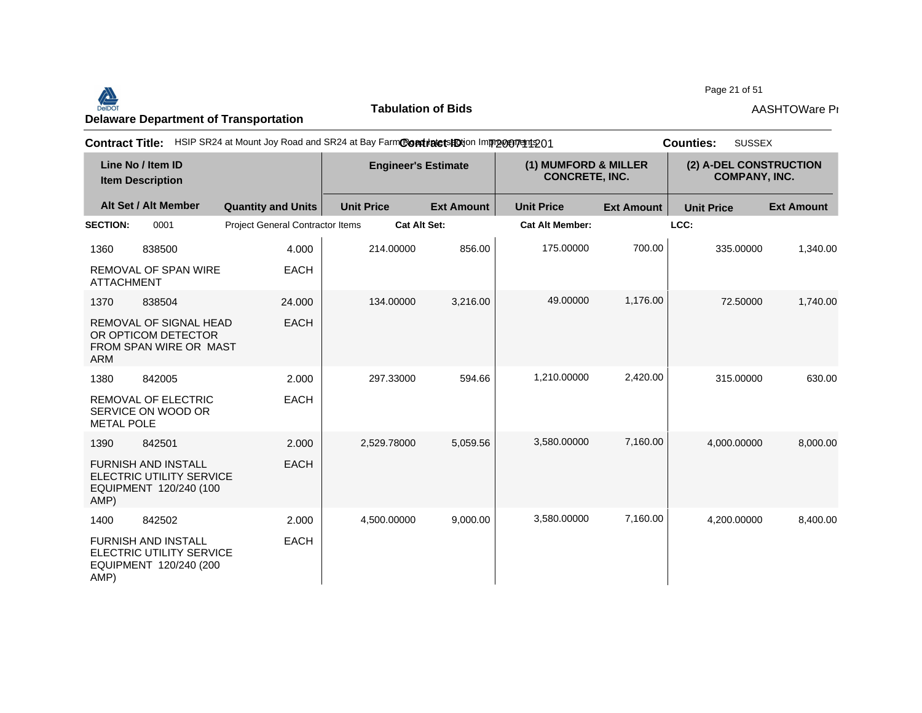#### Page 21 of 51<br>Delaware Department of Transportation **AASHTOWare Properties AASHTOWare Properties**<br>Delaware Department of Transportation

**Tabulation of Bids**

Page 21 of 51

| <b>Contract Title:</b> |                                                                                  | HSIP SR24 at Mount Joy Road and SR24 at Bay FarmCondidatetsHOtion Improgeryent 201 |                            |                   |                                               | <b>SUSSEX</b><br><b>Counties:</b> |                                                |                   |
|------------------------|----------------------------------------------------------------------------------|------------------------------------------------------------------------------------|----------------------------|-------------------|-----------------------------------------------|-----------------------------------|------------------------------------------------|-------------------|
|                        | Line No / Item ID<br><b>Item Description</b>                                     |                                                                                    | <b>Engineer's Estimate</b> |                   | (1) MUMFORD & MILLER<br><b>CONCRETE, INC.</b> |                                   | (2) A-DEL CONSTRUCTION<br><b>COMPANY, INC.</b> |                   |
|                        | Alt Set / Alt Member                                                             | <b>Quantity and Units</b>                                                          | <b>Unit Price</b>          | <b>Ext Amount</b> | <b>Unit Price</b>                             | <b>Ext Amount</b>                 | <b>Unit Price</b>                              | <b>Ext Amount</b> |
| <b>SECTION:</b>        | 0001                                                                             | Project General Contractor Items                                                   | <b>Cat Alt Set:</b>        |                   | <b>Cat Alt Member:</b>                        |                                   | LCC:                                           |                   |
| 1360                   | 838500                                                                           | 4.000                                                                              | 214.00000                  | 856.00            | 175.00000                                     | 700.00                            | 335.00000                                      | 1,340.00          |
| <b>ATTACHMENT</b>      | <b>REMOVAL OF SPAN WIRE</b>                                                      | <b>EACH</b>                                                                        |                            |                   |                                               |                                   |                                                |                   |
| 1370                   | 838504                                                                           | 24.000                                                                             | 134.00000                  | 3,216.00          | 49.00000                                      | 1,176.00                          | 72.50000                                       | 1,740.00          |
| <b>ARM</b>             | REMOVAL OF SIGNAL HEAD<br>OR OPTICOM DETECTOR<br>FROM SPAN WIRE OR MAST          | <b>EACH</b>                                                                        |                            |                   |                                               |                                   |                                                |                   |
| 1380                   | 842005                                                                           | 2.000                                                                              | 297.33000                  | 594.66            | 1,210.00000                                   | 2,420.00                          | 315.00000                                      | 630.00            |
| <b>METAL POLE</b>      | <b>REMOVAL OF ELECTRIC</b><br>SERVICE ON WOOD OR                                 | <b>EACH</b>                                                                        |                            |                   |                                               |                                   |                                                |                   |
| 1390                   | 842501                                                                           | 2.000                                                                              | 2,529.78000                | 5,059.56          | 3,580.00000                                   | 7,160.00                          | 4,000.00000                                    | 8,000.00          |
| AMP)                   | <b>FURNISH AND INSTALL</b><br>ELECTRIC UTILITY SERVICE<br>EQUIPMENT 120/240 (100 | <b>EACH</b>                                                                        |                            |                   |                                               |                                   |                                                |                   |
| 1400                   | 842502                                                                           | 2.000                                                                              | 4,500.00000                | 9,000.00          | 3,580.00000                                   | 7,160.00                          | 4,200.00000                                    | 8,400.00          |
| AMP)                   | <b>FURNISH AND INSTALL</b><br>ELECTRIC UTILITY SERVICE<br>EQUIPMENT 120/240 (200 | <b>EACH</b>                                                                        |                            |                   |                                               |                                   |                                                |                   |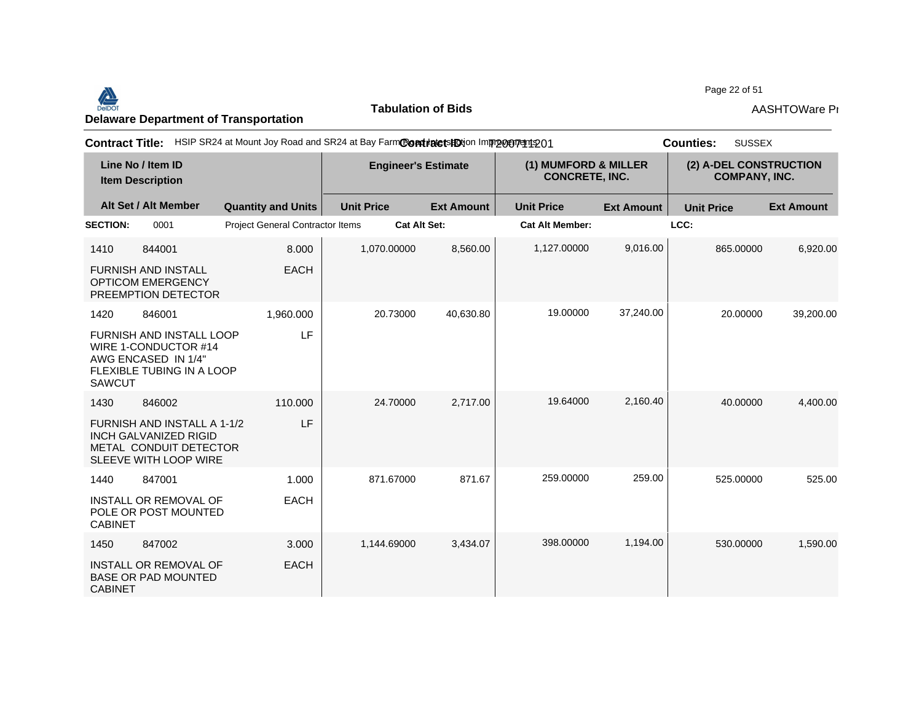

**Tabulation of Bids**

Page 22 of 51

| <b>Contract Title:</b> |                                                                                                                |                                         | HSIP SR24 at Mount Joy Road and SR24 at Bay FarmContratetsHOtion Improceptedto1 |                     |                        |                                               | <b>SUSSEX</b><br><b>Counties:</b> |                                                |
|------------------------|----------------------------------------------------------------------------------------------------------------|-----------------------------------------|---------------------------------------------------------------------------------|---------------------|------------------------|-----------------------------------------------|-----------------------------------|------------------------------------------------|
|                        | Line No / Item ID<br><b>Item Description</b>                                                                   |                                         | <b>Engineer's Estimate</b>                                                      |                     |                        | (1) MUMFORD & MILLER<br><b>CONCRETE, INC.</b> |                                   | (2) A-DEL CONSTRUCTION<br><b>COMPANY, INC.</b> |
|                        | Alt Set / Alt Member                                                                                           | <b>Quantity and Units</b>               | <b>Unit Price</b>                                                               | <b>Ext Amount</b>   | <b>Unit Price</b>      | <b>Ext Amount</b>                             | <b>Unit Price</b>                 | <b>Ext Amount</b>                              |
| <b>SECTION:</b>        | 0001                                                                                                           | <b>Project General Contractor Items</b> |                                                                                 | <b>Cat Alt Set:</b> | <b>Cat Alt Member:</b> |                                               | LCC:                              |                                                |
| 1410                   | 844001                                                                                                         | 8.000                                   | 1,070.00000                                                                     | 8,560.00            | 1,127.00000            | 9,016.00                                      | 865.00000                         | 6,920.00                                       |
|                        | <b>FURNISH AND INSTALL</b><br><b>OPTICOM EMERGENCY</b><br>PREEMPTION DETECTOR                                  | <b>EACH</b>                             |                                                                                 |                     |                        |                                               |                                   |                                                |
| 1420                   | 846001                                                                                                         | 1,960.000                               | 20.73000                                                                        | 40,630.80           | 19.00000               | 37,240.00                                     | 20.00000                          | 39,200.00                                      |
| <b>SAWCUT</b>          | FURNISH AND INSTALL LOOP<br>WIRE 1-CONDUCTOR #14<br>AWG ENCASED IN 1/4"<br><b>FLEXIBLE TUBING IN A LOOP</b>    | LF                                      |                                                                                 |                     |                        |                                               |                                   |                                                |
| 1430                   | 846002                                                                                                         | 110.000                                 | 24.70000                                                                        | 2.717.00            | 19.64000               | 2,160.40                                      | 40.00000                          | 4,400.00                                       |
|                        | FURNISH AND INSTALL A 1-1/2<br><b>INCH GALVANIZED RIGID</b><br>METAL CONDUIT DETECTOR<br>SLEEVE WITH LOOP WIRE | LF                                      |                                                                                 |                     |                        |                                               |                                   |                                                |
| 1440                   | 847001                                                                                                         | 1.000                                   | 871.67000                                                                       | 871.67              | 259.00000              | 259.00                                        | 525.00000                         | 525.00                                         |
| <b>CABINET</b>         | <b>INSTALL OR REMOVAL OF</b><br>POLE OR POST MOUNTED                                                           | <b>EACH</b>                             |                                                                                 |                     |                        |                                               |                                   |                                                |
| 1450                   | 847002                                                                                                         | 3.000                                   | 1.144.69000                                                                     | 3.434.07            | 398.00000              | 1,194.00                                      | 530.00000                         | 1,590.00                                       |
| <b>CABINET</b>         | <b>INSTALL OR REMOVAL OF</b><br><b>BASE OR PAD MOUNTED</b>                                                     | <b>EACH</b>                             |                                                                                 |                     |                        |                                               |                                   |                                                |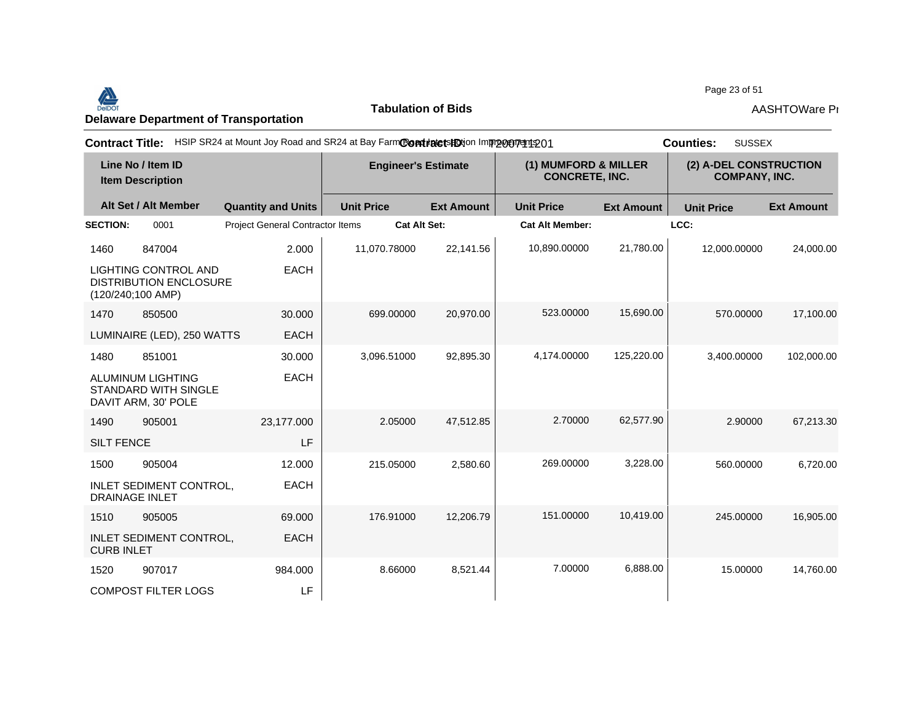#### Page 23 of 51<br>Delaware Department of Transportation **AASHTOWare Properties AASHTOWare Properties**<br>Delaware Department of Transportation

**Tabulation of Bids**

Page 23 of 51

| <b>Contract Title:</b>                                                              | HSIP SR24 at Mount Joy Road and SR24 at Bay FarmContratetsHDtion Improceptedto1 |                            |                   |                                               |                   | <b>SUSSEX</b><br><b>Counties:</b>              |                   |
|-------------------------------------------------------------------------------------|---------------------------------------------------------------------------------|----------------------------|-------------------|-----------------------------------------------|-------------------|------------------------------------------------|-------------------|
| Line No / Item ID<br><b>Item Description</b>                                        |                                                                                 | <b>Engineer's Estimate</b> |                   | (1) MUMFORD & MILLER<br><b>CONCRETE, INC.</b> |                   | (2) A-DEL CONSTRUCTION<br><b>COMPANY, INC.</b> |                   |
| Alt Set / Alt Member                                                                | <b>Quantity and Units</b>                                                       | <b>Unit Price</b>          | <b>Ext Amount</b> | <b>Unit Price</b>                             | <b>Ext Amount</b> | <b>Unit Price</b>                              | <b>Ext Amount</b> |
| <b>SECTION:</b><br>0001                                                             | Project General Contractor Items                                                | <b>Cat Alt Set:</b>        |                   | <b>Cat Alt Member:</b>                        |                   | LCC:                                           |                   |
| 847004<br>1460                                                                      | 2.000                                                                           | 11,070.78000               | 22,141.56         | 10,890.00000                                  | 21,780.00         | 12,000.00000                                   | 24,000.00         |
| <b>LIGHTING CONTROL AND</b><br><b>DISTRIBUTION ENCLOSURE</b><br>$(120/240;100$ AMP) | <b>EACH</b>                                                                     |                            |                   |                                               |                   |                                                |                   |
| 1470<br>850500                                                                      | 30,000                                                                          | 699,00000                  | 20,970.00         | 523.00000                                     | 15,690.00         | 570.00000                                      | 17,100.00         |
| LUMINAIRE (LED), 250 WATTS                                                          | <b>EACH</b>                                                                     |                            |                   |                                               |                   |                                                |                   |
| 1480<br>851001                                                                      | 30.000                                                                          | 3,096.51000                | 92,895.30         | 4,174.00000                                   | 125,220.00        | 3,400.00000                                    | 102,000.00        |
| <b>ALUMINUM LIGHTING</b><br><b>STANDARD WITH SINGLE</b><br>DAVIT ARM, 30' POLE      | <b>EACH</b>                                                                     |                            |                   |                                               |                   |                                                |                   |
| 905001<br>1490                                                                      | 23,177.000                                                                      | 2.05000                    | 47,512.85         | 2.70000                                       | 62,577.90         | 2.90000                                        | 67,213.30         |
| <b>SILT FENCE</b>                                                                   | LF                                                                              |                            |                   |                                               |                   |                                                |                   |
| 905004<br>1500                                                                      | 12.000                                                                          | 215.05000                  | 2,580.60          | 269.00000                                     | 3,228.00          | 560.00000                                      | 6,720.00          |
| <b>INLET SEDIMENT CONTROL,</b><br><b>DRAINAGE INLET</b>                             | <b>EACH</b>                                                                     |                            |                   |                                               |                   |                                                |                   |
| 905005<br>1510                                                                      | 69.000                                                                          | 176.91000                  | 12,206.79         | 151.00000                                     | 10,419.00         | 245.00000                                      | 16,905.00         |
| INLET SEDIMENT CONTROL,<br><b>CURB INLET</b>                                        | <b>EACH</b>                                                                     |                            |                   |                                               |                   |                                                |                   |
| 907017<br>1520                                                                      | 984.000                                                                         | 8.66000                    | 8,521.44          | 7.00000                                       | 6,888.00          | 15.00000                                       | 14,760.00         |
| <b>COMPOST FILTER LOGS</b>                                                          | LF                                                                              |                            |                   |                                               |                   |                                                |                   |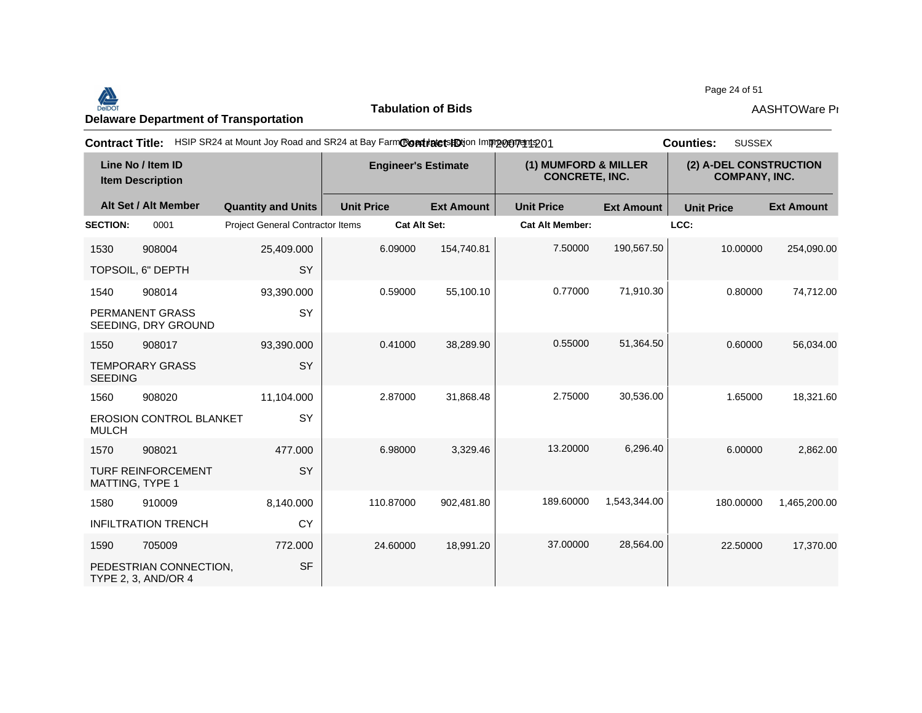#### Page 24 of 51<br>Delaware Department of Transportation **AASHTOWare Properties AASHTOWare Properties**<br>Delaware Department of Transportation

**Tabulation of Bids**

Page 24 of 51

| <b>Contract Title:</b> |                                                      |                                         |                            | HSIP SR24 at Mount Joy Road and SR24 at Bay FarmContinute is ED ion Improvement 201 |                                               |                   |                                                | <b>SUSSEX</b><br><b>Counties:</b> |  |
|------------------------|------------------------------------------------------|-----------------------------------------|----------------------------|-------------------------------------------------------------------------------------|-----------------------------------------------|-------------------|------------------------------------------------|-----------------------------------|--|
|                        | Line No / Item ID<br><b>Item Description</b>         |                                         | <b>Engineer's Estimate</b> |                                                                                     | (1) MUMFORD & MILLER<br><b>CONCRETE, INC.</b> |                   | (2) A-DEL CONSTRUCTION<br><b>COMPANY, INC.</b> |                                   |  |
|                        | Alt Set / Alt Member                                 | <b>Quantity and Units</b>               | <b>Unit Price</b>          | <b>Ext Amount</b>                                                                   | <b>Unit Price</b>                             | <b>Ext Amount</b> | <b>Unit Price</b>                              | <b>Ext Amount</b>                 |  |
| <b>SECTION:</b>        | 0001                                                 | <b>Project General Contractor Items</b> | <b>Cat Alt Set:</b>        |                                                                                     | <b>Cat Alt Member:</b>                        |                   | LCC:                                           |                                   |  |
| 1530                   | 908004                                               | 25,409.000                              | 6.09000                    | 154,740.81                                                                          | 7.50000                                       | 190,567.50        | 10.00000                                       | 254,090.00                        |  |
|                        | TOPSOIL, 6" DEPTH                                    | SY                                      |                            |                                                                                     |                                               |                   |                                                |                                   |  |
| 1540                   | 908014                                               | 93,390.000                              | 0.59000                    | 55,100.10                                                                           | 0.77000                                       | 71,910.30         | 0.80000                                        | 74,712.00                         |  |
|                        | PERMANENT GRASS<br>SEEDING, DRY GROUND               | <b>SY</b>                               |                            |                                                                                     |                                               |                   |                                                |                                   |  |
| 1550                   | 908017                                               | 93,390.000                              | 0.41000                    | 38,289.90                                                                           | 0.55000                                       | 51,364.50         | 0.60000                                        | 56,034.00                         |  |
| <b>SEEDING</b>         | <b>TEMPORARY GRASS</b>                               | SY                                      |                            |                                                                                     |                                               |                   |                                                |                                   |  |
| 1560                   | 908020                                               | 11,104.000                              | 2.87000                    | 31,868.48                                                                           | 2.75000                                       | 30,536.00         | 1.65000                                        | 18,321.60                         |  |
| <b>MULCH</b>           | <b>EROSION CONTROL BLANKET</b>                       | SY                                      |                            |                                                                                     |                                               |                   |                                                |                                   |  |
| 1570                   | 908021                                               | 477.000                                 | 6.98000                    | 3,329.46                                                                            | 13.20000                                      | 6,296.40          | 6.00000                                        | 2,862.00                          |  |
| MATTING, TYPE 1        | <b>TURF REINFORCEMENT</b>                            | SY                                      |                            |                                                                                     |                                               |                   |                                                |                                   |  |
| 1580                   | 910009                                               | 8,140.000                               | 110.87000                  | 902,481.80                                                                          | 189.60000                                     | 1,543,344.00      | 180.00000                                      | 1,465,200.00                      |  |
|                        | <b>INFILTRATION TRENCH</b>                           | CY                                      |                            |                                                                                     |                                               |                   |                                                |                                   |  |
| 1590                   | 705009                                               | 772.000                                 | 24.60000                   | 18,991.20                                                                           | 37.00000                                      | 28,564.00         | 22,50000                                       | 17,370.00                         |  |
|                        | PEDESTRIAN CONNECTION,<br><b>TYPE 2, 3, AND/OR 4</b> | <b>SF</b>                               |                            |                                                                                     |                                               |                   |                                                |                                   |  |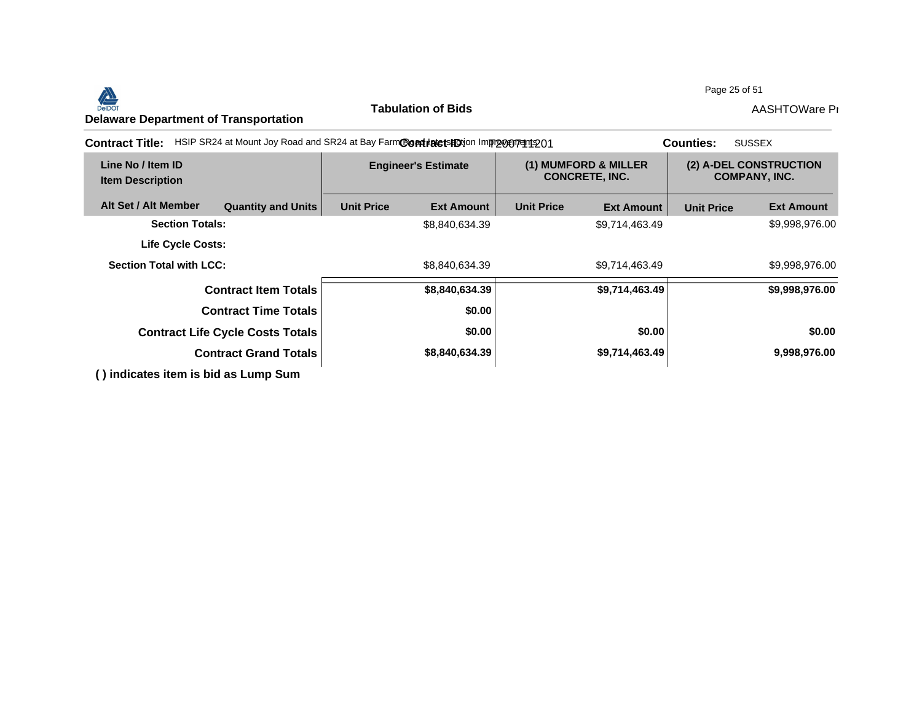#### Page 25 of 51



**Tabulation of Bids**

| <b>Contract Title:</b>                       | HSIP SR24 at Mount Joy Road and SR24 at Bay FarmCondidetsHOtion Improveryent 201 |                            |                   |                                               | <b>SUSSEX</b><br><b>Counties:</b> |                                                |                   |
|----------------------------------------------|----------------------------------------------------------------------------------|----------------------------|-------------------|-----------------------------------------------|-----------------------------------|------------------------------------------------|-------------------|
| Line No / Item ID<br><b>Item Description</b> |                                                                                  | <b>Engineer's Estimate</b> |                   | (1) MUMFORD & MILLER<br><b>CONCRETE, INC.</b> |                                   | (2) A-DEL CONSTRUCTION<br><b>COMPANY, INC.</b> |                   |
| Alt Set / Alt Member                         | <b>Quantity and Units</b>                                                        | <b>Unit Price</b>          | <b>Ext Amount</b> | <b>Unit Price</b>                             | <b>Ext Amount</b>                 | <b>Unit Price</b>                              | <b>Ext Amount</b> |
| <b>Section Totals:</b>                       |                                                                                  |                            | \$8,840,634.39    |                                               | \$9,714,463.49                    |                                                | \$9,998,976.00    |
| <b>Life Cycle Costs:</b>                     |                                                                                  |                            |                   |                                               |                                   |                                                |                   |
| <b>Section Total with LCC:</b>               |                                                                                  |                            | \$8,840,634.39    |                                               | \$9,714,463.49                    |                                                | \$9,998,976.00    |
|                                              | <b>Contract Item Totals</b>                                                      |                            | \$8,840,634.39    |                                               | \$9,714,463.49                    |                                                | \$9,998,976.00    |
|                                              | <b>Contract Time Totals</b>                                                      |                            | \$0.00            |                                               |                                   |                                                |                   |
|                                              | <b>Contract Life Cycle Costs Totals</b>                                          |                            | \$0.00            |                                               | \$0.00                            |                                                | \$0.00            |
|                                              | <b>Contract Grand Totals</b>                                                     | \$8,840,634.39             |                   |                                               | \$9,714,463.49                    |                                                | 9,998,976.00      |
| () indicates item is bid as Lump Sum         |                                                                                  |                            |                   |                                               |                                   |                                                |                   |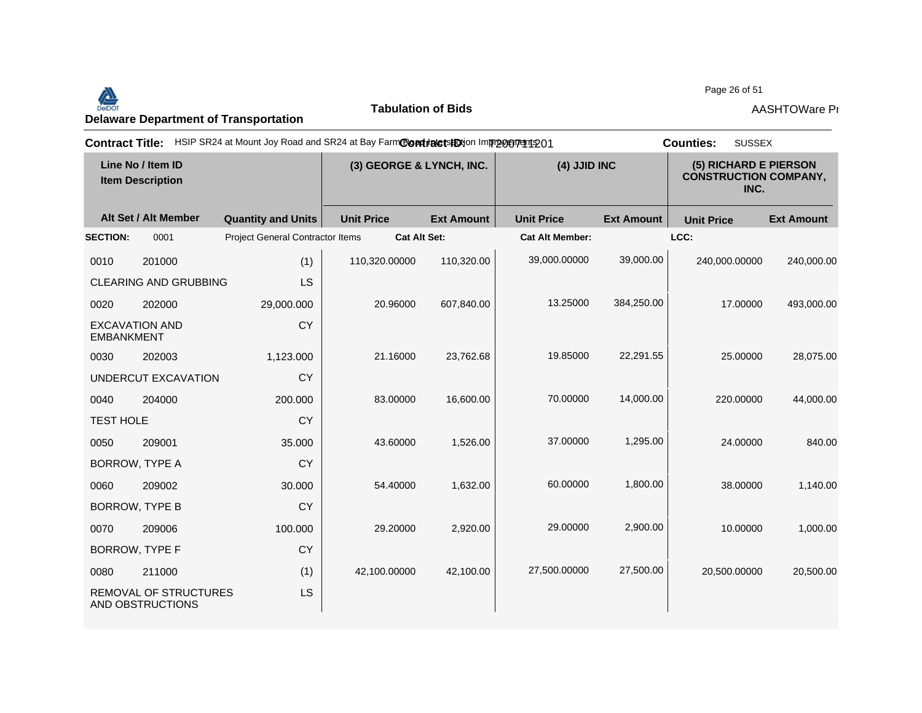Page 26 of 51<br>Delaware Department of Transportation **AASHTOWare Properties AASHTOWare Properties**<br>Delaware Department of Transportation

**Tabulation of Bids**

Page 26 of 51

|                   |                                              |                                         | Contract Title: HSIP SR24 at Mount Joy Road and SR24 at Bay FarmContractsHDtion Impropertients01 |                   |                        |                   | <b>SUSSEX</b><br><b>Counties:</b> |                                                               |
|-------------------|----------------------------------------------|-----------------------------------------|--------------------------------------------------------------------------------------------------|-------------------|------------------------|-------------------|-----------------------------------|---------------------------------------------------------------|
|                   | Line No / Item ID<br><b>Item Description</b> |                                         | (3) GEORGE & LYNCH, INC.                                                                         |                   |                        | (4) JJID INC      |                                   | (5) RICHARD E PIERSON<br><b>CONSTRUCTION COMPANY,</b><br>INC. |
|                   | Alt Set / Alt Member                         | <b>Quantity and Units</b>               | <b>Unit Price</b>                                                                                | <b>Ext Amount</b> | <b>Unit Price</b>      | <b>Ext Amount</b> | <b>Unit Price</b>                 | <b>Ext Amount</b>                                             |
| <b>SECTION:</b>   | 0001                                         | <b>Project General Contractor Items</b> | <b>Cat Alt Set:</b>                                                                              |                   | <b>Cat Alt Member:</b> |                   | LCC:                              |                                                               |
| 0010              | 201000                                       | (1)                                     | 110,320.00000                                                                                    | 110,320.00        | 39,000.00000           | 39,000.00         | 240,000.00000                     | 240,000.00                                                    |
|                   | <b>CLEARING AND GRUBBING</b>                 | LS                                      |                                                                                                  |                   |                        |                   |                                   |                                                               |
| 0020              | 202000                                       | 29,000.000                              | 20.96000                                                                                         | 607,840.00        | 13.25000               | 384,250.00        | 17.00000                          | 493,000.00                                                    |
| <b>EMBANKMENT</b> | <b>EXCAVATION AND</b>                        | <b>CY</b>                               |                                                                                                  |                   |                        |                   |                                   |                                                               |
| 0030              | 202003                                       | 1,123.000                               | 21.16000                                                                                         | 23,762.68         | 19.85000               | 22,291.55         | 25.00000                          | 28,075.00                                                     |
|                   | UNDERCUT EXCAVATION                          | <b>CY</b>                               |                                                                                                  |                   |                        |                   |                                   |                                                               |
| 0040              | 204000                                       | 200.000                                 | 83.00000                                                                                         | 16,600.00         | 70.00000               | 14,000.00         | 220.00000                         | 44,000.00                                                     |
| <b>TEST HOLE</b>  |                                              | <b>CY</b>                               |                                                                                                  |                   |                        |                   |                                   |                                                               |
| 0050              | 209001                                       | 35.000                                  | 43.60000                                                                                         | 1,526.00          | 37.00000               | 1,295.00          | 24.00000                          | 840.00                                                        |
|                   | <b>BORROW, TYPE A</b>                        | <b>CY</b>                               |                                                                                                  |                   |                        |                   |                                   |                                                               |
| 0060              | 209002                                       | 30.000                                  | 54.40000                                                                                         | 1,632.00          | 60.00000               | 1,800.00          | 38.00000                          | 1,140.00                                                      |
|                   | <b>BORROW, TYPE B</b>                        | <b>CY</b>                               |                                                                                                  |                   |                        |                   |                                   |                                                               |
| 0070              | 209006                                       | 100.000                                 | 29.20000                                                                                         | 2,920.00          | 29.00000               | 2.900.00          | 10.00000                          | 1,000.00                                                      |
|                   | <b>BORROW, TYPE F</b>                        | <b>CY</b>                               |                                                                                                  |                   |                        |                   |                                   |                                                               |
| 0080              | 211000                                       | (1)                                     | 42,100.00000                                                                                     | 42,100.00         | 27,500.00000           | 27,500.00         | 20,500.00000                      | 20,500.00                                                     |
|                   | REMOVAL OF STRUCTURES<br>AND OBSTRUCTIONS    | LS                                      |                                                                                                  |                   |                        |                   |                                   |                                                               |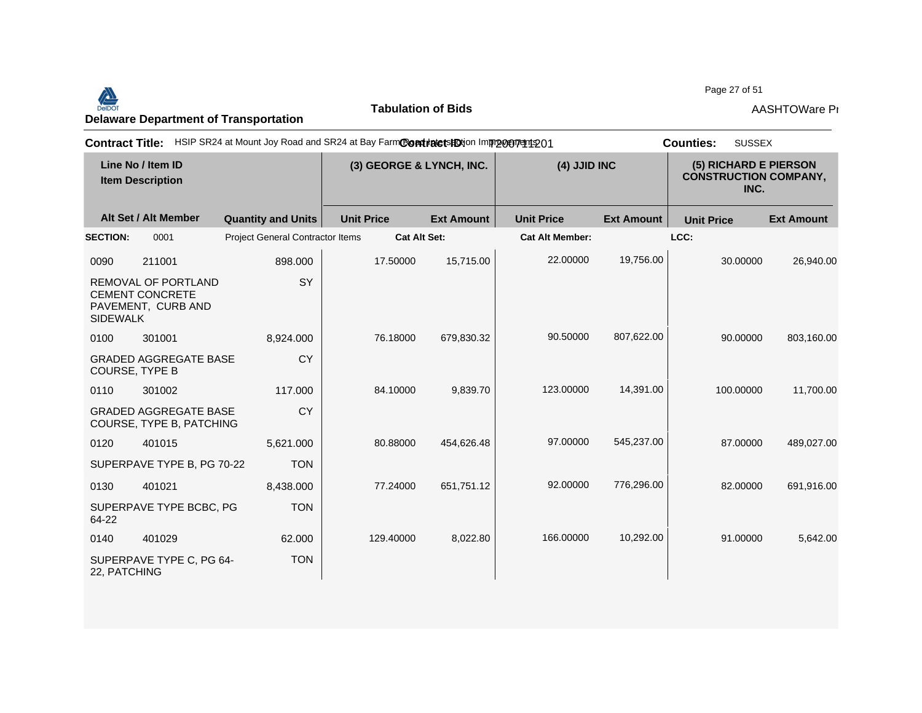Page 27 of 51<br>Delaware Department of Transportation **AASHTOWare Properties AASHTOWare Properties**<br>Delaware Department of Transportation

**Tabulation of Bids**

Page 27 of 51

| <b>Contract Title:</b> |                                                                            | HSIP SR24 at Mount Joy Road and SR24 at Bay FarmContratetsHOtion Improvement 201 |                   |                          |                        |                   | <b>SUSSEX</b><br><b>Counties:</b>                             |                   |
|------------------------|----------------------------------------------------------------------------|----------------------------------------------------------------------------------|-------------------|--------------------------|------------------------|-------------------|---------------------------------------------------------------|-------------------|
|                        | Line No / Item ID<br><b>Item Description</b>                               |                                                                                  |                   | (3) GEORGE & LYNCH, INC. | (4) JJID INC           |                   | (5) RICHARD E PIERSON<br><b>CONSTRUCTION COMPANY,</b><br>INC. |                   |
|                        | Alt Set / Alt Member                                                       | <b>Quantity and Units</b>                                                        | <b>Unit Price</b> | <b>Ext Amount</b>        | <b>Unit Price</b>      | <b>Ext Amount</b> | <b>Unit Price</b>                                             | <b>Ext Amount</b> |
| <b>SECTION:</b>        | 0001                                                                       | <b>Project General Contractor Items</b>                                          |                   | <b>Cat Alt Set:</b>      | <b>Cat Alt Member:</b> |                   | LCC:                                                          |                   |
| 0090                   | 211001                                                                     | 898.000                                                                          | 17.50000          | 15,715.00                | 22.00000               | 19,756.00         | 30.00000                                                      | 26,940.00         |
| <b>SIDEWALK</b>        | <b>REMOVAL OF PORTLAND</b><br><b>CEMENT CONCRETE</b><br>PAVEMENT, CURB AND | SY                                                                               |                   |                          |                        |                   |                                                               |                   |
| 0100                   | 301001                                                                     | 8,924.000                                                                        | 76.18000          | 679,830.32               | 90.50000               | 807,622.00        | 90.00000                                                      | 803,160.00        |
|                        | <b>GRADED AGGREGATE BASE</b><br><b>COURSE, TYPE B</b>                      | <b>CY</b>                                                                        |                   |                          |                        |                   |                                                               |                   |
| 0110                   | 301002                                                                     | 117.000                                                                          | 84.10000          | 9.839.70                 | 123.00000              | 14,391.00         | 100.00000                                                     | 11,700.00         |
|                        | <b>GRADED AGGREGATE BASE</b><br>COURSE, TYPE B, PATCHING                   | <b>CY</b>                                                                        |                   |                          |                        |                   |                                                               |                   |
| 0120                   | 401015                                                                     | 5,621.000                                                                        | 80.88000          | 454,626.48               | 97.00000               | 545,237.00        | 87.00000                                                      | 489,027.00        |
|                        | SUPERPAVE TYPE B, PG 70-22                                                 | <b>TON</b>                                                                       |                   |                          |                        |                   |                                                               |                   |
| 0130                   | 401021                                                                     | 8,438.000                                                                        | 77.24000          | 651,751.12               | 92.00000               | 776,296.00        | 82.00000                                                      | 691,916.00        |
| 64-22                  | SUPERPAVE TYPE BCBC, PG                                                    | <b>TON</b>                                                                       |                   |                          |                        |                   |                                                               |                   |
| 0140                   | 401029                                                                     | 62.000                                                                           | 129.40000         | 8,022.80                 | 166.00000              | 10,292.00         | 91.00000                                                      | 5,642.00          |
| 22, PATCHING           | SUPERPAVE TYPE C, PG 64-                                                   | <b>TON</b>                                                                       |                   |                          |                        |                   |                                                               |                   |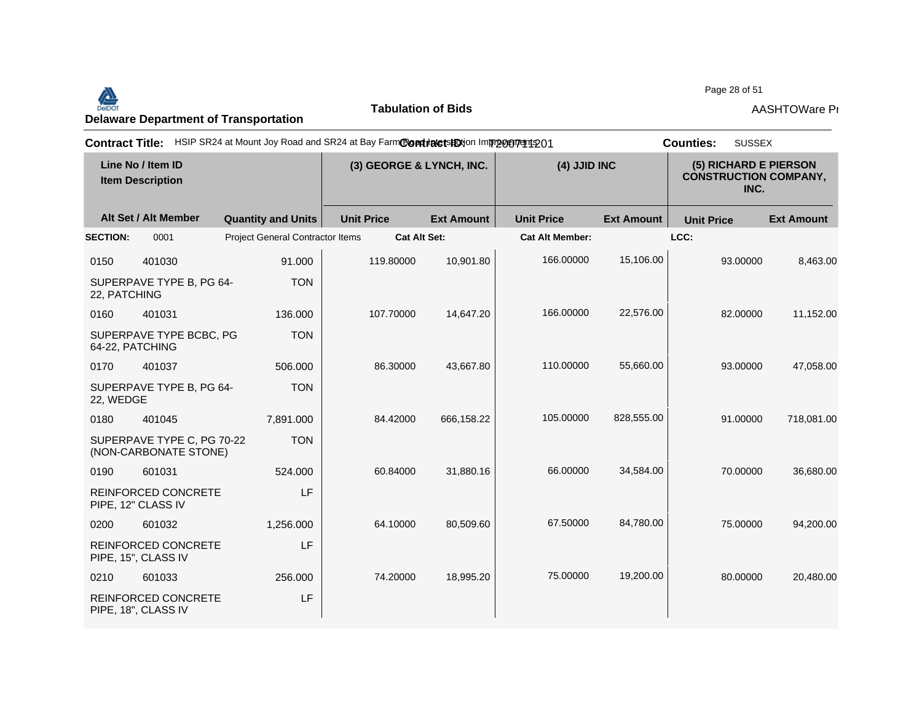## Page 28 of 51<br>Delaware Department of Transportation **AASHTOWare Properties AASHTOWare Properties**<br>Delaware Department of Transportation

**Tabulation of Bids**

Page 28 of 51

| <b>Contract Title:</b> |                                                     | HSIP SR24 at Mount Joy Road and SR24 at Bay FarmCondidate shotion Improvement 201 |                   |                                          |                        |                   | <b>SUSSEX</b><br><b>Counties:</b>                             |                   |
|------------------------|-----------------------------------------------------|-----------------------------------------------------------------------------------|-------------------|------------------------------------------|------------------------|-------------------|---------------------------------------------------------------|-------------------|
|                        | Line No / Item ID<br><b>Item Description</b>        |                                                                                   |                   | (3) GEORGE & LYNCH, INC.<br>(4) JJID INC |                        |                   | (5) RICHARD E PIERSON<br><b>CONSTRUCTION COMPANY,</b><br>INC. |                   |
|                        | Alt Set / Alt Member                                | <b>Quantity and Units</b>                                                         | <b>Unit Price</b> | <b>Ext Amount</b>                        | <b>Unit Price</b>      | <b>Ext Amount</b> | <b>Unit Price</b>                                             | <b>Ext Amount</b> |
| <b>SECTION:</b>        | 0001                                                | Project General Contractor Items                                                  |                   | Cat Alt Set:                             | <b>Cat Alt Member:</b> |                   | LCC:                                                          |                   |
| 0150                   | 401030                                              | 91.000                                                                            | 119.80000         | 10,901.80                                | 166.00000              | 15,106.00         | 93.00000                                                      | 8,463.00          |
| 22, PATCHING           | SUPERPAVE TYPE B, PG 64-                            | <b>TON</b>                                                                        |                   |                                          |                        |                   |                                                               |                   |
| 0160                   | 401031                                              | 136,000                                                                           | 107.70000         | 14,647.20                                | 166.00000              | 22,576.00         | 82,00000                                                      | 11,152.00         |
| 64-22, PATCHING        | SUPERPAVE TYPE BCBC, PG                             | <b>TON</b>                                                                        |                   |                                          |                        |                   |                                                               |                   |
| 0170                   | 401037                                              | 506,000                                                                           | 86.30000          | 43,667.80                                | 110.00000              | 55,660.00         | 93.00000                                                      | 47,058.00         |
| 22, WEDGE              | SUPERPAVE TYPE B, PG 64-                            | <b>TON</b>                                                                        |                   |                                          |                        |                   |                                                               |                   |
| 0180                   | 401045                                              | 7,891.000                                                                         | 84.42000          | 666,158.22                               | 105.00000              | 828,555.00        | 91.00000                                                      | 718,081.00        |
|                        | SUPERPAVE TYPE C, PG 70-22<br>(NON-CARBONATE STONE) | <b>TON</b>                                                                        |                   |                                          |                        |                   |                                                               |                   |
| 0190                   | 601031                                              | 524.000                                                                           | 60.84000          | 31,880.16                                | 66.00000               | 34,584.00         | 70.00000                                                      | 36,680.00         |
|                        | <b>REINFORCED CONCRETE</b><br>PIPE, 12" CLASS IV    | LF                                                                                |                   |                                          |                        |                   |                                                               |                   |
| 0200                   | 601032                                              | 1,256.000                                                                         | 64.10000          | 80,509.60                                | 67.50000               | 84,780.00         | 75.00000                                                      | 94,200.00         |
|                        | <b>REINFORCED CONCRETE</b><br>PIPE, 15", CLASS IV   | LF                                                                                |                   |                                          |                        |                   |                                                               |                   |
| 0210                   | 601033                                              | 256.000                                                                           | 74.20000          | 18,995.20                                | 75.00000               | 19,200.00         | 80.00000                                                      | 20,480.00         |
|                        | <b>REINFORCED CONCRETE</b><br>PIPE, 18", CLASS IV   | LF                                                                                |                   |                                          |                        |                   |                                                               |                   |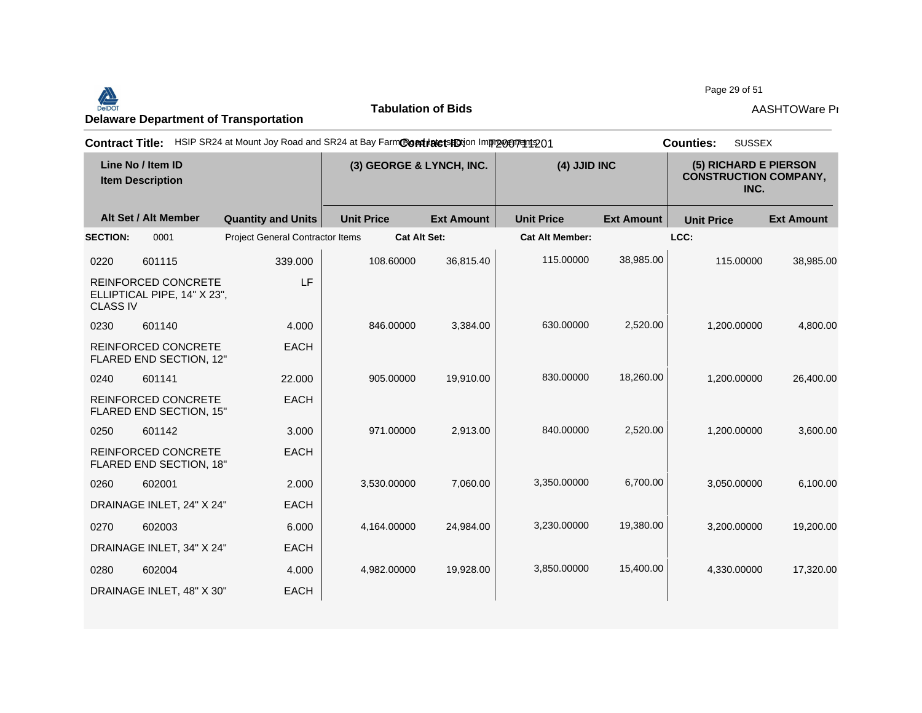Page 29 of 51<br>Delaware Department of Transportation **AASHTOWare Project Transportation**<br>Delaware Department of Transportation **AASHTOWare Pro** 

**Tabulation of Bids**

Page 29 of 51

| <b>Contract Title:</b> |                                                       | HSIP SR24 at Mount Joy Road and SR24 at Bay FarmCondinate to HO in mp portrait 201 |                          |                     |                        |                   | <b>SUSSEX</b><br><b>Counties:</b> |                                                               |  |
|------------------------|-------------------------------------------------------|------------------------------------------------------------------------------------|--------------------------|---------------------|------------------------|-------------------|-----------------------------------|---------------------------------------------------------------|--|
|                        | Line No / Item ID<br><b>Item Description</b>          |                                                                                    | (3) GEORGE & LYNCH, INC. |                     |                        | (4) JJID INC      |                                   | (5) RICHARD E PIERSON<br><b>CONSTRUCTION COMPANY,</b><br>INC. |  |
|                        | Alt Set / Alt Member                                  | <b>Quantity and Units</b>                                                          | <b>Unit Price</b>        | <b>Ext Amount</b>   | <b>Unit Price</b>      | <b>Ext Amount</b> | <b>Unit Price</b>                 | <b>Ext Amount</b>                                             |  |
| <b>SECTION:</b>        | 0001                                                  | <b>Project General Contractor Items</b>                                            |                          | <b>Cat Alt Set:</b> | <b>Cat Alt Member:</b> |                   | LCC:                              |                                                               |  |
| 0220                   | 601115                                                | 339.000                                                                            | 108.60000                | 36,815.40           | 115.00000              | 38,985.00         | 115.00000                         | 38,985.00                                                     |  |
| <b>CLASS IV</b>        | REINFORCED CONCRETE<br>ELLIPTICAL PIPE, 14" X 23",    | LF                                                                                 |                          |                     |                        |                   |                                   |                                                               |  |
| 0230                   | 601140                                                | 4.000                                                                              | 846.00000                | 3,384.00            | 630.00000              | 2,520.00          | 1,200.00000                       | 4,800.00                                                      |  |
|                        | REINFORCED CONCRETE<br>FLARED END SECTION, 12"        | <b>EACH</b>                                                                        |                          |                     |                        |                   |                                   |                                                               |  |
| 0240                   | 601141                                                | 22,000                                                                             | 905.00000                | 19,910.00           | 830.00000              | 18,260.00         | 1,200.00000                       | 26,400.00                                                     |  |
|                        | <b>REINFORCED CONCRETE</b><br>FLARED END SECTION, 15" | <b>EACH</b>                                                                        |                          |                     |                        |                   |                                   |                                                               |  |
| 0250                   | 601142                                                | 3.000                                                                              | 971.00000                | 2.913.00            | 840.00000              | 2,520.00          | 1.200.00000                       | 3,600.00                                                      |  |
|                        | REINFORCED CONCRETE<br>FLARED END SECTION, 18"        | <b>EACH</b>                                                                        |                          |                     |                        |                   |                                   |                                                               |  |
| 0260                   | 602001                                                | 2.000                                                                              | 3,530.00000              | 7,060.00            | 3,350.00000            | 6,700.00          | 3,050.00000                       | 6,100.00                                                      |  |
|                        | DRAINAGE INLET, 24" X 24"                             | <b>EACH</b>                                                                        |                          |                     |                        |                   |                                   |                                                               |  |
| 0270                   | 602003                                                | 6.000                                                                              | 4,164.00000              | 24,984.00           | 3,230.00000            | 19,380.00         | 3,200.00000                       | 19,200.00                                                     |  |
|                        | DRAINAGE INLET, 34" X 24"                             | <b>EACH</b>                                                                        |                          |                     |                        |                   |                                   |                                                               |  |
| 0280                   | 602004                                                | 4.000                                                                              | 4,982.00000              | 19,928.00           | 3,850.00000            | 15,400.00         | 4,330.00000                       | 17,320.00                                                     |  |
|                        | DRAINAGE INLET, 48" X 30"                             | <b>EACH</b>                                                                        |                          |                     |                        |                   |                                   |                                                               |  |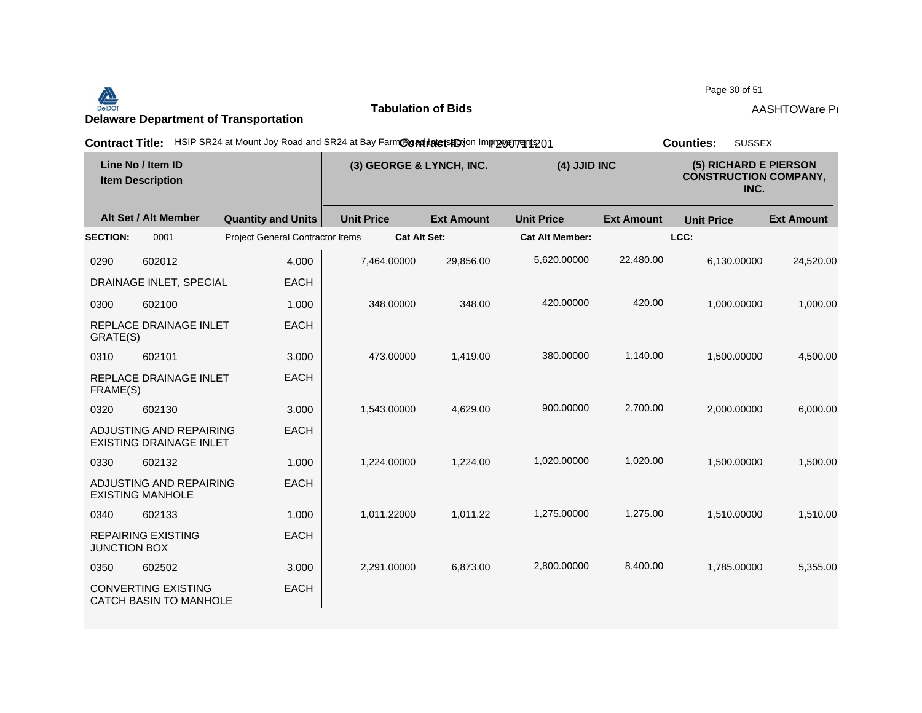Page 30 of 51<br>Delaware Department of Transportation **AASHTOWare Properties AASHTOWare Properties**<br>Delaware Department of Transportation

**Tabulation of Bids**

Page 30 of 51

|                     |                                                             | Contract Title: HSIP SR24 at Mount Joy Road and SR24 at Bay FarmContracts ED ton Improperty 01 |                          |                   |                        |                   | <b>SUSSEX</b><br><b>Counties:</b>                             |                   |
|---------------------|-------------------------------------------------------------|------------------------------------------------------------------------------------------------|--------------------------|-------------------|------------------------|-------------------|---------------------------------------------------------------|-------------------|
|                     | Line No / Item ID<br><b>Item Description</b>                |                                                                                                | (3) GEORGE & LYNCH, INC. |                   | (4) JJID INC           |                   | (5) RICHARD E PIERSON<br><b>CONSTRUCTION COMPANY,</b><br>INC. |                   |
|                     | Alt Set / Alt Member                                        | <b>Quantity and Units</b>                                                                      | <b>Unit Price</b>        | <b>Ext Amount</b> | <b>Unit Price</b>      | <b>Ext Amount</b> | <b>Unit Price</b>                                             | <b>Ext Amount</b> |
| <b>SECTION:</b>     | 0001                                                        | <b>Project General Contractor Items</b>                                                        | <b>Cat Alt Set:</b>      |                   | <b>Cat Alt Member:</b> |                   | LCC:                                                          |                   |
| 0290                | 602012                                                      | 4.000                                                                                          | 7,464.00000              | 29,856.00         | 5,620.00000            | 22,480.00         | 6,130.00000                                                   | 24,520.00         |
|                     | DRAINAGE INLET, SPECIAL                                     | <b>EACH</b>                                                                                    |                          |                   |                        |                   |                                                               |                   |
| 0300                | 602100                                                      | 1.000                                                                                          | 348.00000                | 348.00            | 420.00000              | 420.00            | 1,000.00000                                                   | 1,000.00          |
| GRATE(S)            | REPLACE DRAINAGE INLET                                      | <b>EACH</b>                                                                                    |                          |                   |                        |                   |                                                               |                   |
| 0310                | 602101                                                      | 3.000                                                                                          | 473.00000                | 1,419.00          | 380.00000              | 1,140.00          | 1,500.00000                                                   | 4,500.00          |
| FRAME(S)            | REPLACE DRAINAGE INLET                                      | <b>EACH</b>                                                                                    |                          |                   |                        |                   |                                                               |                   |
| 0320                | 602130                                                      | 3.000                                                                                          | 1,543.00000              | 4,629.00          | 900.00000              | 2,700.00          | 2,000.00000                                                   | 6,000.00          |
|                     | ADJUSTING AND REPAIRING<br><b>EXISTING DRAINAGE INLET</b>   | <b>EACH</b>                                                                                    |                          |                   |                        |                   |                                                               |                   |
| 0330                | 602132                                                      | 1.000                                                                                          | 1,224.00000              | 1,224.00          | 1,020.00000            | 1,020.00          | 1,500.00000                                                   | 1,500.00          |
|                     | ADJUSTING AND REPAIRING<br><b>EXISTING MANHOLE</b>          | <b>EACH</b>                                                                                    |                          |                   |                        |                   |                                                               |                   |
| 0340                | 602133                                                      | 1.000                                                                                          | 1,011.22000              | 1,011.22          | 1,275.00000            | 1,275.00          | 1,510.00000                                                   | 1,510.00          |
| <b>JUNCTION BOX</b> | <b>REPAIRING EXISTING</b>                                   | <b>EACH</b>                                                                                    |                          |                   |                        |                   |                                                               |                   |
| 0350                | 602502                                                      | 3.000                                                                                          | 2,291.00000              | 6,873.00          | 2,800.00000            | 8,400.00          | 1,785.00000                                                   | 5,355.00          |
|                     | <b>CONVERTING EXISTING</b><br><b>CATCH BASIN TO MANHOLE</b> | <b>EACH</b>                                                                                    |                          |                   |                        |                   |                                                               |                   |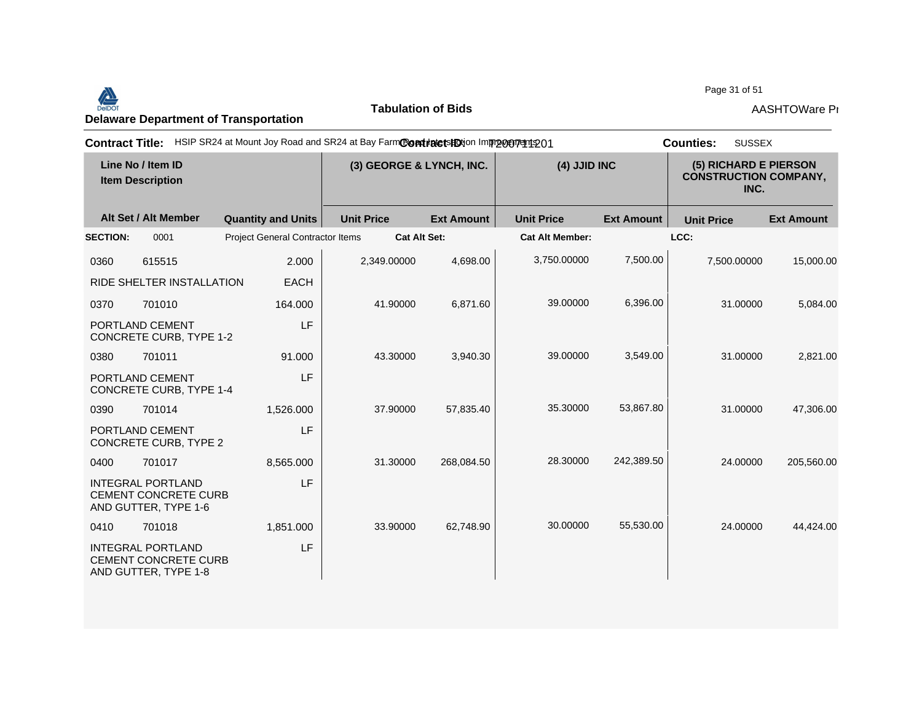Page 31 of 51<br>Delaware Department of Transportation **AASHTOWare Properties AASHTOWare Properties**<br>Delaware Department of Transportation

**Tabulation of Bids**

Page 31 of 51

| <b>Contract Title:</b> |                                                                                 | HSIP SR24 at Mount Joy Road and SR24 at Bay FarmContratets Dion Improvement 201 |                          |                   |                        | <b>SUSSEX</b><br><b>Counties:</b> |                                                               |                   |
|------------------------|---------------------------------------------------------------------------------|---------------------------------------------------------------------------------|--------------------------|-------------------|------------------------|-----------------------------------|---------------------------------------------------------------|-------------------|
|                        | Line No / Item ID<br><b>Item Description</b>                                    |                                                                                 | (3) GEORGE & LYNCH, INC. |                   | (4) JJID INC           |                                   | (5) RICHARD E PIERSON<br><b>CONSTRUCTION COMPANY,</b><br>INC. |                   |
|                        | Alt Set / Alt Member                                                            | <b>Quantity and Units</b>                                                       | <b>Unit Price</b>        | <b>Ext Amount</b> | <b>Unit Price</b>      | <b>Ext Amount</b>                 | <b>Unit Price</b>                                             | <b>Ext Amount</b> |
| <b>SECTION:</b>        | 0001                                                                            | Project General Contractor Items                                                | <b>Cat Alt Set:</b>      |                   | <b>Cat Alt Member:</b> |                                   | LCC:                                                          |                   |
| 0360                   | 615515                                                                          | 2.000                                                                           | 2,349.00000              | 4,698.00          | 3,750.00000            | 7,500.00                          | 7,500.00000                                                   | 15,000.00         |
|                        | RIDE SHELTER INSTALLATION                                                       | <b>EACH</b>                                                                     |                          |                   |                        |                                   |                                                               |                   |
| 0370                   | 701010                                                                          | 164.000                                                                         | 41.90000                 | 6,871.60          | 39.00000               | 6,396.00                          | 31.00000                                                      | 5,084.00          |
|                        | PORTLAND CEMENT<br><b>CONCRETE CURB, TYPE 1-2</b>                               | LF                                                                              |                          |                   |                        |                                   |                                                               |                   |
| 0380                   | 701011                                                                          | 91.000                                                                          | 43.30000                 | 3,940.30          | 39.00000               | 3,549.00                          | 31.00000                                                      | 2,821.00          |
|                        | PORTLAND CEMENT<br>CONCRETE CURB, TYPE 1-4                                      | LF                                                                              |                          |                   |                        |                                   |                                                               |                   |
| 0390                   | 701014                                                                          | 1,526.000                                                                       | 37.90000                 | 57,835.40         | 35.30000               | 53,867.80                         | 31.00000                                                      | 47,306.00         |
|                        | PORTLAND CEMENT<br>CONCRETE CURB, TYPE 2                                        | LF                                                                              |                          |                   |                        |                                   |                                                               |                   |
| 0400                   | 701017                                                                          | 8,565.000                                                                       | 31.30000                 | 268,084.50        | 28.30000               | 242,389.50                        | 24.00000                                                      | 205,560.00        |
|                        | <b>INTEGRAL PORTLAND</b><br><b>CEMENT CONCRETE CURB</b><br>AND GUTTER, TYPE 1-6 | LF                                                                              |                          |                   |                        |                                   |                                                               |                   |
| 0410                   | 701018                                                                          | 1,851.000                                                                       | 33.90000                 | 62,748.90         | 30.00000               | 55,530.00                         | 24.00000                                                      | 44,424.00         |
|                        | <b>INTEGRAL PORTLAND</b><br><b>CEMENT CONCRETE CURB</b><br>AND GUTTER, TYPE 1-8 | LF                                                                              |                          |                   |                        |                                   |                                                               |                   |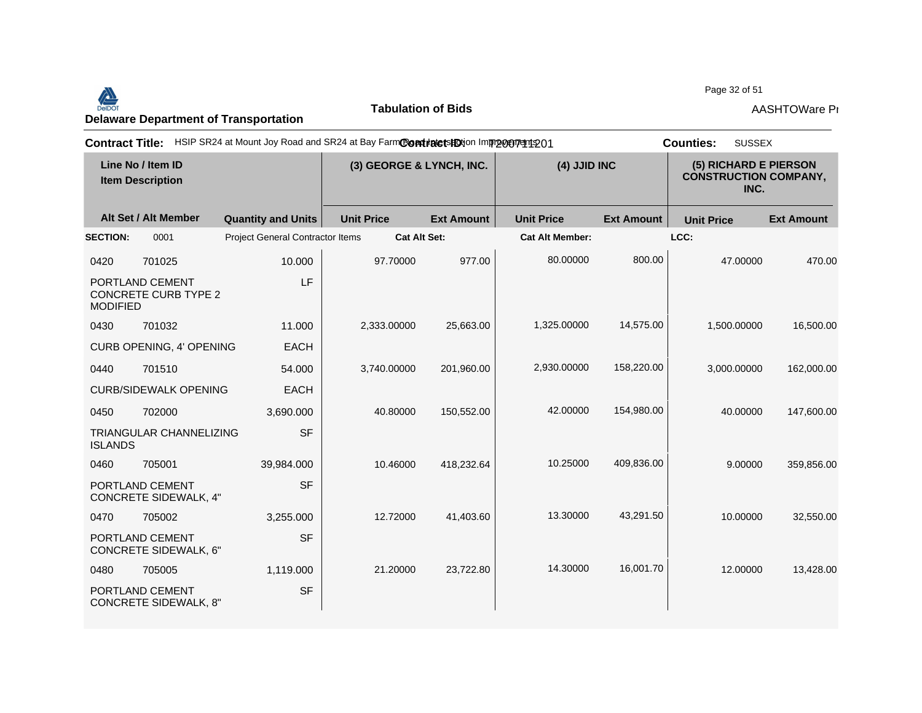Page 32 of 51



**Tabulation of Bids**

| <b>Contract Title:</b> |                                                 | HSIP SR24 at Mount Joy Road and SR24 at Bay FarmContinute tshotion Improvement 201 |                          |                   |                        |                                                               | <b>SUSSEX</b><br><b>Counties:</b> |                   |
|------------------------|-------------------------------------------------|------------------------------------------------------------------------------------|--------------------------|-------------------|------------------------|---------------------------------------------------------------|-----------------------------------|-------------------|
|                        | Line No / Item ID<br><b>Item Description</b>    |                                                                                    | (3) GEORGE & LYNCH, INC. |                   | (4) JJID INC           | (5) RICHARD E PIERSON<br><b>CONSTRUCTION COMPANY,</b><br>INC. |                                   |                   |
|                        | Alt Set / Alt Member                            | <b>Quantity and Units</b>                                                          | <b>Unit Price</b>        | <b>Ext Amount</b> | <b>Unit Price</b>      | <b>Ext Amount</b>                                             | <b>Unit Price</b>                 | <b>Ext Amount</b> |
| <b>SECTION:</b>        | 0001                                            | <b>Project General Contractor Items</b>                                            | <b>Cat Alt Set:</b>      |                   | <b>Cat Alt Member:</b> |                                                               | LCC:                              |                   |
| 0420                   | 701025                                          | 10.000                                                                             | 97.70000                 | 977.00            | 80.00000               | 800.00                                                        | 47.00000                          | 470.00            |
| <b>MODIFIED</b>        | PORTLAND CEMENT<br><b>CONCRETE CURB TYPE 2</b>  | LF                                                                                 |                          |                   |                        |                                                               |                                   |                   |
| 0430                   | 701032                                          | 11.000                                                                             | 2,333.00000              | 25,663.00         | 1,325.00000            | 14,575.00                                                     | 1,500.00000                       | 16,500.00         |
|                        | CURB OPENING, 4' OPENING                        | <b>EACH</b>                                                                        |                          |                   |                        |                                                               |                                   |                   |
| 0440                   | 701510                                          | 54.000                                                                             | 3,740.00000              | 201.960.00        | 2,930.00000            | 158,220.00                                                    | 3,000.00000                       | 162,000.00        |
|                        | <b>CURB/SIDEWALK OPENING</b>                    | <b>EACH</b>                                                                        |                          |                   |                        |                                                               |                                   |                   |
| 0450                   | 702000                                          | 3,690.000                                                                          | 40.80000                 | 150,552.00        | 42.00000               | 154,980.00                                                    | 40.00000                          | 147,600.00        |
| <b>ISLANDS</b>         | <b>TRIANGULAR CHANNELIZING</b>                  | <b>SF</b>                                                                          |                          |                   |                        |                                                               |                                   |                   |
| 0460                   | 705001                                          | 39,984.000                                                                         | 10.46000                 | 418,232.64        | 10.25000               | 409,836.00                                                    | 9.00000                           | 359,856.00        |
|                        | PORTLAND CEMENT<br><b>CONCRETE SIDEWALK, 4"</b> | <b>SF</b>                                                                          |                          |                   |                        |                                                               |                                   |                   |
| 0470                   | 705002                                          | 3,255.000                                                                          | 12.72000                 | 41,403.60         | 13.30000               | 43,291.50                                                     | 10.00000                          | 32,550.00         |
|                        | PORTLAND CEMENT<br><b>CONCRETE SIDEWALK, 6"</b> | <b>SF</b>                                                                          |                          |                   |                        |                                                               |                                   |                   |
| 0480                   | 705005                                          | 1,119.000                                                                          | 21.20000                 | 23,722.80         | 14.30000               | 16,001.70                                                     | 12.00000                          | 13,428.00         |
|                        | PORTLAND CEMENT<br><b>CONCRETE SIDEWALK, 8"</b> | <b>SF</b>                                                                          |                          |                   |                        |                                                               |                                   |                   |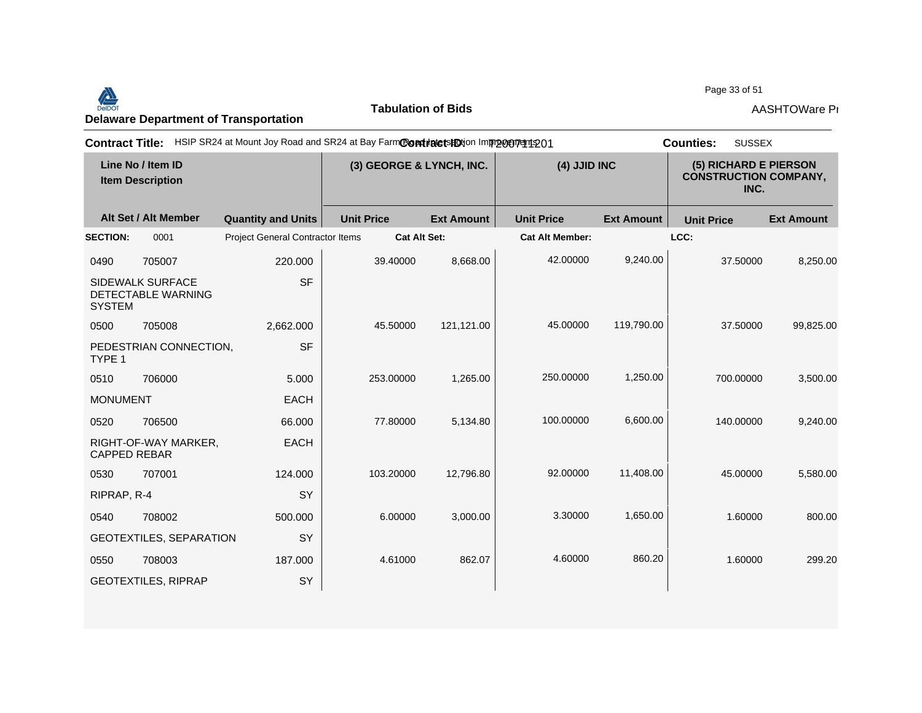## Page 33 of 51<br>Delaware Department of Transportation **AASHTOWare Properties AASHTOWare Properties**<br>Delaware Department of Transportation

**Tabulation of Bids**

Page 33 of 51

| <b>Contract Title:</b> |                                              | HSIP SR24 at Mount Joy Road and SR24 at Bay FarmCondidetsHDtion Improvement 201 |                          |                     |                        |                   | <b>SUSSEX</b><br><b>Counties:</b>                             |                   |
|------------------------|----------------------------------------------|---------------------------------------------------------------------------------|--------------------------|---------------------|------------------------|-------------------|---------------------------------------------------------------|-------------------|
|                        | Line No / Item ID<br><b>Item Description</b> |                                                                                 | (3) GEORGE & LYNCH, INC. |                     | (4) JJID INC           |                   | (5) RICHARD E PIERSON<br><b>CONSTRUCTION COMPANY,</b><br>INC. |                   |
|                        | Alt Set / Alt Member                         | <b>Quantity and Units</b>                                                       | <b>Unit Price</b>        | <b>Ext Amount</b>   | <b>Unit Price</b>      | <b>Ext Amount</b> | <b>Unit Price</b>                                             | <b>Ext Amount</b> |
| <b>SECTION:</b>        | 0001                                         | <b>Project General Contractor Items</b>                                         |                          | <b>Cat Alt Set:</b> | <b>Cat Alt Member:</b> |                   | LCC:                                                          |                   |
| 0490                   | 705007                                       | 220.000                                                                         | 39.40000                 | 8,668.00            | 42.00000               | 9,240.00          | 37.50000                                                      | 8,250.00          |
| <b>SYSTEM</b>          | SIDEWALK SURFACE<br>DETECTABLE WARNING       | <b>SF</b>                                                                       |                          |                     |                        |                   |                                                               |                   |
| 0500                   | 705008                                       | 2,662.000                                                                       | 45.50000                 | 121,121.00          | 45.00000               | 119,790.00        | 37.50000                                                      | 99,825.00         |
| TYPE 1                 | PEDESTRIAN CONNECTION,                       | <b>SF</b>                                                                       |                          |                     |                        |                   |                                                               |                   |
| 0510                   | 706000                                       | 5.000                                                                           | 253.00000                | 1,265.00            | 250.00000              | 1,250.00          | 700.00000                                                     | 3,500.00          |
| <b>MONUMENT</b>        |                                              | <b>EACH</b>                                                                     |                          |                     |                        |                   |                                                               |                   |
| 0520                   | 706500                                       | 66.000                                                                          | 77,80000                 | 5,134.80            | 100.00000              | 6,600.00          | 140.00000                                                     | 9,240.00          |
| <b>CAPPED REBAR</b>    | RIGHT-OF-WAY MARKER,                         | <b>EACH</b>                                                                     |                          |                     |                        |                   |                                                               |                   |
| 0530                   | 707001                                       | 124.000                                                                         | 103.20000                | 12,796.80           | 92.00000               | 11,408.00         | 45.00000                                                      | 5,580.00          |
| RIPRAP, R-4            |                                              | SY                                                                              |                          |                     |                        |                   |                                                               |                   |
| 0540                   | 708002                                       | 500.000                                                                         | 6.00000                  | 3,000.00            | 3.30000                | 1,650.00          | 1.60000                                                       | 800.00            |
|                        | <b>GEOTEXTILES, SEPARATION</b>               | SY                                                                              |                          |                     |                        |                   |                                                               |                   |
| 0550                   | 708003                                       | 187.000                                                                         | 4.61000                  | 862.07              | 4.60000                | 860.20            | 1.60000                                                       | 299.20            |
|                        | <b>GEOTEXTILES, RIPRAP</b>                   | SY                                                                              |                          |                     |                        |                   |                                                               |                   |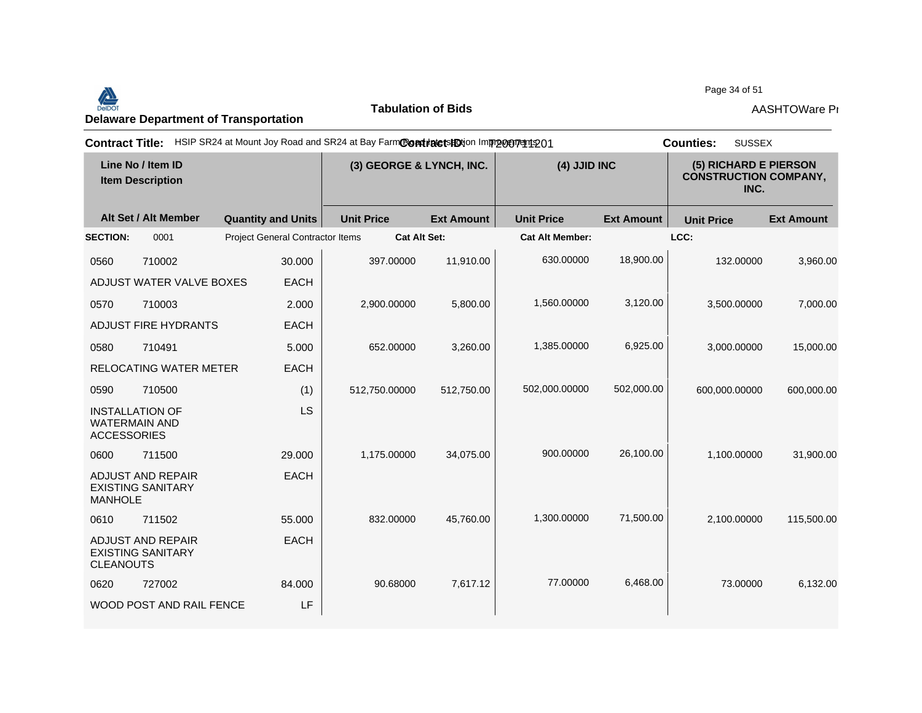Page 34 of 51



**Tabulation of Bids**

| <b>Contract Title:</b> |                                                      | HSIP SR24 at Mount Joy Road and SR24 at Bay FarmContinute to HO in procept at 01 |                          |                   |                        |                   | <b>SUSSEX</b><br><b>Counties:</b>                             |                   |
|------------------------|------------------------------------------------------|----------------------------------------------------------------------------------|--------------------------|-------------------|------------------------|-------------------|---------------------------------------------------------------|-------------------|
|                        | Line No / Item ID<br><b>Item Description</b>         |                                                                                  | (3) GEORGE & LYNCH, INC. |                   | (4) JJID INC           |                   | (5) RICHARD E PIERSON<br><b>CONSTRUCTION COMPANY,</b><br>INC. |                   |
|                        | Alt Set / Alt Member                                 | <b>Quantity and Units</b>                                                        | <b>Unit Price</b>        | <b>Ext Amount</b> | <b>Unit Price</b>      | <b>Ext Amount</b> | <b>Unit Price</b>                                             | <b>Ext Amount</b> |
| <b>SECTION:</b>        | 0001                                                 | <b>Project General Contractor Items</b>                                          | <b>Cat Alt Set:</b>      |                   | <b>Cat Alt Member:</b> |                   | LCC:                                                          |                   |
| 0560                   | 710002                                               | 30.000                                                                           | 397.00000                | 11,910.00         | 630.00000              | 18,900.00         | 132.00000                                                     | 3,960.00          |
|                        | ADJUST WATER VALVE BOXES                             | <b>EACH</b>                                                                      |                          |                   |                        |                   |                                                               |                   |
| 0570                   | 710003                                               | 2.000                                                                            | 2,900.00000              | 5,800.00          | 1,560.00000            | 3,120.00          | 3,500.00000                                                   | 7,000.00          |
|                        | <b>ADJUST FIRE HYDRANTS</b>                          | <b>EACH</b>                                                                      |                          |                   |                        |                   |                                                               |                   |
| 0580                   | 710491                                               | 5.000                                                                            | 652.00000                | 3,260.00          | 1,385.00000            | 6,925.00          | 3,000.00000                                                   | 15,000.00         |
|                        | <b>RELOCATING WATER METER</b>                        | <b>EACH</b>                                                                      |                          |                   |                        |                   |                                                               |                   |
| 0590                   | 710500                                               | (1)                                                                              | 512,750.00000            | 512,750.00        | 502,000.00000          | 502,000.00        | 600,000.00000                                                 | 600,000.00        |
| <b>ACCESSORIES</b>     | <b>INSTALLATION OF</b><br><b>WATERMAIN AND</b>       | <b>LS</b>                                                                        |                          |                   |                        |                   |                                                               |                   |
| 0600                   | 711500                                               | 29.000                                                                           | 1,175.00000              | 34,075.00         | 900.00000              | 26,100.00         | 1,100.00000                                                   | 31,900.00         |
| <b>MANHOLE</b>         | <b>ADJUST AND REPAIR</b><br><b>EXISTING SANITARY</b> | <b>EACH</b>                                                                      |                          |                   |                        |                   |                                                               |                   |
| 0610                   | 711502                                               | 55.000                                                                           | 832.00000                | 45,760.00         | 1,300.00000            | 71,500.00         | 2,100.00000                                                   | 115,500.00        |
| <b>CLEANOUTS</b>       | <b>ADJUST AND REPAIR</b><br><b>EXISTING SANITARY</b> | <b>EACH</b>                                                                      |                          |                   |                        |                   |                                                               |                   |
| 0620                   | 727002                                               | 84.000                                                                           | 90.68000                 | 7,617.12          | 77.00000               | 6,468.00          | 73.00000                                                      | 6,132.00          |
|                        | WOOD POST AND RAIL FENCE                             | LF                                                                               |                          |                   |                        |                   |                                                               |                   |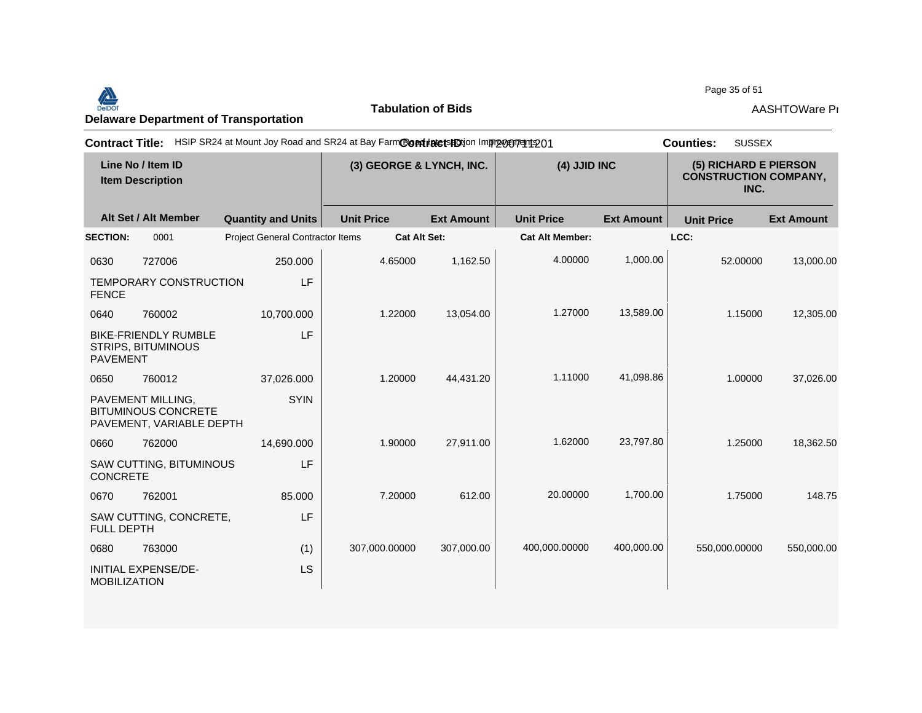## Page 35 of 51<br>Delaware Department of Transportation **AASHTOWare Properties AASHTOWare Properties**<br>Delaware Department of Transportation

**Tabulation of Bids**

Page 35 of 51

|                     |                                                                             | Contract Title: HSIP SR24 at Mount Joy Road and SR24 at Bay FarmContracts HDtion Improgenters 01 |                   |                          |                        |                   | <b>SUSSEX</b><br><b>Counties:</b>                             |                   |
|---------------------|-----------------------------------------------------------------------------|--------------------------------------------------------------------------------------------------|-------------------|--------------------------|------------------------|-------------------|---------------------------------------------------------------|-------------------|
|                     | Line No / Item ID<br><b>Item Description</b>                                |                                                                                                  |                   | (3) GEORGE & LYNCH, INC. | (4) JJID INC           |                   | (5) RICHARD E PIERSON<br><b>CONSTRUCTION COMPANY,</b><br>INC. |                   |
|                     | Alt Set / Alt Member                                                        | <b>Quantity and Units</b>                                                                        | <b>Unit Price</b> | <b>Ext Amount</b>        | <b>Unit Price</b>      | <b>Ext Amount</b> | <b>Unit Price</b>                                             | <b>Ext Amount</b> |
| <b>SECTION:</b>     | 0001                                                                        | Project General Contractor Items                                                                 |                   | <b>Cat Alt Set:</b>      | <b>Cat Alt Member:</b> |                   | LCC:                                                          |                   |
| 0630                | 727006                                                                      | 250.000                                                                                          | 4.65000           | 1,162.50                 | 4.00000                | 1,000.00          | 52.00000                                                      | 13,000.00         |
| <b>FENCE</b>        | TEMPORARY CONSTRUCTION                                                      | LF                                                                                               |                   |                          |                        |                   |                                                               |                   |
| 0640                | 760002                                                                      | 10,700.000                                                                                       | 1.22000           | 13,054.00                | 1.27000                | 13,589.00         | 1.15000                                                       | 12,305.00         |
| <b>PAVEMENT</b>     | <b>BIKE-FRIENDLY RUMBLE</b><br><b>STRIPS, BITUMINOUS</b>                    | LF                                                                                               |                   |                          |                        |                   |                                                               |                   |
| 0650                | 760012                                                                      | 37,026.000                                                                                       | 1.20000           | 44,431.20                | 1.11000                | 41,098.86         | 1.00000                                                       | 37,026.00         |
|                     | PAVEMENT MILLING,<br><b>BITUMINOUS CONCRETE</b><br>PAVEMENT, VARIABLE DEPTH | <b>SYIN</b>                                                                                      |                   |                          |                        |                   |                                                               |                   |
| 0660                | 762000                                                                      | 14,690.000                                                                                       | 1.90000           | 27,911.00                | 1.62000                | 23,797.80         | 1.25000                                                       | 18,362.50         |
| <b>CONCRETE</b>     | SAW CUTTING, BITUMINOUS                                                     | LF                                                                                               |                   |                          |                        |                   |                                                               |                   |
| 0670                | 762001                                                                      | 85.000                                                                                           | 7.20000           | 612.00                   | 20.00000               | 1.700.00          | 1.75000                                                       | 148.75            |
| <b>FULL DEPTH</b>   | SAW CUTTING, CONCRETE,                                                      | LF                                                                                               |                   |                          |                        |                   |                                                               |                   |
| 0680                | 763000                                                                      | (1)                                                                                              | 307,000.00000     | 307,000.00               | 400,000.00000          | 400,000.00        | 550,000.00000                                                 | 550,000.00        |
| <b>MOBILIZATION</b> | INITIAL EXPENSE/DE-                                                         | <b>LS</b>                                                                                        |                   |                          |                        |                   |                                                               |                   |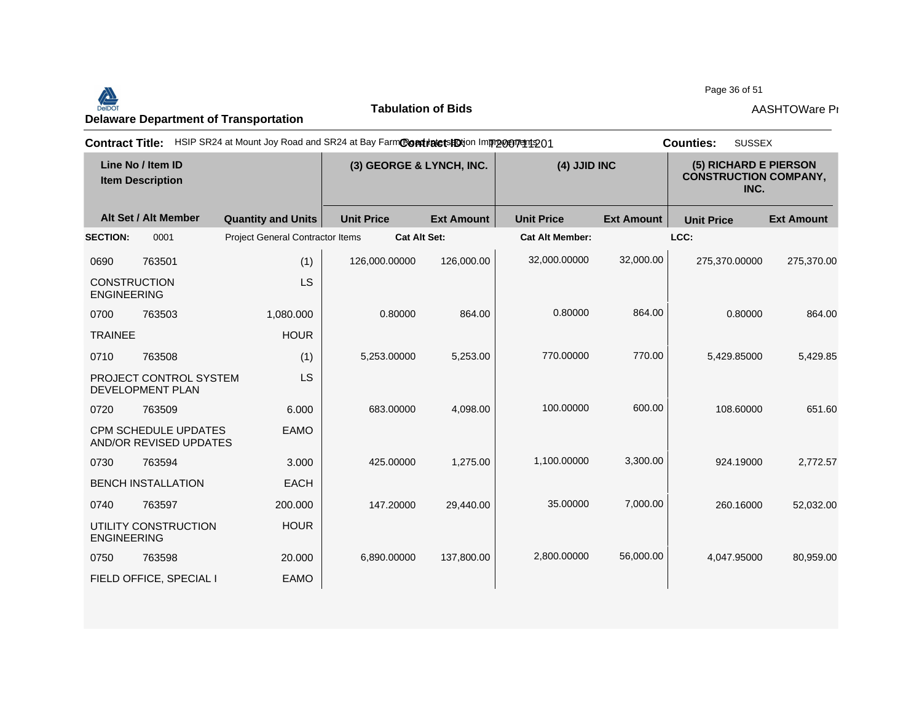Page 36 of 51<br>Delaware Department of Transportation **AASHTOWare Properties AASHTOWare Properties**<br>Delaware Department of Transportation

**Tabulation of Bids**

Page 36 of 51

| <b>Contract Title:</b> |                                                       | HSIP SR24 at Mount Joy Road and SR24 at Bay FarmContrate tshotion Improceptent 201 |                          |                     |                        |                   | <b>SUSSEX</b><br><b>Counties:</b>                             |                   |
|------------------------|-------------------------------------------------------|------------------------------------------------------------------------------------|--------------------------|---------------------|------------------------|-------------------|---------------------------------------------------------------|-------------------|
|                        | Line No / Item ID<br><b>Item Description</b>          |                                                                                    | (3) GEORGE & LYNCH, INC. |                     | (4) JJID INC           |                   | (5) RICHARD E PIERSON<br><b>CONSTRUCTION COMPANY,</b><br>INC. |                   |
|                        | Alt Set / Alt Member                                  | <b>Quantity and Units</b>                                                          | <b>Unit Price</b>        | <b>Ext Amount</b>   | <b>Unit Price</b>      | <b>Ext Amount</b> | <b>Unit Price</b>                                             | <b>Ext Amount</b> |
| <b>SECTION:</b>        | 0001                                                  | Project General Contractor Items                                                   |                          | <b>Cat Alt Set:</b> | <b>Cat Alt Member:</b> |                   | LCC:                                                          |                   |
| 0690                   | 763501                                                | (1)                                                                                | 126,000.00000            | 126,000.00          | 32,000.00000           | 32,000.00         | 275,370.00000                                                 | 275,370.00        |
| <b>ENGINEERING</b>     | <b>CONSTRUCTION</b>                                   | LS                                                                                 |                          |                     |                        |                   |                                                               |                   |
| 0700                   | 763503                                                | 1,080.000                                                                          | 0.80000                  | 864.00              | 0.80000                | 864.00            | 0.80000                                                       | 864.00            |
| <b>TRAINEE</b>         |                                                       | <b>HOUR</b>                                                                        |                          |                     |                        |                   |                                                               |                   |
| 0710                   | 763508                                                | (1)                                                                                | 5,253.00000              | 5,253.00            | 770.00000              | 770.00            | 5,429.85000                                                   | 5,429.85          |
|                        | PROJECT CONTROL SYSTEM<br>DEVELOPMENT PLAN            | LS                                                                                 |                          |                     |                        |                   |                                                               |                   |
| 0720                   | 763509                                                | 6.000                                                                              | 683.00000                | 4,098.00            | 100.00000              | 600.00            | 108.60000                                                     | 651.60            |
|                        | <b>CPM SCHEDULE UPDATES</b><br>AND/OR REVISED UPDATES | <b>EAMO</b>                                                                        |                          |                     |                        |                   |                                                               |                   |
| 0730                   | 763594                                                | 3.000                                                                              | 425.00000                | 1,275.00            | 1,100.00000            | 3,300.00          | 924.19000                                                     | 2,772.57          |
|                        | <b>BENCH INSTALLATION</b>                             | <b>EACH</b>                                                                        |                          |                     |                        |                   |                                                               |                   |
| 0740                   | 763597                                                | 200.000                                                                            | 147.20000                | 29,440.00           | 35.00000               | 7,000.00          | 260.16000                                                     | 52,032.00         |
| <b>ENGINEERING</b>     | UTILITY CONSTRUCTION                                  | <b>HOUR</b>                                                                        |                          |                     |                        |                   |                                                               |                   |
| 0750                   | 763598                                                | 20.000                                                                             | 6,890.00000              | 137,800.00          | 2,800.00000            | 56,000.00         | 4,047.95000                                                   | 80,959.00         |
|                        | FIELD OFFICE, SPECIAL I                               | <b>EAMO</b>                                                                        |                          |                     |                        |                   |                                                               |                   |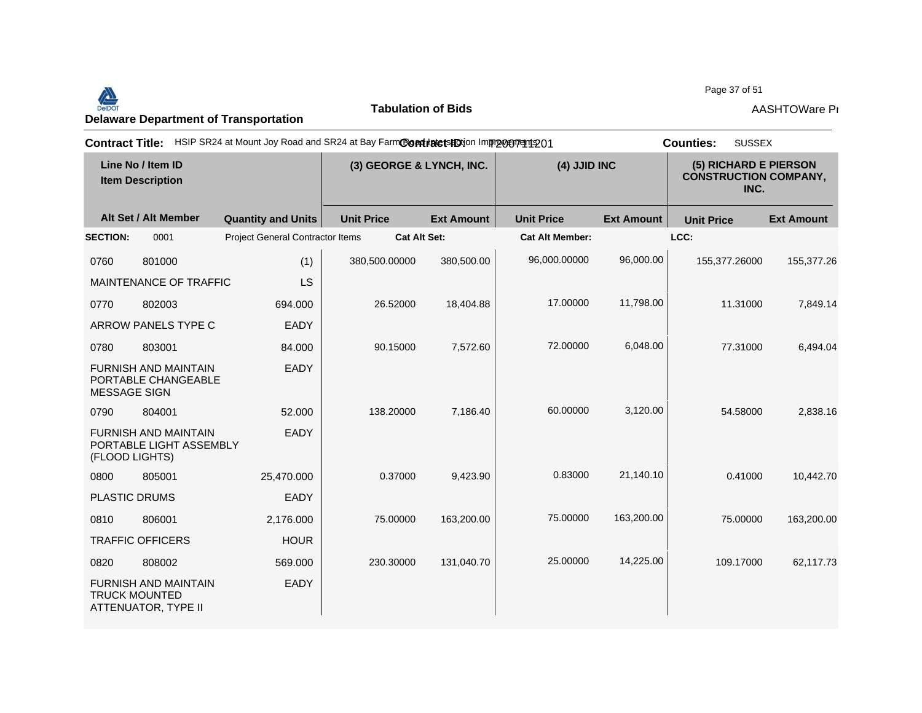**Tabulation of Bids** Page 37 of 51<br>Delaware Department of Transportation **AASHTOWare Properties AASHTOWare Properties**<br>Delaware Department of Transportation

Page 37 of 51

|                     |                                                                     | Contract Title: HSIP SR24 at Mount Joy Road and SR24 at Bay FarmContractsHDtion Imprograms 01 |                     |                                          |                        |                   | <b>SUSSEX</b><br><b>Counties:</b>                             |                   |
|---------------------|---------------------------------------------------------------------|-----------------------------------------------------------------------------------------------|---------------------|------------------------------------------|------------------------|-------------------|---------------------------------------------------------------|-------------------|
|                     | Line No / Item ID<br><b>Item Description</b>                        |                                                                                               |                     | (4) JJID INC<br>(3) GEORGE & LYNCH, INC. |                        |                   | (5) RICHARD E PIERSON<br><b>CONSTRUCTION COMPANY,</b><br>INC. |                   |
|                     | Alt Set / Alt Member                                                | <b>Quantity and Units</b>                                                                     | <b>Unit Price</b>   | <b>Ext Amount</b>                        | <b>Unit Price</b>      | <b>Ext Amount</b> | <b>Unit Price</b>                                             | <b>Ext Amount</b> |
| <b>SECTION:</b>     | 0001                                                                | Project General Contractor Items                                                              | <b>Cat Alt Set:</b> |                                          | <b>Cat Alt Member:</b> |                   | LCC:                                                          |                   |
| 0760                | 801000                                                              | (1)                                                                                           | 380,500.00000       | 380,500.00                               | 96,000.00000           | 96,000.00         | 155,377.26000                                                 | 155,377.26        |
|                     | MAINTENANCE OF TRAFFIC                                              | LS                                                                                            |                     |                                          |                        |                   |                                                               |                   |
| 0770                | 802003                                                              | 694.000                                                                                       | 26.52000            | 18,404.88                                | 17.00000               | 11,798.00         | 11.31000                                                      | 7,849.14          |
|                     | ARROW PANELS TYPE C                                                 | EADY                                                                                          |                     |                                          |                        |                   |                                                               |                   |
| 0780                | 803001                                                              | 84.000                                                                                        | 90.15000            | 7,572.60                                 | 72.00000               | 6,048.00          | 77.31000                                                      | 6,494.04          |
| <b>MESSAGE SIGN</b> | <b>FURNISH AND MAINTAIN</b><br>PORTABLE CHANGEABLE                  | EADY                                                                                          |                     |                                          |                        |                   |                                                               |                   |
| 0790                | 804001                                                              | 52.000                                                                                        | 138.20000           | 7,186.40                                 | 60.00000               | 3,120.00          | 54.58000                                                      | 2,838.16          |
| (FLOOD LIGHTS)      | <b>FURNISH AND MAINTAIN</b><br>PORTABLE LIGHT ASSEMBLY              | EADY                                                                                          |                     |                                          |                        |                   |                                                               |                   |
| 0800                | 805001                                                              | 25,470.000                                                                                    | 0.37000             | 9,423.90                                 | 0.83000                | 21,140.10         | 0.41000                                                       | 10,442.70         |
|                     | PLASTIC DRUMS                                                       | EADY                                                                                          |                     |                                          |                        |                   |                                                               |                   |
| 0810                | 806001                                                              | 2,176.000                                                                                     | 75.00000            | 163,200.00                               | 75.00000               | 163,200.00        | 75.00000                                                      | 163,200.00        |
|                     | <b>TRAFFIC OFFICERS</b>                                             | <b>HOUR</b>                                                                                   |                     |                                          |                        |                   |                                                               |                   |
| 0820                | 808002                                                              | 569.000                                                                                       | 230.30000           | 131,040.70                               | 25.00000               | 14,225.00         | 109.17000                                                     | 62,117.73         |
|                     | FURNISH AND MAINTAIN<br><b>TRUCK MOUNTED</b><br>ATTENUATOR, TYPE II | EADY                                                                                          |                     |                                          |                        |                   |                                                               |                   |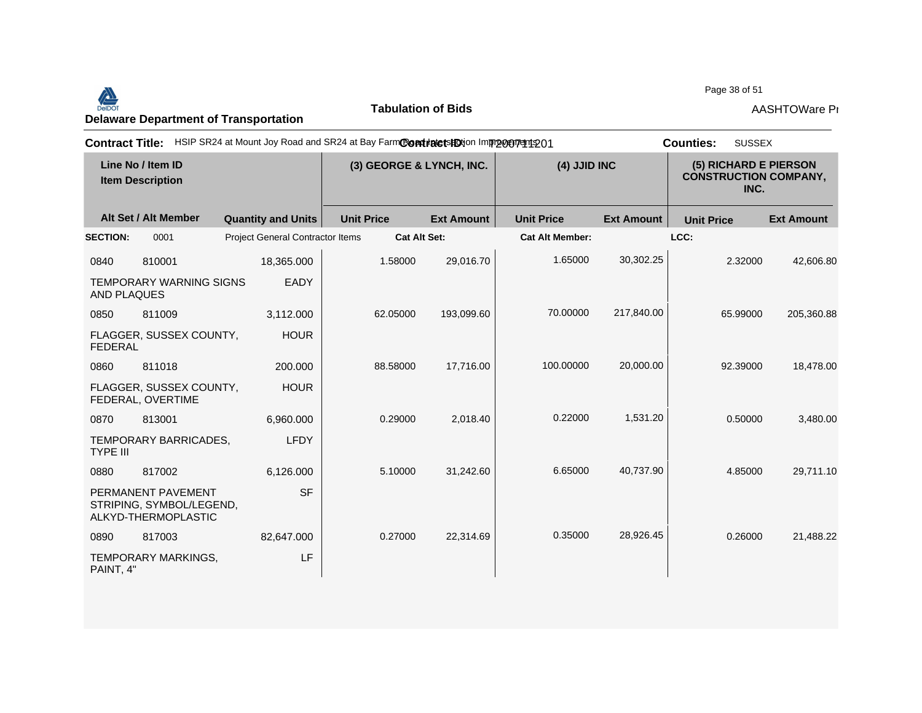Page 38 of 51<br>Delaware Department of Transportation **AASHTOWare Properties AASHTOWare Properties**<br>Delaware Department of Transportation

**Tabulation of Bids**

Page 38 of 51

| <b>Contract Title:</b> |                                                                       | HSIP SR24 at Mount Joy Road and SR24 at Bay FarmCondrate tshotion Improvement 201 |                   |                          |                        |                   | <b>SUSSEX</b><br><b>Counties:</b>                             |                   |
|------------------------|-----------------------------------------------------------------------|-----------------------------------------------------------------------------------|-------------------|--------------------------|------------------------|-------------------|---------------------------------------------------------------|-------------------|
|                        | Line No / Item ID<br><b>Item Description</b>                          |                                                                                   |                   | (3) GEORGE & LYNCH, INC. | (4) JJID INC           |                   | (5) RICHARD E PIERSON<br><b>CONSTRUCTION COMPANY,</b><br>INC. |                   |
|                        | Alt Set / Alt Member                                                  | <b>Quantity and Units</b>                                                         | <b>Unit Price</b> | <b>Ext Amount</b>        | <b>Unit Price</b>      | <b>Ext Amount</b> | <b>Unit Price</b>                                             | <b>Ext Amount</b> |
| <b>SECTION:</b>        | 0001                                                                  | <b>Project General Contractor Items</b>                                           |                   | <b>Cat Alt Set:</b>      | <b>Cat Alt Member:</b> |                   | LCC:                                                          |                   |
| 0840                   | 810001                                                                | 18,365.000                                                                        | 1.58000           | 29,016.70                | 1.65000                | 30,302.25         | 2.32000                                                       | 42,606.80         |
| <b>AND PLAQUES</b>     | <b>TEMPORARY WARNING SIGNS</b>                                        | EADY                                                                              |                   |                          |                        |                   |                                                               |                   |
| 0850                   | 811009                                                                | 3,112.000                                                                         | 62.05000          | 193,099.60               | 70.00000               | 217,840.00        | 65.99000                                                      | 205,360.88        |
| <b>FEDERAL</b>         | FLAGGER, SUSSEX COUNTY,                                               | <b>HOUR</b>                                                                       |                   |                          |                        |                   |                                                               |                   |
| 0860                   | 811018                                                                | 200.000                                                                           | 88.58000          | 17,716.00                | 100.00000              | 20,000.00         | 92.39000                                                      | 18,478.00         |
|                        | FLAGGER, SUSSEX COUNTY,<br>FEDERAL, OVERTIME                          | <b>HOUR</b>                                                                       |                   |                          |                        |                   |                                                               |                   |
| 0870                   | 813001                                                                | 6.960.000                                                                         | 0.29000           | 2.018.40                 | 0.22000                | 1,531.20          | 0.50000                                                       | 3,480.00          |
| <b>TYPE III</b>        | TEMPORARY BARRICADES,                                                 | <b>LFDY</b>                                                                       |                   |                          |                        |                   |                                                               |                   |
| 0880                   | 817002                                                                | 6,126.000                                                                         | 5.10000           | 31,242.60                | 6.65000                | 40,737.90         | 4.85000                                                       | 29,711.10         |
|                        | PERMANENT PAVEMENT<br>STRIPING, SYMBOL/LEGEND,<br>ALKYD-THERMOPLASTIC | <b>SF</b>                                                                         |                   |                          |                        |                   |                                                               |                   |
| 0890                   | 817003                                                                | 82,647.000                                                                        | 0.27000           | 22,314.69                | 0.35000                | 28,926.45         | 0.26000                                                       | 21,488.22         |
| PAINT, 4"              | TEMPORARY MARKINGS,                                                   | LF                                                                                |                   |                          |                        |                   |                                                               |                   |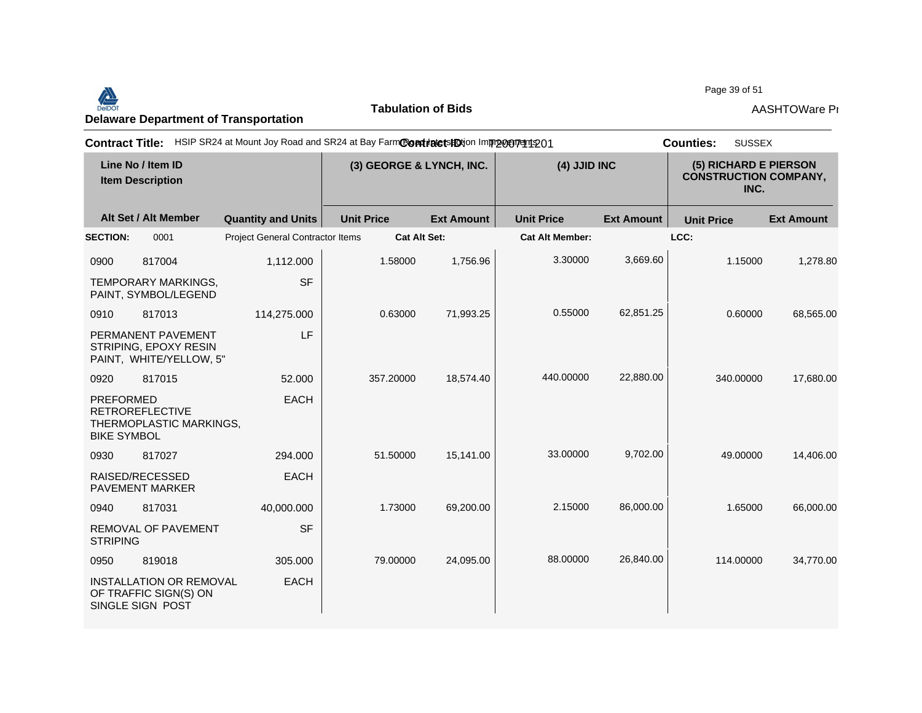## Page 39 of 51<br>Delaware Department of Transportation **AASHTOWare Properties AASHTOWare Properties**<br>Delaware Department of Transportation

**Tabulation of Bids**

Page 39 of 51

|                                        |                                                                             | Contract Title: HSIP SR24 at Mount Joy Road and SR24 at Bay FarmContractsHDtion Imprograms 01 |                          |                   |                        |                   | <b>SUSSEX</b><br><b>Counties:</b>                             |                   |
|----------------------------------------|-----------------------------------------------------------------------------|-----------------------------------------------------------------------------------------------|--------------------------|-------------------|------------------------|-------------------|---------------------------------------------------------------|-------------------|
|                                        | Line No / Item ID<br><b>Item Description</b>                                |                                                                                               | (3) GEORGE & LYNCH, INC. |                   | (4) JJID INC           |                   | (5) RICHARD E PIERSON<br><b>CONSTRUCTION COMPANY,</b><br>INC. |                   |
|                                        | Alt Set / Alt Member                                                        | <b>Quantity and Units</b>                                                                     | <b>Unit Price</b>        | <b>Ext Amount</b> | <b>Unit Price</b>      | <b>Ext Amount</b> | <b>Unit Price</b>                                             | <b>Ext Amount</b> |
| <b>SECTION:</b>                        | 0001                                                                        | <b>Project General Contractor Items</b>                                                       |                          | Cat Alt Set:      | <b>Cat Alt Member:</b> |                   | LCC:                                                          |                   |
| 0900                                   | 817004                                                                      | 1,112.000                                                                                     | 1.58000                  | 1,756.96          | 3.30000                | 3,669.60          | 1.15000                                                       | 1,278.80          |
|                                        | <b>TEMPORARY MARKINGS,</b><br>PAINT, SYMBOL/LEGEND                          | <b>SF</b>                                                                                     |                          |                   |                        |                   |                                                               |                   |
| 0910                                   | 817013                                                                      | 114,275.000                                                                                   | 0.63000                  | 71,993.25         | 0.55000                | 62,851.25         | 0.60000                                                       | 68,565.00         |
|                                        | PERMANENT PAVEMENT<br>STRIPING, EPOXY RESIN<br>PAINT, WHITE/YELLOW, 5"      | LF                                                                                            |                          |                   |                        |                   |                                                               |                   |
| 0920                                   | 817015                                                                      | 52,000                                                                                        | 357.20000                | 18,574.40         | 440.00000              | 22,880.00         | 340.00000                                                     | 17,680.00         |
| <b>PREFORMED</b><br><b>BIKE SYMBOL</b> | <b>RETROREFLECTIVE</b><br>THERMOPLASTIC MARKINGS,                           | <b>EACH</b>                                                                                   |                          |                   |                        |                   |                                                               |                   |
| 0930                                   | 817027                                                                      | 294.000                                                                                       | 51.50000                 | 15,141.00         | 33.00000               | 9,702.00          | 49.00000                                                      | 14,406.00         |
|                                        | RAISED/RECESSED<br>PAVEMENT MARKER                                          | <b>EACH</b>                                                                                   |                          |                   |                        |                   |                                                               |                   |
| 0940                                   | 817031                                                                      | 40,000.000                                                                                    | 1.73000                  | 69,200.00         | 2.15000                | 86,000.00         | 1.65000                                                       | 66,000.00         |
| <b>STRIPING</b>                        | <b>REMOVAL OF PAVEMENT</b>                                                  | <b>SF</b>                                                                                     |                          |                   |                        |                   |                                                               |                   |
| 0950                                   | 819018                                                                      | 305.000                                                                                       | 79.00000                 | 24,095.00         | 88,00000               | 26,840.00         | 114.00000                                                     | 34,770.00         |
|                                        | <b>INSTALLATION OR REMOVAL</b><br>OF TRAFFIC SIGN(S) ON<br>SINGLE SIGN POST | <b>EACH</b>                                                                                   |                          |                   |                        |                   |                                                               |                   |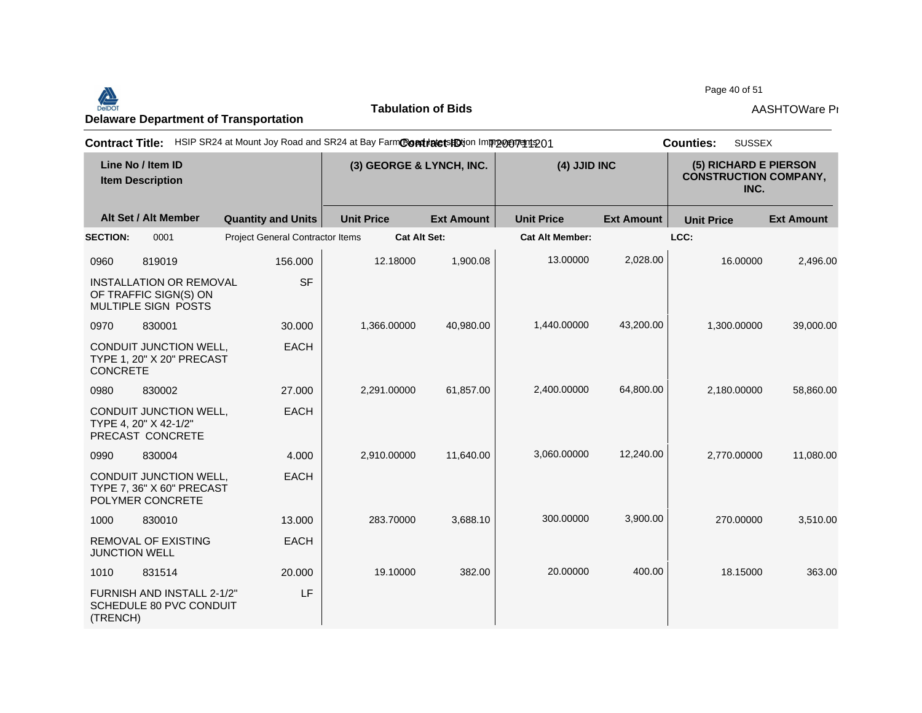Page 40 of 51<br>Delaware Department of Transportation **AASHTOWare Properties AASHTOWare Properties**<br>Delaware Department of Transportation

**Tabulation of Bids**

Page 40 of 51

|                 |                                                                                | Contract Title: HSIP SR24 at Mount Joy Road and SR24 at Bay FarmContracts EDijon Improgentering 01 |                          |                     |                        |                   | <b>SUSSEX</b><br><b>Counties:</b>                             |                   |
|-----------------|--------------------------------------------------------------------------------|----------------------------------------------------------------------------------------------------|--------------------------|---------------------|------------------------|-------------------|---------------------------------------------------------------|-------------------|
|                 | Line No / Item ID<br><b>Item Description</b>                                   |                                                                                                    | (3) GEORGE & LYNCH, INC. |                     | (4) JJID INC           |                   | (5) RICHARD E PIERSON<br><b>CONSTRUCTION COMPANY,</b><br>INC. |                   |
|                 | Alt Set / Alt Member                                                           | <b>Quantity and Units</b>                                                                          | <b>Unit Price</b>        | <b>Ext Amount</b>   | <b>Unit Price</b>      | <b>Ext Amount</b> | <b>Unit Price</b>                                             | <b>Ext Amount</b> |
| <b>SECTION:</b> | 0001                                                                           | Project General Contractor Items                                                                   |                          | <b>Cat Alt Set:</b> | <b>Cat Alt Member:</b> |                   | LCC:                                                          |                   |
| 0960            | 819019                                                                         | 156.000                                                                                            | 12.18000                 | 1,900.08            | 13.00000               | 2,028.00          | 16.00000                                                      | 2,496.00          |
|                 | <b>INSTALLATION OR REMOVAL</b><br>OF TRAFFIC SIGN(S) ON<br>MULTIPLE SIGN POSTS | <b>SF</b>                                                                                          |                          |                     |                        |                   |                                                               |                   |
| 0970            | 830001                                                                         | 30.000                                                                                             | 1,366.00000              | 40,980.00           | 1,440.00000            | 43,200.00         | 1,300.00000                                                   | 39,000.00         |
| <b>CONCRETE</b> | CONDUIT JUNCTION WELL,<br>TYPE 1, 20" X 20" PRECAST                            | <b>EACH</b>                                                                                        |                          |                     |                        |                   |                                                               |                   |
| 0980            | 830002                                                                         | 27.000                                                                                             | 2,291.00000              | 61,857.00           | 2,400.00000            | 64,800.00         | 2,180.00000                                                   | 58,860.00         |
|                 | CONDUIT JUNCTION WELL,<br>TYPE 4, 20" X 42-1/2"<br>PRECAST CONCRETE            | <b>EACH</b>                                                                                        |                          |                     |                        |                   |                                                               |                   |
| 0990            | 830004                                                                         | 4.000                                                                                              | 2,910.00000              | 11,640.00           | 3,060.00000            | 12,240.00         | 2,770.00000                                                   | 11,080.00         |
|                 | CONDUIT JUNCTION WELL,<br>TYPE 7, 36" X 60" PRECAST<br>POLYMER CONCRETE        | <b>EACH</b>                                                                                        |                          |                     |                        |                   |                                                               |                   |
| 1000            | 830010                                                                         | 13.000                                                                                             | 283.70000                | 3,688.10            | 300.00000              | 3,900.00          | 270.00000                                                     | 3,510.00          |
|                 | <b>REMOVAL OF EXISTING</b><br><b>JUNCTION WELL</b>                             | <b>EACH</b>                                                                                        |                          |                     |                        |                   |                                                               |                   |
| 1010            | 831514                                                                         | 20.000                                                                                             | 19.10000                 | 382.00              | 20.00000               | 400.00            | 18.15000                                                      | 363.00            |
| (TRENCH)        | FURNISH AND INSTALL 2-1/2"<br>SCHEDULE 80 PVC CONDUIT                          | LF                                                                                                 |                          |                     |                        |                   |                                                               |                   |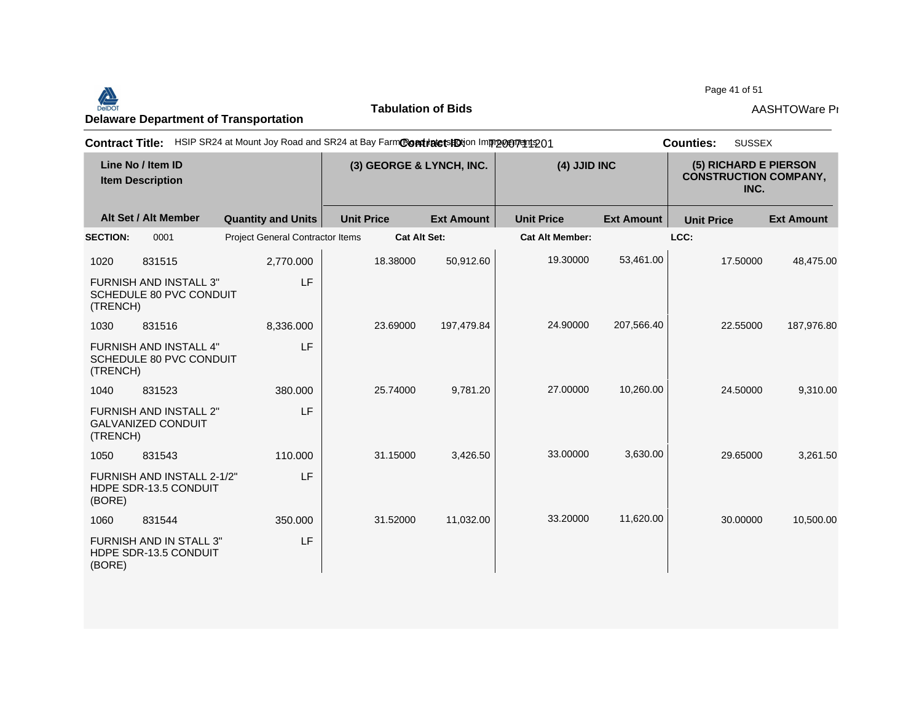Page 41 of 51<br>Delaware Department of Transportation **AASHTOWare Properties AASHTOWare Properties**<br>Delaware Department of Transportation

**Tabulation of Bids**

Page 41 of 51

| <b>Contract Title:</b> |                                                          | HSIP SR24 at Mount Joy Road and SR24 at Bay FarmContialetshighton Imprompt at 201 |                   |                                          |                        |                   | <b>SUSSEX</b><br><b>Counties:</b>                             |                   |  |
|------------------------|----------------------------------------------------------|-----------------------------------------------------------------------------------|-------------------|------------------------------------------|------------------------|-------------------|---------------------------------------------------------------|-------------------|--|
|                        | Line No / Item ID<br><b>Item Description</b>             |                                                                                   |                   | (4) JJID INC<br>(3) GEORGE & LYNCH, INC. |                        |                   | (5) RICHARD E PIERSON<br><b>CONSTRUCTION COMPANY,</b><br>INC. |                   |  |
|                        | Alt Set / Alt Member                                     | <b>Quantity and Units</b>                                                         | <b>Unit Price</b> | <b>Ext Amount</b>                        | <b>Unit Price</b>      | <b>Ext Amount</b> | <b>Unit Price</b>                                             | <b>Ext Amount</b> |  |
| <b>SECTION:</b>        | 0001                                                     | <b>Project General Contractor Items</b>                                           |                   | <b>Cat Alt Set:</b>                      | <b>Cat Alt Member:</b> |                   | LCC:                                                          |                   |  |
| 1020                   | 831515                                                   | 2,770.000                                                                         | 18.38000          | 50,912.60                                | 19.30000               | 53,461.00         | 17.50000                                                      | 48,475.00         |  |
| (TRENCH)               | <b>FURNISH AND INSTALL 3"</b><br>SCHEDULE 80 PVC CONDUIT | LF                                                                                |                   |                                          |                        |                   |                                                               |                   |  |
| 1030                   | 831516                                                   | 8,336.000                                                                         | 23.69000          | 197,479.84                               | 24.90000               | 207,566.40        | 22.55000                                                      | 187,976.80        |  |
| (TRENCH)               | <b>FURNISH AND INSTALL 4"</b><br>SCHEDULE 80 PVC CONDUIT | LF                                                                                |                   |                                          |                        |                   |                                                               |                   |  |
| 1040                   | 831523                                                   | 380,000                                                                           | 25.74000          | 9,781.20                                 | 27.00000               | 10,260.00         | 24.50000                                                      | 9,310.00          |  |
| (TRENCH)               | FURNISH AND INSTALL 2"<br><b>GALVANIZED CONDUIT</b>      | LF                                                                                |                   |                                          |                        |                   |                                                               |                   |  |
| 1050                   | 831543                                                   | 110,000                                                                           | 31.15000          | 3,426.50                                 | 33.00000               | 3,630.00          | 29.65000                                                      | 3,261.50          |  |
| (BORE)                 | FURNISH AND INSTALL 2-1/2"<br>HDPE SDR-13.5 CONDUIT      | LF                                                                                |                   |                                          |                        |                   |                                                               |                   |  |
| 1060                   | 831544                                                   | 350.000                                                                           | 31.52000          | 11,032.00                                | 33.20000               | 11,620.00         | 30.00000                                                      | 10,500.00         |  |
| (BORE)                 | <b>FURNISH AND IN STALL 3"</b><br>HDPE SDR-13.5 CONDUIT  | LF                                                                                |                   |                                          |                        |                   |                                                               |                   |  |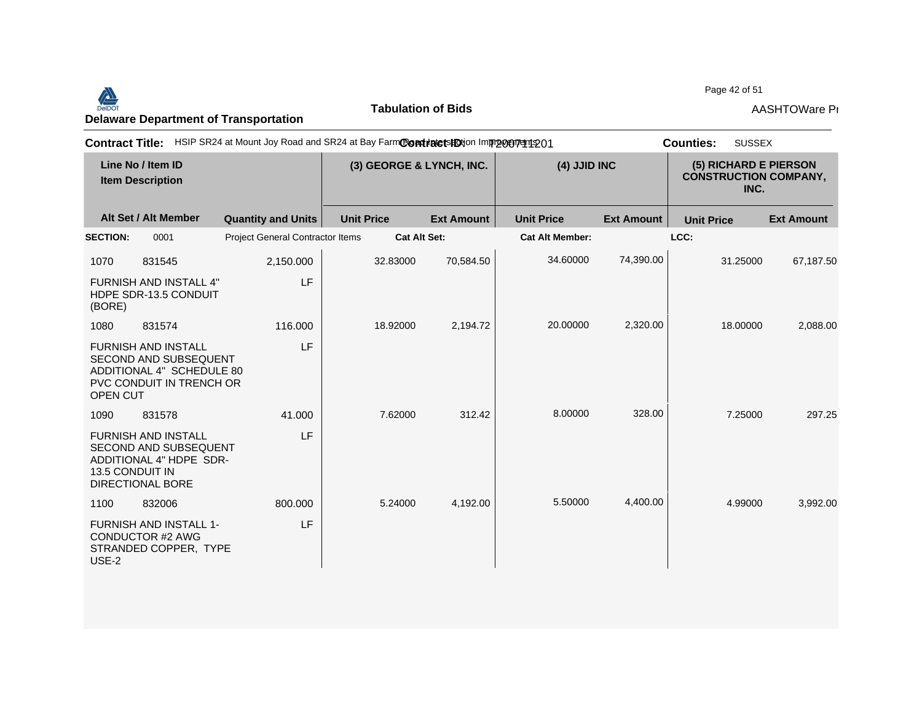Page 42 of 51<br>Delaware Department of Transportation **AASHTOWare Properties AASHTOWare Properties**<br>Delaware Department of Transportation

**Tabulation of Bids**

Page 42 of 51

| <b>Contract Title:</b> |                                                                                                                              | HSIP SR24 at Mount Joy Road and SR24 at Bay FarmContractshotion Improvement 201 |                   |                                          |                        |                   | <b>SUSSEX</b><br><b>Counties:</b>                             |                   |
|------------------------|------------------------------------------------------------------------------------------------------------------------------|---------------------------------------------------------------------------------|-------------------|------------------------------------------|------------------------|-------------------|---------------------------------------------------------------|-------------------|
|                        | Line No / Item ID<br><b>Item Description</b>                                                                                 |                                                                                 |                   | (4) JJID INC<br>(3) GEORGE & LYNCH, INC. |                        |                   | (5) RICHARD E PIERSON<br><b>CONSTRUCTION COMPANY,</b><br>INC. |                   |
|                        | Alt Set / Alt Member                                                                                                         | <b>Quantity and Units</b>                                                       | <b>Unit Price</b> | <b>Ext Amount</b>                        | <b>Unit Price</b>      | <b>Ext Amount</b> | <b>Unit Price</b>                                             | <b>Ext Amount</b> |
| <b>SECTION:</b>        | 0001                                                                                                                         | <b>Project General Contractor Items</b>                                         |                   | <b>Cat Alt Set:</b>                      | <b>Cat Alt Member:</b> |                   | LCC:                                                          |                   |
| 1070                   | 831545                                                                                                                       | 2,150.000                                                                       | 32.83000          | 70,584.50                                | 34.60000               | 74,390.00         | 31.25000                                                      | 67,187.50         |
| (BORE)                 | <b>FURNISH AND INSTALL 4"</b><br>HDPE SDR-13.5 CONDUIT                                                                       | LF                                                                              |                   |                                          |                        |                   |                                                               |                   |
| 1080                   | 831574                                                                                                                       | 116,000                                                                         | 18.92000          | 2,194.72                                 | 20.00000               | 2,320.00          | 18.00000                                                      | 2,088.00          |
| <b>OPEN CUT</b>        | <b>FURNISH AND INSTALL</b><br>SECOND AND SUBSEQUENT<br>ADDITIONAL 4" SCHEDULE 80<br>PVC CONDUIT IN TRENCH OR                 | LF                                                                              |                   |                                          |                        |                   |                                                               |                   |
| 1090                   | 831578                                                                                                                       | 41.000                                                                          | 7.62000           | 312.42                                   | 8.00000                | 328.00            | 7.25000                                                       | 297.25            |
|                        | <b>FURNISH AND INSTALL</b><br>SECOND AND SUBSEQUENT<br>ADDITIONAL 4" HDPE SDR-<br>13.5 CONDUIT IN<br><b>DIRECTIONAL BORE</b> | LF                                                                              |                   |                                          |                        |                   |                                                               |                   |
| 1100                   | 832006                                                                                                                       | 800,000                                                                         | 5.24000           | 4,192.00                                 | 5.50000                | 4,400.00          | 4.99000                                                       | 3,992.00          |
| USE-2                  | <b>FURNISH AND INSTALL 1-</b><br>CONDUCTOR #2 AWG<br>STRANDED COPPER, TYPE                                                   | LF                                                                              |                   |                                          |                        |                   |                                                               |                   |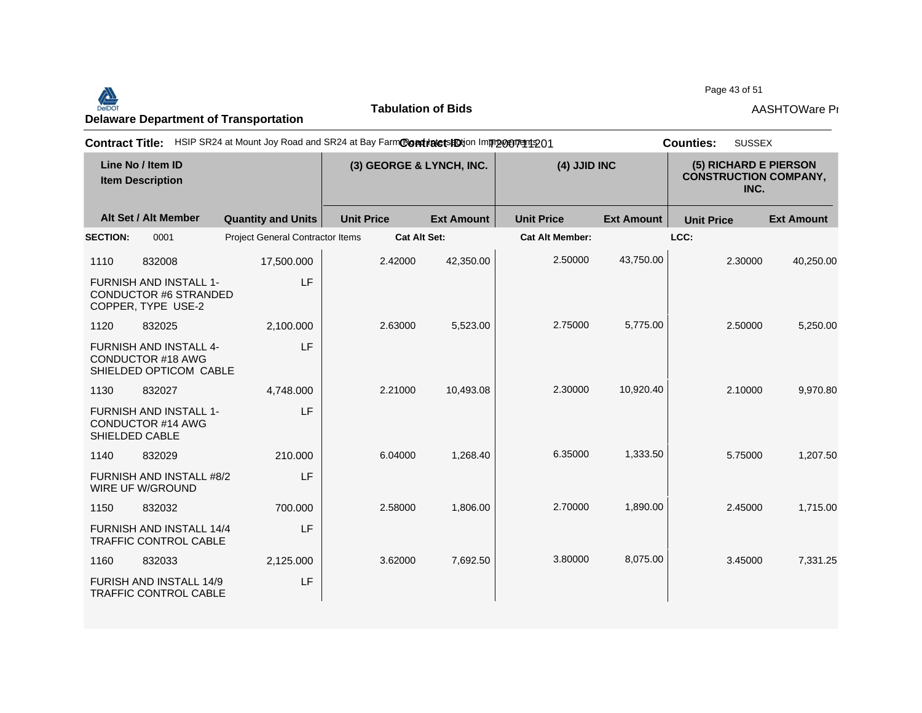Page 43 of 51<br>Delaware Department of Transportation **AASHTOWare Properties AASHTOWare Properties**<br>Delaware Department of Transportation

**Tabulation of Bids**

Page 43 of 51

|                                                                                     | Contract Title: HSIP SR24 at Mount Joy Road and SR24 at Bay FarmContractsHDtion Improment 201 |                   |                          |                        |                   | <b>SUSSEX</b><br><b>Counties:</b>                             |                   |
|-------------------------------------------------------------------------------------|-----------------------------------------------------------------------------------------------|-------------------|--------------------------|------------------------|-------------------|---------------------------------------------------------------|-------------------|
| Line No / Item ID<br><b>Item Description</b>                                        |                                                                                               |                   | (3) GEORGE & LYNCH, INC. | (4) JJID INC           |                   | (5) RICHARD E PIERSON<br><b>CONSTRUCTION COMPANY,</b><br>INC. |                   |
| Alt Set / Alt Member                                                                | <b>Quantity and Units</b>                                                                     | <b>Unit Price</b> | <b>Ext Amount</b>        | <b>Unit Price</b>      | <b>Ext Amount</b> | <b>Unit Price</b>                                             | <b>Ext Amount</b> |
| <b>SECTION:</b><br>0001                                                             | Project General Contractor Items                                                              |                   | <b>Cat Alt Set:</b>      | <b>Cat Alt Member:</b> |                   | LCC:                                                          |                   |
| 1110<br>832008                                                                      | 17,500.000                                                                                    | 2.42000           | 42,350.00                | 2.50000                | 43,750.00         | 2.30000                                                       | 40,250.00         |
| <b>FURNISH AND INSTALL 1-</b><br><b>CONDUCTOR #6 STRANDED</b><br>COPPER, TYPE USE-2 | LF                                                                                            |                   |                          |                        |                   |                                                               |                   |
| 1120<br>832025                                                                      | 2,100.000                                                                                     | 2.63000           | 5,523.00                 | 2.75000                | 5,775.00          | 2.50000                                                       | 5,250.00          |
| <b>FURNISH AND INSTALL 4-</b><br>CONDUCTOR #18 AWG<br>SHIELDED OPTICOM CABLE        | LF                                                                                            |                   |                          |                        |                   |                                                               |                   |
| 1130<br>832027                                                                      | 4.748.000                                                                                     | 2.21000           | 10,493.08                | 2.30000                | 10,920.40         | 2.10000                                                       | 9,970.80          |
| <b>FURNISH AND INSTALL 1-</b><br><b>CONDUCTOR #14 AWG</b><br>SHIELDED CABLE         | LF                                                                                            |                   |                          |                        |                   |                                                               |                   |
| 1140<br>832029                                                                      | 210,000                                                                                       | 6.04000           | 1,268.40                 | 6.35000                | 1,333.50          | 5.75000                                                       | 1,207.50          |
| FURNISH AND INSTALL #8/2<br>WIRE UF W/GROUND                                        | LF                                                                                            |                   |                          |                        |                   |                                                               |                   |
| 1150<br>832032                                                                      | 700.000                                                                                       | 2.58000           | 1,806.00                 | 2.70000                | 1,890.00          | 2.45000                                                       | 1,715.00          |
| FURNISH AND INSTALL 14/4<br><b>TRAFFIC CONTROL CABLE</b>                            | LF                                                                                            |                   |                          |                        |                   |                                                               |                   |
| 1160<br>832033                                                                      | 2,125.000                                                                                     | 3.62000           | 7,692.50                 | 3.80000                | 8,075.00          | 3.45000                                                       | 7,331.25          |
| <b>FURISH AND INSTALL 14/9</b><br><b>TRAFFIC CONTROL CABLE</b>                      | LF                                                                                            |                   |                          |                        |                   |                                                               |                   |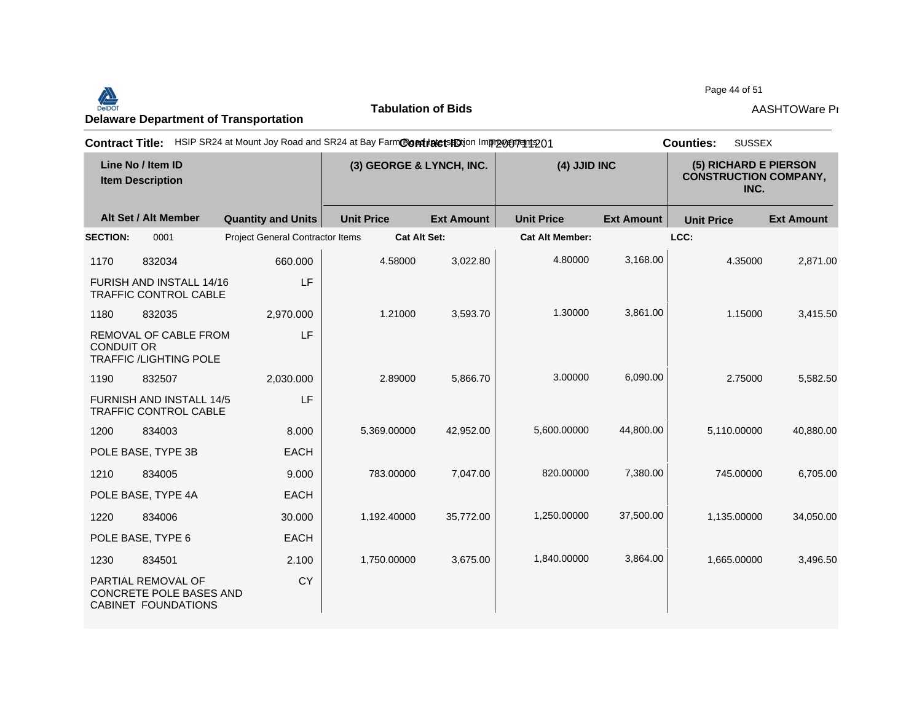# Page 44 of 51<br>Delaware Department of Transportation **AASHTOWare Properties AASHTOWare Properties**<br>Delaware Department of Transportation

**Tabulation of Bids**

Page 44 of 51

|                                              |                                                                      | Contract Title: HSIP SR24 at Mount Joy Road and SR24 at Bay FarmContractsHDtion Imprograms 01 |                   |                   |                        |                                                               | <b>SUSSEX</b><br><b>Counties:</b> |                   |
|----------------------------------------------|----------------------------------------------------------------------|-----------------------------------------------------------------------------------------------|-------------------|-------------------|------------------------|---------------------------------------------------------------|-----------------------------------|-------------------|
| Line No / Item ID<br><b>Item Description</b> |                                                                      | (3) GEORGE & LYNCH, INC.                                                                      |                   | (4) JJID INC      |                        | (5) RICHARD E PIERSON<br><b>CONSTRUCTION COMPANY,</b><br>INC. |                                   |                   |
|                                              | Alt Set / Alt Member                                                 | <b>Quantity and Units</b>                                                                     | <b>Unit Price</b> | <b>Ext Amount</b> | <b>Unit Price</b>      | <b>Ext Amount</b>                                             | <b>Unit Price</b>                 | <b>Ext Amount</b> |
| <b>SECTION:</b>                              | 0001                                                                 | Project General Contractor Items                                                              |                   | Cat Alt Set:      | <b>Cat Alt Member:</b> |                                                               | LCC:                              |                   |
| 1170                                         | 832034                                                               | 660,000                                                                                       | 4.58000           | 3,022.80          | 4.80000                | 3,168.00                                                      | 4.35000                           | 2,871.00          |
|                                              | FURISH AND INSTALL 14/16<br><b>TRAFFIC CONTROL CABLE</b>             | LF                                                                                            |                   |                   |                        |                                                               |                                   |                   |
| 1180                                         | 832035                                                               | 2,970.000                                                                                     | 1.21000           | 3,593.70          | 1.30000                | 3,861.00                                                      | 1.15000                           | 3,415.50          |
| <b>CONDUIT OR</b>                            | REMOVAL OF CABLE FROM<br><b>TRAFFIC /LIGHTING POLE</b>               | LF                                                                                            |                   |                   |                        |                                                               |                                   |                   |
| 1190                                         | 832507                                                               | 2,030.000                                                                                     | 2.89000           | 5,866.70          | 3.00000                | 6,090.00                                                      | 2.75000                           | 5,582.50          |
|                                              | FURNISH AND INSTALL 14/5<br>TRAFFIC CONTROL CABLE                    | LF                                                                                            |                   |                   |                        |                                                               |                                   |                   |
| 1200                                         | 834003                                                               | 8.000                                                                                         | 5,369.00000       | 42,952.00         | 5,600.00000            | 44,800.00                                                     | 5,110.00000                       | 40,880.00         |
|                                              | POLE BASE, TYPE 3B                                                   | <b>EACH</b>                                                                                   |                   |                   |                        |                                                               |                                   |                   |
| 1210                                         | 834005                                                               | 9.000                                                                                         | 783.00000         | 7,047.00          | 820.00000              | 7,380.00                                                      | 745.00000                         | 6,705.00          |
|                                              | POLE BASE, TYPE 4A                                                   | <b>EACH</b>                                                                                   |                   |                   |                        |                                                               |                                   |                   |
| 1220                                         | 834006                                                               | 30.000                                                                                        | 1,192.40000       | 35,772.00         | 1,250.00000            | 37,500.00                                                     | 1,135.00000                       | 34,050.00         |
|                                              | POLE BASE, TYPE 6                                                    | <b>EACH</b>                                                                                   |                   |                   |                        |                                                               |                                   |                   |
| 1230                                         | 834501                                                               | 2.100                                                                                         | 1,750.00000       | 3,675.00          | 1,840.00000            | 3,864.00                                                      | 1,665.00000                       | 3,496.50          |
|                                              | PARTIAL REMOVAL OF<br>CONCRETE POLE BASES AND<br>CABINET FOUNDATIONS | <b>CY</b>                                                                                     |                   |                   |                        |                                                               |                                   |                   |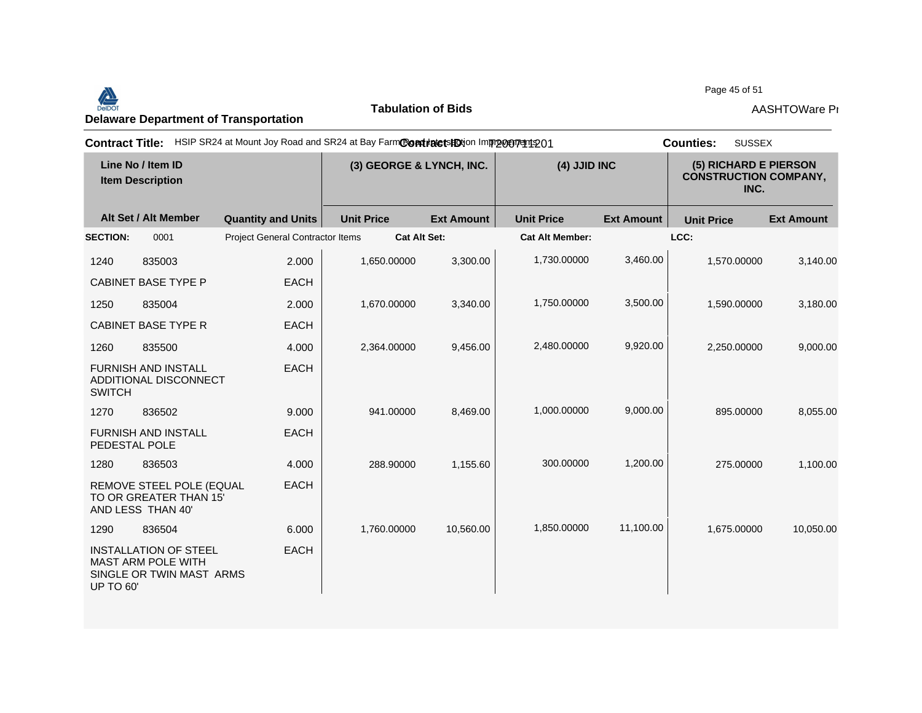Page 45 of 51<br>Delaware Department of Transportation **AASHTOWare Properties AASHTOWare Properties**<br>Delaware Department of Transportation

**Tabulation of Bids**

Page 45 of 51

| <b>Contract Title:</b>                       |                                                                                       | HSIP SR24 at Mount Joy Road and SR24 at Bay FarmContratetsHDtion Improceptedto1 |                          |                     |                        |                   | <b>SUSSEX</b><br><b>Counties:</b>                             |                   |
|----------------------------------------------|---------------------------------------------------------------------------------------|---------------------------------------------------------------------------------|--------------------------|---------------------|------------------------|-------------------|---------------------------------------------------------------|-------------------|
| Line No / Item ID<br><b>Item Description</b> |                                                                                       |                                                                                 | (3) GEORGE & LYNCH, INC. |                     | (4) JJID INC           |                   | (5) RICHARD E PIERSON<br><b>CONSTRUCTION COMPANY,</b><br>INC. |                   |
|                                              | Alt Set / Alt Member                                                                  | <b>Quantity and Units</b>                                                       | <b>Unit Price</b>        | <b>Ext Amount</b>   | <b>Unit Price</b>      | <b>Ext Amount</b> | <b>Unit Price</b>                                             | <b>Ext Amount</b> |
| <b>SECTION:</b>                              | 0001                                                                                  | <b>Project General Contractor Items</b>                                         |                          | <b>Cat Alt Set:</b> | <b>Cat Alt Member:</b> |                   | LCC:                                                          |                   |
| 1240                                         | 835003                                                                                | 2.000                                                                           | 1,650.00000              | 3,300.00            | 1,730.00000            | 3,460.00          | 1,570.00000                                                   | 3,140.00          |
|                                              | <b>CABINET BASE TYPE P</b>                                                            | <b>EACH</b>                                                                     |                          |                     |                        |                   |                                                               |                   |
| 1250                                         | 835004                                                                                | 2.000                                                                           | 1,670.00000              | 3,340.00            | 1,750.00000            | 3,500.00          | 1,590.00000                                                   | 3,180.00          |
|                                              | <b>CABINET BASE TYPE R</b>                                                            | <b>EACH</b>                                                                     |                          |                     |                        |                   |                                                               |                   |
| 1260                                         | 835500                                                                                | 4.000                                                                           | 2,364.00000              | 9,456.00            | 2,480.00000            | 9,920.00          | 2,250.00000                                                   | 9,000.00          |
| <b>SWITCH</b>                                | <b>FURNISH AND INSTALL</b><br>ADDITIONAL DISCONNECT                                   | <b>EACH</b>                                                                     |                          |                     |                        |                   |                                                               |                   |
| 1270                                         | 836502                                                                                | 9.000                                                                           | 941.00000                | 8,469.00            | 1,000.00000            | 9,000.00          | 895.00000                                                     | 8,055.00          |
|                                              | <b>FURNISH AND INSTALL</b><br>PEDESTAL POLE                                           | <b>EACH</b>                                                                     |                          |                     |                        |                   |                                                               |                   |
| 1280                                         | 836503                                                                                | 4.000                                                                           | 288.90000                | 1,155.60            | 300.00000              | 1,200.00          | 275.00000                                                     | 1,100.00          |
|                                              | REMOVE STEEL POLE (EQUAL<br>TO OR GREATER THAN 15<br>AND LESS THAN 40'                | <b>EACH</b>                                                                     |                          |                     |                        |                   |                                                               |                   |
| 1290                                         | 836504                                                                                | 6.000                                                                           | 1,760.00000              | 10,560.00           | 1,850.00000            | 11,100.00         | 1,675.00000                                                   | 10,050.00         |
| <b>UP TO 60'</b>                             | <b>INSTALLATION OF STEEL</b><br><b>MAST ARM POLE WITH</b><br>SINGLE OR TWIN MAST ARMS | <b>EACH</b>                                                                     |                          |                     |                        |                   |                                                               |                   |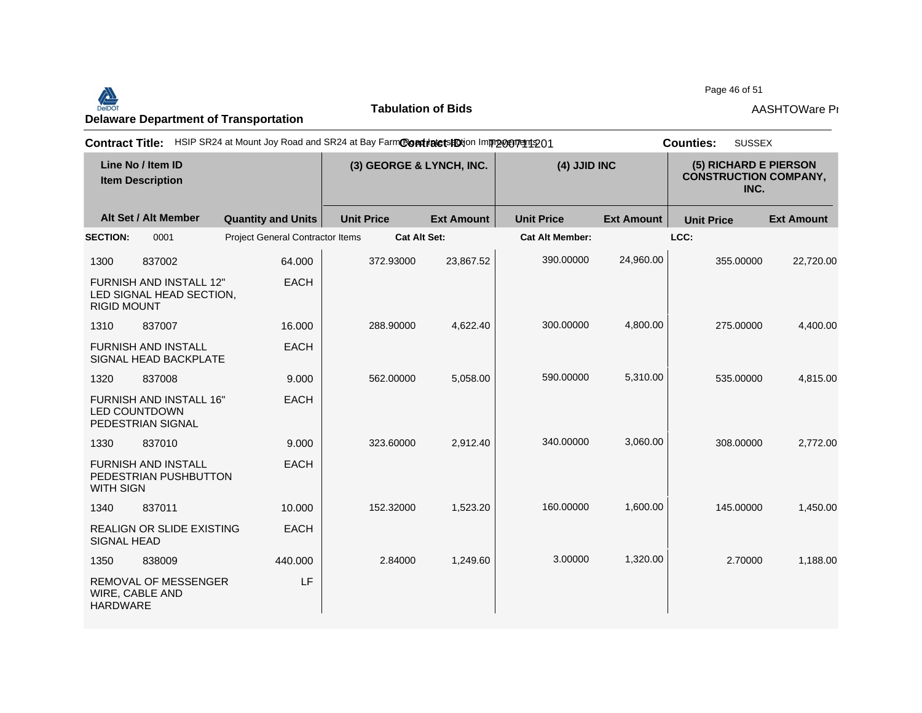Page 46 of 51<br>Delaware Department of Transportation **AASHTOWare Properties AASHTOWare Properties**<br>Delaware Department of Transportation

**Tabulation of Bids**

Page 46 of 51

| HSIP SR24 at Mount Joy Road and SR24 at Bay FarmContraters HDtion Improvement 201<br><b>Contract Title:</b><br><b>Counties:</b> |                                                                             |                                         |                   |                     |                        |                                                               |                   | <b>SUSSEX</b>     |
|---------------------------------------------------------------------------------------------------------------------------------|-----------------------------------------------------------------------------|-----------------------------------------|-------------------|---------------------|------------------------|---------------------------------------------------------------|-------------------|-------------------|
| Line No / Item ID<br><b>Item Description</b>                                                                                    |                                                                             | (3) GEORGE & LYNCH, INC.                |                   | (4) JJID INC        |                        | (5) RICHARD E PIERSON<br><b>CONSTRUCTION COMPANY,</b><br>INC. |                   |                   |
|                                                                                                                                 | Alt Set / Alt Member                                                        | <b>Quantity and Units</b>               | <b>Unit Price</b> | <b>Ext Amount</b>   | <b>Unit Price</b>      | <b>Ext Amount</b>                                             | <b>Unit Price</b> | <b>Ext Amount</b> |
| <b>SECTION:</b>                                                                                                                 | 0001                                                                        | <b>Project General Contractor Items</b> |                   | <b>Cat Alt Set:</b> | <b>Cat Alt Member:</b> |                                                               | LCC:              |                   |
| 1300                                                                                                                            | 837002                                                                      | 64.000                                  | 372.93000         | 23,867.52           | 390.00000              | 24,960.00                                                     | 355.00000         | 22,720.00         |
| <b>RIGID MOUNT</b>                                                                                                              | <b>FURNISH AND INSTALL 12"</b><br>LED SIGNAL HEAD SECTION,                  | <b>EACH</b>                             |                   |                     |                        |                                                               |                   |                   |
| 1310                                                                                                                            | 837007                                                                      | 16.000                                  | 288.90000         | 4,622.40            | 300.00000              | 4,800.00                                                      | 275.00000         | 4,400.00          |
|                                                                                                                                 | <b>FURNISH AND INSTALL</b><br>SIGNAL HEAD BACKPLATE                         | <b>EACH</b>                             |                   |                     |                        |                                                               |                   |                   |
| 1320                                                                                                                            | 837008                                                                      | 9.000                                   | 562.00000         | 5,058.00            | 590.00000              | 5,310.00                                                      | 535.00000         | 4,815.00          |
|                                                                                                                                 | <b>FURNISH AND INSTALL 16"</b><br><b>LED COUNTDOWN</b><br>PEDESTRIAN SIGNAL | <b>EACH</b>                             |                   |                     |                        |                                                               |                   |                   |
| 1330                                                                                                                            | 837010                                                                      | 9.000                                   | 323.60000         | 2,912.40            | 340.00000              | 3,060.00                                                      | 308.00000         | 2,772.00          |
| <b>WITH SIGN</b>                                                                                                                | <b>FURNISH AND INSTALL</b><br>PEDESTRIAN PUSHBUTTON                         | <b>EACH</b>                             |                   |                     |                        |                                                               |                   |                   |
| 1340                                                                                                                            | 837011                                                                      | 10.000                                  | 152,32000         | 1,523.20            | 160.00000              | 1,600.00                                                      | 145.00000         | 1,450.00          |
| <b>SIGNAL HEAD</b>                                                                                                              | <b>REALIGN OR SLIDE EXISTING</b>                                            | <b>EACH</b>                             |                   |                     |                        |                                                               |                   |                   |
| 1350                                                                                                                            | 838009                                                                      | 440.000                                 | 2.84000           | 1.249.60            | 3.00000                | 1,320.00                                                      | 2.70000           | 1,188.00          |
| <b>HARDWARE</b>                                                                                                                 | <b>REMOVAL OF MESSENGER</b><br>WIRE, CABLE AND                              | LF                                      |                   |                     |                        |                                                               |                   |                   |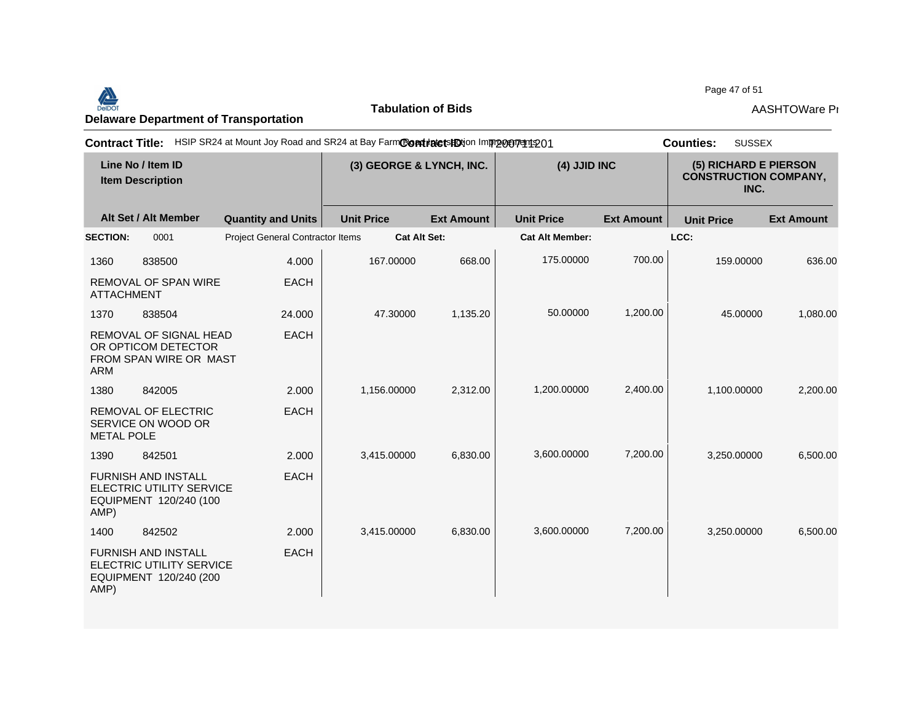Page 47 of 51<br>Delaware Department of Transportation **AASHTOWare Properties AASHTOWare Properties**<br>Delaware Department of Transportation

**Tabulation of Bids**

Page 47 of 51

| <b>Contract Title:</b>                       |                                                                                  | HSIP SR24 at Mount Joy Road and SR24 at Bay FarmContratetsHDtion Improcurent 201 |                   |                     |                        |                                                               | <b>SUSSEX</b><br><b>Counties:</b> |                   |
|----------------------------------------------|----------------------------------------------------------------------------------|----------------------------------------------------------------------------------|-------------------|---------------------|------------------------|---------------------------------------------------------------|-----------------------------------|-------------------|
| Line No / Item ID<br><b>Item Description</b> |                                                                                  | (3) GEORGE & LYNCH, INC.                                                         |                   | (4) JJID INC        |                        | (5) RICHARD E PIERSON<br><b>CONSTRUCTION COMPANY,</b><br>INC. |                                   |                   |
|                                              | Alt Set / Alt Member                                                             | <b>Quantity and Units</b>                                                        | <b>Unit Price</b> | <b>Ext Amount</b>   | <b>Unit Price</b>      | <b>Ext Amount</b>                                             | <b>Unit Price</b>                 | <b>Ext Amount</b> |
| <b>SECTION:</b>                              | 0001                                                                             | Project General Contractor Items                                                 |                   | <b>Cat Alt Set:</b> | <b>Cat Alt Member:</b> |                                                               | LCC:                              |                   |
| 1360                                         | 838500                                                                           | 4.000                                                                            | 167.00000         | 668.00              | 175.00000              | 700.00                                                        | 159.00000                         | 636.00            |
| <b>ATTACHMENT</b>                            | <b>REMOVAL OF SPAN WIRE</b>                                                      | <b>EACH</b>                                                                      |                   |                     |                        |                                                               |                                   |                   |
| 1370                                         | 838504                                                                           | 24.000                                                                           | 47.30000          | 1,135.20            | 50.00000               | 1,200.00                                                      | 45.00000                          | 1,080.00          |
| <b>ARM</b>                                   | REMOVAL OF SIGNAL HEAD<br>OR OPTICOM DETECTOR<br>FROM SPAN WIRE OR MAST          | <b>EACH</b>                                                                      |                   |                     |                        |                                                               |                                   |                   |
| 1380                                         | 842005                                                                           | 2.000                                                                            | 1,156.00000       | 2,312.00            | 1,200.00000            | 2,400.00                                                      | 1,100.00000                       | 2,200.00          |
| <b>METAL POLE</b>                            | <b>REMOVAL OF ELECTRIC</b><br>SERVICE ON WOOD OR                                 | <b>EACH</b>                                                                      |                   |                     |                        |                                                               |                                   |                   |
| 1390                                         | 842501                                                                           | 2.000                                                                            | 3,415.00000       | 6,830.00            | 3,600.00000            | 7,200.00                                                      | 3,250.00000                       | 6,500.00          |
| AMP)                                         | <b>FURNISH AND INSTALL</b><br>ELECTRIC UTILITY SERVICE<br>EQUIPMENT 120/240 (100 | <b>EACH</b>                                                                      |                   |                     |                        |                                                               |                                   |                   |
| 1400                                         | 842502                                                                           | 2.000                                                                            | 3,415.00000       | 6,830.00            | 3,600.00000            | 7,200.00                                                      | 3,250.00000                       | 6,500.00          |
| AMP)                                         | <b>FURNISH AND INSTALL</b><br>ELECTRIC UTILITY SERVICE<br>EQUIPMENT 120/240 (200 | <b>EACH</b>                                                                      |                   |                     |                        |                                                               |                                   |                   |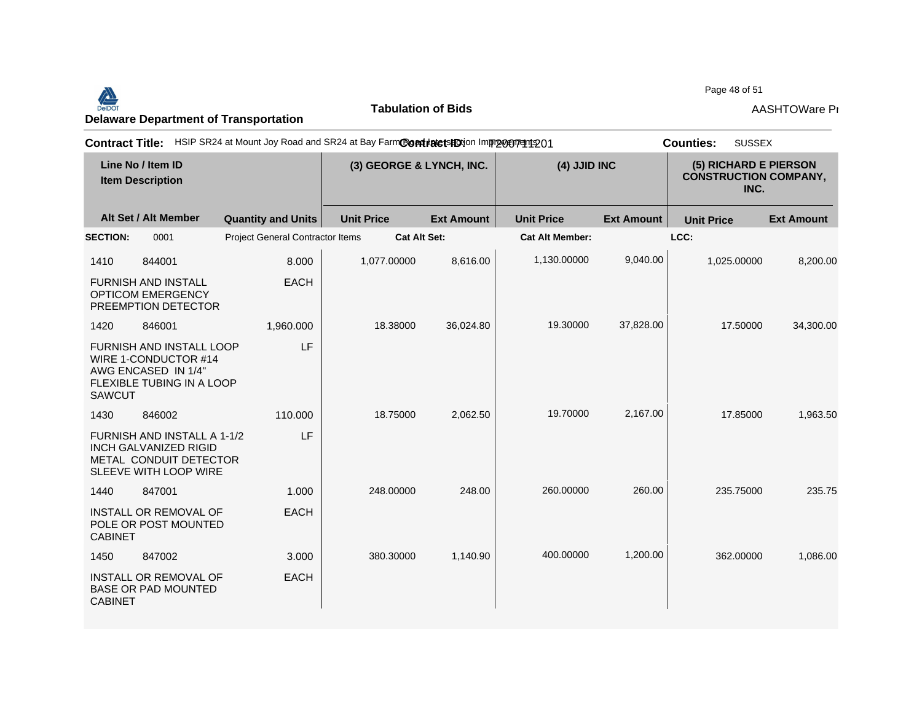Page 48 of 51<br>Delaware Department of Transportation **AASHTOWare Properties AASHTOWare Properties**<br>Delaware Department of Transportation

**Tabulation of Bids**

Page 48 of 51

| <b>Contract Title:</b>                       |                                                                                                                    | HSIP SR24 at Mount Joy Road and SR24 at Bay FarmContialetshotion Improvement 201 |                   |                     |                        |                                                               | <b>SUSSEX</b><br><b>Counties:</b> |                   |
|----------------------------------------------|--------------------------------------------------------------------------------------------------------------------|----------------------------------------------------------------------------------|-------------------|---------------------|------------------------|---------------------------------------------------------------|-----------------------------------|-------------------|
| Line No / Item ID<br><b>Item Description</b> |                                                                                                                    | (3) GEORGE & LYNCH, INC.                                                         |                   | (4) JJID INC        |                        | (5) RICHARD E PIERSON<br><b>CONSTRUCTION COMPANY,</b><br>INC. |                                   |                   |
|                                              | Alt Set / Alt Member                                                                                               | <b>Quantity and Units</b>                                                        | <b>Unit Price</b> | <b>Ext Amount</b>   | <b>Unit Price</b>      | <b>Ext Amount</b>                                             | <b>Unit Price</b>                 | <b>Ext Amount</b> |
| <b>SECTION:</b>                              | 0001                                                                                                               | <b>Project General Contractor Items</b>                                          |                   | <b>Cat Alt Set:</b> | <b>Cat Alt Member:</b> |                                                               | LCC:                              |                   |
| 1410                                         | 844001                                                                                                             | 8.000                                                                            | 1,077.00000       | 8,616.00            | 1,130.00000            | 9,040.00                                                      | 1,025.00000                       | 8,200.00          |
|                                              | FURNISH AND INSTALL<br><b>OPTICOM EMERGENCY</b><br>PREEMPTION DETECTOR                                             | <b>EACH</b>                                                                      |                   |                     |                        |                                                               |                                   |                   |
| 1420                                         | 846001                                                                                                             | 1,960.000                                                                        | 18.38000          | 36,024.80           | 19.30000               | 37,828.00                                                     | 17.50000                          | 34,300.00         |
| <b>SAWCUT</b>                                | <b>FURNISH AND INSTALL LOOP</b><br>WIRE 1-CONDUCTOR #14<br>AWG ENCASED IN 1/4"<br><b>FLEXIBLE TUBING IN A LOOP</b> | LF                                                                               |                   |                     |                        |                                                               |                                   |                   |
| 1430                                         | 846002                                                                                                             | 110.000                                                                          | 18.75000          | 2,062.50            | 19.70000               | 2,167.00                                                      | 17.85000                          | 1,963.50          |
|                                              | FURNISH AND INSTALL A 1-1/2<br><b>INCH GALVANIZED RIGID</b><br>METAL CONDUIT DETECTOR<br>SLEEVE WITH LOOP WIRE     | LF                                                                               |                   |                     |                        |                                                               |                                   |                   |
| 1440                                         | 847001                                                                                                             | 1.000                                                                            | 248.00000         | 248.00              | 260.00000              | 260.00                                                        | 235.75000                         | 235.75            |
| <b>CABINET</b>                               | INSTALL OR REMOVAL OF<br>POLE OR POST MOUNTED                                                                      | <b>EACH</b>                                                                      |                   |                     |                        |                                                               |                                   |                   |
| 1450                                         | 847002                                                                                                             | 3.000                                                                            | 380.30000         | 1,140.90            | 400.00000              | 1,200.00                                                      | 362.00000                         | 1,086.00          |
| <b>CABINET</b>                               | INSTALL OR REMOVAL OF<br><b>BASE OR PAD MOUNTED</b>                                                                | <b>EACH</b>                                                                      |                   |                     |                        |                                                               |                                   |                   |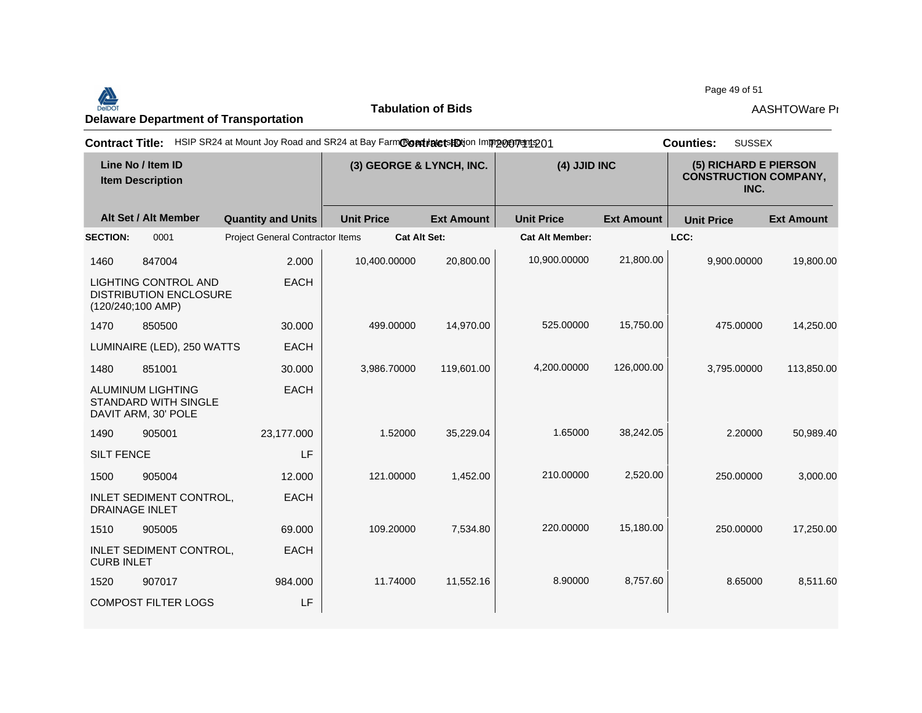Page 49 of 51<br>Delaware Department of Transportation **AASHTOWare Properties AASHTOWare Properties**<br>Delaware Department of Transportation

**Tabulation of Bids**

Page 49 of 51

| HSIP SR24 at Mount Joy Road and SR24 at Bay FarmContinute tshotion Improvement 201<br><b>Contract Title:</b> | <b>SUSSEX</b><br><b>Counties:</b> |                   |                          |                        |                   |                   |                                                               |
|--------------------------------------------------------------------------------------------------------------|-----------------------------------|-------------------|--------------------------|------------------------|-------------------|-------------------|---------------------------------------------------------------|
| Line No / Item ID<br><b>Item Description</b>                                                                 |                                   |                   | (3) GEORGE & LYNCH, INC. |                        | (4) JJID INC      |                   | (5) RICHARD E PIERSON<br><b>CONSTRUCTION COMPANY,</b><br>INC. |
| Alt Set / Alt Member                                                                                         | <b>Quantity and Units</b>         | <b>Unit Price</b> | <b>Ext Amount</b>        | <b>Unit Price</b>      | <b>Ext Amount</b> | <b>Unit Price</b> | <b>Ext Amount</b>                                             |
| <b>SECTION:</b><br>0001                                                                                      | Project General Contractor Items  |                   | <b>Cat Alt Set:</b>      | <b>Cat Alt Member:</b> |                   | LCC:              |                                                               |
| 1460<br>847004                                                                                               | 2.000                             | 10,400.00000      | 20,800.00                | 10,900.00000           | 21,800.00         | 9,900.00000       | 19,800.00                                                     |
| <b>LIGHTING CONTROL AND</b><br><b>DISTRIBUTION ENCLOSURE</b><br>$(120/240;100$ AMP)                          | <b>EACH</b>                       |                   |                          |                        |                   |                   |                                                               |
| 1470<br>850500                                                                                               | 30.000                            | 499.00000         | 14,970.00                | 525.00000              | 15,750.00         | 475.00000         | 14,250.00                                                     |
| LUMINAIRE (LED), 250 WATTS                                                                                   | <b>EACH</b>                       |                   |                          |                        |                   |                   |                                                               |
| 1480<br>851001                                                                                               | 30.000                            | 3,986.70000       | 119,601.00               | 4,200.00000            | 126,000.00        | 3,795.00000       | 113,850.00                                                    |
| <b>ALUMINUM LIGHTING</b><br><b>STANDARD WITH SINGLE</b><br>DAVIT ARM, 30' POLE                               | <b>EACH</b>                       |                   |                          |                        |                   |                   |                                                               |
| 1490<br>905001                                                                                               | 23,177.000                        | 1.52000           | 35,229.04                | 1.65000                | 38,242.05         | 2.20000           | 50,989.40                                                     |
| <b>SILT FENCE</b>                                                                                            | LF                                |                   |                          |                        |                   |                   |                                                               |
| 1500<br>905004                                                                                               | 12.000                            | 121.00000         | 1,452.00                 | 210.00000              | 2,520.00          | 250.00000         | 3,000.00                                                      |
| INLET SEDIMENT CONTROL,<br><b>DRAINAGE INLET</b>                                                             | <b>EACH</b>                       |                   |                          |                        |                   |                   |                                                               |
| 1510<br>905005                                                                                               | 69.000                            | 109.20000         | 7,534.80                 | 220.00000              | 15,180.00         | 250.00000         | 17,250.00                                                     |
| <b>INLET SEDIMENT CONTROL,</b><br><b>CURB INLET</b>                                                          | <b>EACH</b>                       |                   |                          |                        |                   |                   |                                                               |
| 1520<br>907017                                                                                               | 984.000                           | 11.74000          | 11,552.16                | 8.90000                | 8,757.60          | 8.65000           | 8,511.60                                                      |
| <b>COMPOST FILTER LOGS</b>                                                                                   | LF                                |                   |                          |                        |                   |                   |                                                               |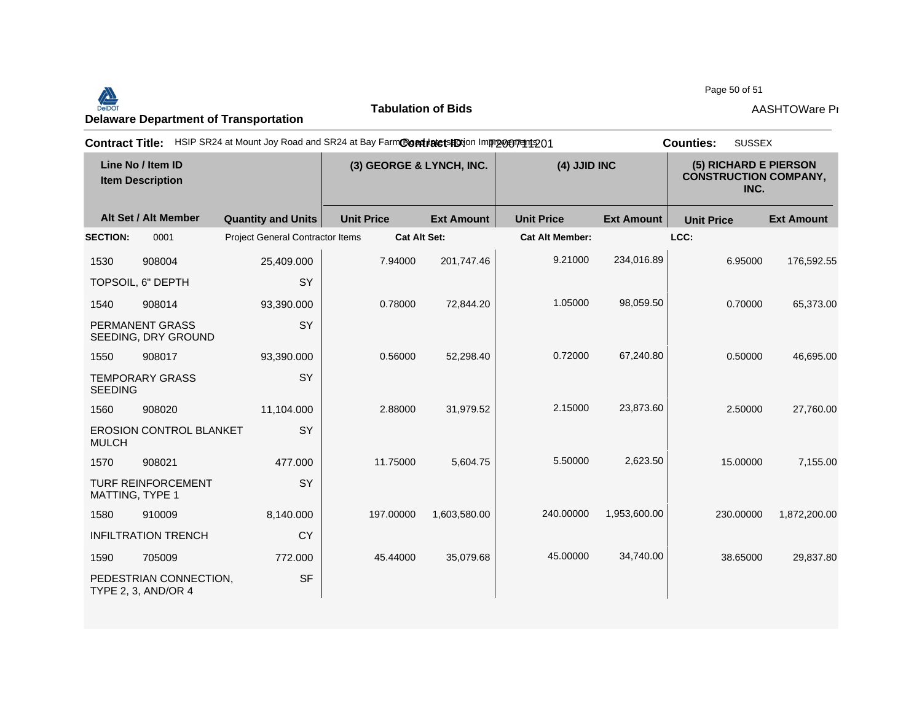## Page 50 of 51<br>Delaware Department of Transportation **AASHTOWare Properties AASHTOWare Properties**<br>Delaware Department of Transportation

**Tabulation of Bids**

Page 50 of 51

| <b>Contract Title:</b>                       |                                               | HSIP SR24 at Mount Joy Road and SR24 at Bay FarmCondinate to HO in mp or proton 201 |                   |                     |                        |                                                               | <b>SUSSEX</b><br><b>Counties:</b> |                   |
|----------------------------------------------|-----------------------------------------------|-------------------------------------------------------------------------------------|-------------------|---------------------|------------------------|---------------------------------------------------------------|-----------------------------------|-------------------|
| Line No / Item ID<br><b>Item Description</b> |                                               | (3) GEORGE & LYNCH, INC.                                                            |                   | (4) JJID INC        |                        | (5) RICHARD E PIERSON<br><b>CONSTRUCTION COMPANY,</b><br>INC. |                                   |                   |
|                                              | Alt Set / Alt Member                          | <b>Quantity and Units</b>                                                           | <b>Unit Price</b> | <b>Ext Amount</b>   | <b>Unit Price</b>      | <b>Ext Amount</b>                                             | <b>Unit Price</b>                 | <b>Ext Amount</b> |
| <b>SECTION:</b>                              | 0001                                          | Project General Contractor Items                                                    |                   | <b>Cat Alt Set:</b> | <b>Cat Alt Member:</b> |                                                               | LCC:                              |                   |
| 1530                                         | 908004                                        | 25,409.000                                                                          | 7.94000           | 201,747.46          | 9.21000                | 234,016.89                                                    | 6.95000                           | 176,592.55        |
|                                              | TOPSOIL, 6" DEPTH                             | SY                                                                                  |                   |                     |                        |                                                               |                                   |                   |
| 1540                                         | 908014                                        | 93,390.000                                                                          | 0.78000           | 72,844.20           | 1.05000                | 98,059.50                                                     | 0.70000                           | 65,373.00         |
|                                              | PERMANENT GRASS<br>SEEDING, DRY GROUND        | SY                                                                                  |                   |                     |                        |                                                               |                                   |                   |
| 1550                                         | 908017                                        | 93,390.000                                                                          | 0.56000           | 52,298.40           | 0.72000                | 67,240.80                                                     | 0.50000                           | 46,695.00         |
| <b>SEEDING</b>                               | <b>TEMPORARY GRASS</b>                        | SY                                                                                  |                   |                     |                        |                                                               |                                   |                   |
| 1560                                         | 908020                                        | 11,104.000                                                                          | 2.88000           | 31,979.52           | 2.15000                | 23,873.60                                                     | 2.50000                           | 27,760.00         |
| <b>MULCH</b>                                 | <b>EROSION CONTROL BLANKET</b>                | SY                                                                                  |                   |                     |                        |                                                               |                                   |                   |
| 1570                                         | 908021                                        | 477.000                                                                             | 11.75000          | 5,604.75            | 5.50000                | 2,623.50                                                      | 15.00000                          | 7,155.00          |
|                                              | <b>TURF REINFORCEMENT</b><br>MATTING, TYPE 1  | SY                                                                                  |                   |                     |                        |                                                               |                                   |                   |
| 1580                                         | 910009                                        | 8,140.000                                                                           | 197.00000         | 1,603,580.00        | 240.00000              | 1,953,600.00                                                  | 230.00000                         | 1,872,200.00      |
|                                              | <b>INFILTRATION TRENCH</b>                    | <b>CY</b>                                                                           |                   |                     |                        |                                                               |                                   |                   |
| 1590                                         | 705009                                        | 772.000                                                                             | 45.44000          | 35,079.68           | 45.00000               | 34,740.00                                                     | 38.65000                          | 29,837.80         |
|                                              | PEDESTRIAN CONNECTION,<br>TYPE 2, 3, AND/OR 4 | <b>SF</b>                                                                           |                   |                     |                        |                                                               |                                   |                   |